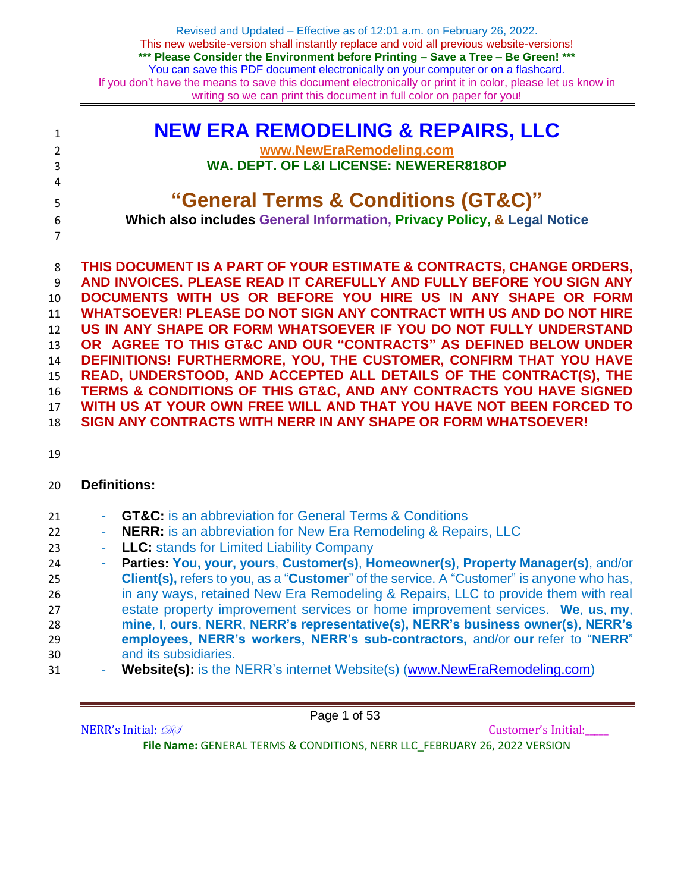| $\mathbf{1}$   | <b>NEW ERA REMODELING &amp; REPAIRS, LLC</b>                            |
|----------------|-------------------------------------------------------------------------|
| 2              | www.NewEraRemodeling.com                                                |
| 3              | WA. DEPT. OF L&I LICENSE: NEWERER818OP                                  |
| $\overline{4}$ |                                                                         |
| 5              | "General Terms & Conditions (GT&C)"                                     |
| 6              | Which also includes General Information, Privacy Policy, & Legal Notice |
| $\overline{7}$ |                                                                         |
|                |                                                                         |

 **THIS DOCUMENT IS A PART OF YOUR ESTIMATE & CONTRACTS, CHANGE ORDERS, AND INVOICES. PLEASE READ IT CAREFULLY AND FULLY BEFORE YOU SIGN ANY DOCUMENTS WITH US OR BEFORE YOU HIRE US IN ANY SHAPE OR FORM WHATSOEVER! PLEASE DO NOT SIGN ANY CONTRACT WITH US AND DO NOT HIRE US IN ANY SHAPE OR FORM WHATSOEVER IF YOU DO NOT FULLY UNDERSTAND OR AGREE TO THIS GT&C AND OUR "CONTRACTS" AS DEFINED BELOW UNDER DEFINITIONS! FURTHERMORE, YOU, THE CUSTOMER, CONFIRM THAT YOU HAVE READ, UNDERSTOOD, AND ACCEPTED ALL DETAILS OF THE CONTRACT(S), THE TERMS & CONDITIONS OF THIS GT&C, AND ANY CONTRACTS YOU HAVE SIGNED WITH US AT YOUR OWN FREE WILL AND THAT YOU HAVE NOT BEEN FORCED TO SIGN ANY CONTRACTS WITH NERR IN ANY SHAPE OR FORM WHATSOEVER!**

# **Definitions:**

- **GT&C:** is an abbreviation for General Terms & Conditions
- **NERR:** is an abbreviation for New Era Remodeling & Repairs, LLC
- **LLC:** stands for Limited Liability Company
- **Parties: You, your, yours**, **Customer(s)**, **Homeowner(s)**, **Property Manager(s)**, and/or **Client(s),** refers to you, as a "**Customer**" of the service. A "Customer" is anyone who has, in any ways, retained New Era Remodeling & Repairs, LLC to provide them with real estate property improvement services or home improvement services. **We**, **us**, **my**, **mine**, **I**, **ours**, **NERR**, **NERR's representative(s), NERR's business owner(s), NERR's employees, NERR's workers, NERR's sub-contractors,** and/or **our** refer to "**NERR**" and its subsidiaries.
- **Website(s):** is the NERR's internet Website(s) [\(www.NewEraRemodeling.com\)](http://www.neweraremodeling.com/)

Page 1 of 53

NERR's Initial:  $\mathcal{D} \mathcal{D}$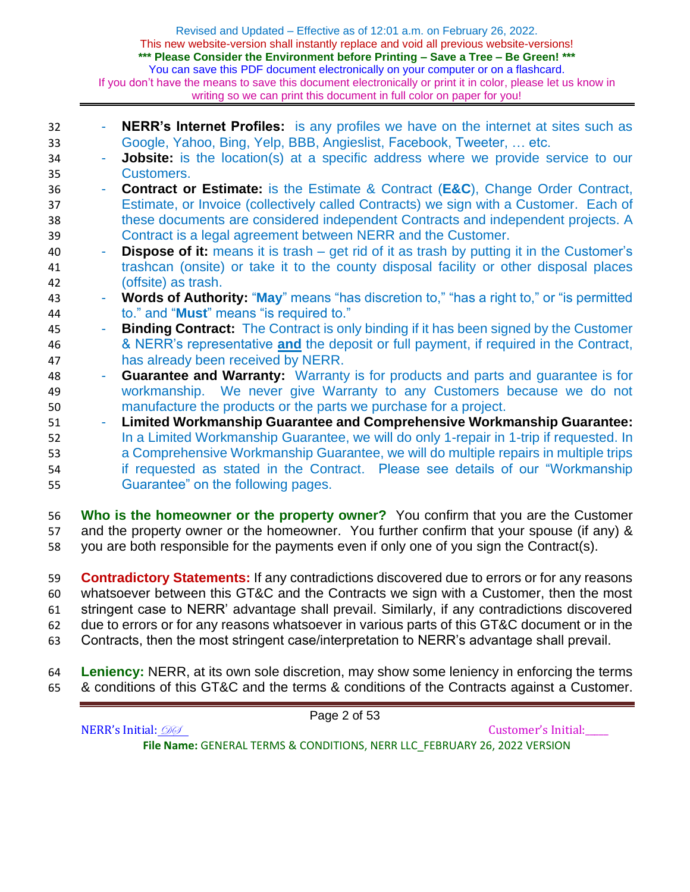- **NERR's Internet Profiles:** is any profiles we have on the internet at sites such as Google, Yahoo, Bing, Yelp, BBB, Angieslist, Facebook, Tweeter, … etc. - **Jobsite:** is the location(s) at a specific address where we provide service to our Customers. - **Contract or Estimate:** is the Estimate & Contract (**E&C**), Change Order Contract, Estimate, or Invoice (collectively called Contracts) we sign with a Customer. Each of these documents are considered independent Contracts and independent projects. A Contract is a legal agreement between NERR and the Customer. - **Dispose of it:** means it is trash – get rid of it as trash by putting it in the Customer's trashcan (onsite) or take it to the county disposal facility or other disposal places (offsite) as trash. - **Words of Authority:** "**May**" means "has discretion to," "has a right to," or "is permitted to." and "**Must**" means "is required to." - **Binding Contract:** The Contract is only binding if it has been signed by the Customer & NERR's representative **and** the deposit or full payment, if required in the Contract, has already been received by NERR. - **Guarantee and Warranty:** Warranty is for products and parts and guarantee is for workmanship. We never give Warranty to any Customers because we do not manufacture the products or the parts we purchase for a project. - **Limited Workmanship Guarantee and Comprehensive Workmanship Guarantee:**  In a Limited Workmanship Guarantee, we will do only 1-repair in 1-trip if requested. In a Comprehensive Workmanship Guarantee, we will do multiple repairs in multiple trips if requested as stated in the Contract. Please see details of our "Workmanship Guarantee" on the following pages.
- **Who is the homeowner or the property owner?** You confirm that you are the Customer 57 and the property owner or the homeowner. You further confirm that your spouse (if any) & you are both responsible for the payments even if only one of you sign the Contract(s).
- **Contradictory Statements:** If any contradictions discovered due to errors or for any reasons whatsoever between this GT&C and the Contracts we sign with a Customer, then the most stringent case to NERR' advantage shall prevail. Similarly, if any contradictions discovered due to errors or for any reasons whatsoever in various parts of this GT&C document or in the Contracts, then the most stringent case/interpretation to NERR's advantage shall prevail.
- **Leniency:** NERR, at its own sole discretion, may show some leniency in enforcing the terms & conditions of this GT&C and the terms & conditions of the Contracts against a Customer.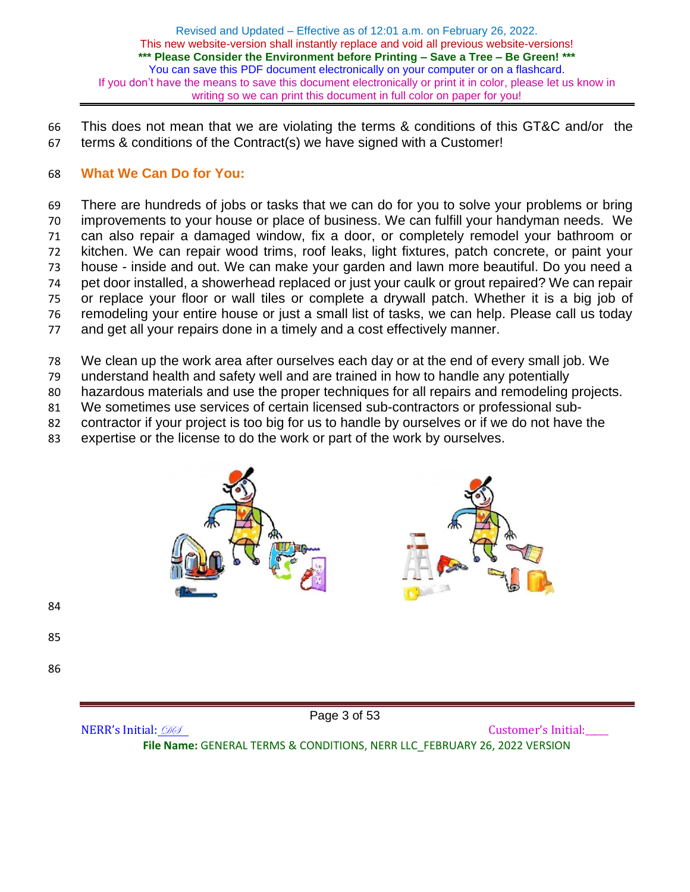This does not mean that we are violating the terms & conditions of this GT&C and/or the terms & conditions of the Contract(s) we have signed with a Customer!

### **What We Can Do for You:**

 There are hundreds of jobs or tasks that we can do for you to solve your problems or bring improvements to your house or place of business. We can fulfill your handyman needs. We can also repair a damaged window, fix a door, or completely remodel your bathroom or kitchen. We can repair wood trims, roof leaks, light fixtures, patch concrete, or paint your house - inside and out. We can make your garden and lawn more beautiful. Do you need a pet door installed, a showerhead replaced or just your caulk or grout repaired? We can repair or replace your floor or wall tiles or complete a drywall patch. Whether it is a big job of remodeling your entire house or just a small list of tasks, we can help. Please call us today and get all your repairs done in a timely and a cost effectively manner.

- We clean up the work area after ourselves each day or at the end of every small job. We
- understand health and safety well and are trained in how to handle any potentially
- hazardous materials and use the proper techniques for all repairs and remodeling projects.
- We sometimes use services of certain licensed sub-contractors or professional sub-
- contractor if your project is too big for us to handle by ourselves or if we do not have the
- expertise or the license to do the work or part of the work by ourselves.



NERR's Initial:  $\mathcal{D}\mathcal{D}$ 

Page 3 of 53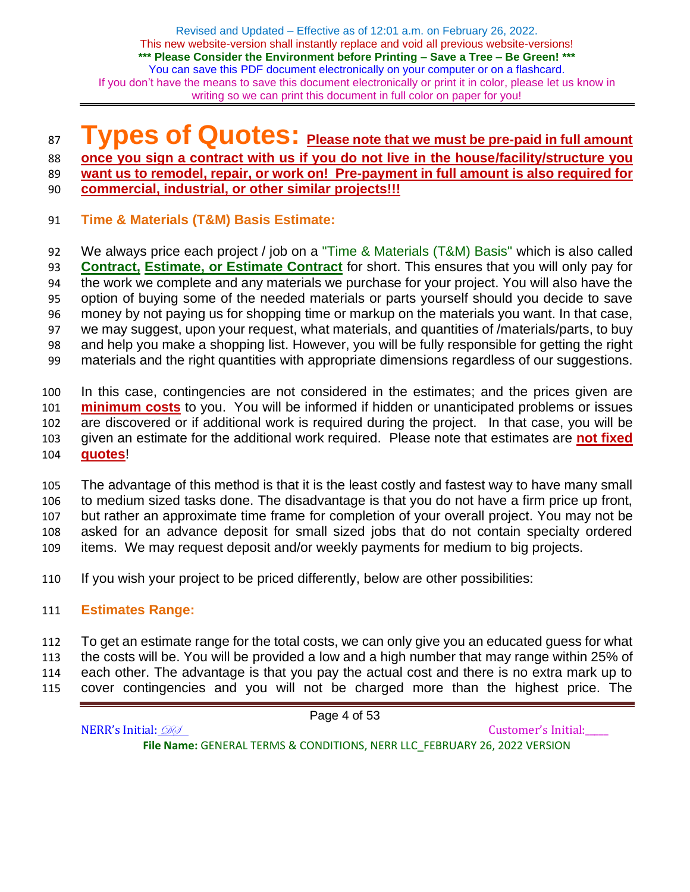# **Types of Quotes: Please note that we must be pre-paid in full amount**

**once you sign a contract with us if you do not live in the house/facility/structure you** 

 **want us to remodel, repair, or work on! Pre-payment in full amount is also required for commercial, industrial, or other similar projects!!!**

- 
- **Time & Materials (T&M) Basis Estimate:**

 We always price each project / job on a "Time & Materials (T&M) Basis" which is also called **Contract, Estimate, or Estimate Contract** for short. This ensures that you will only pay for the work we complete and any materials we purchase for your project. You will also have the option of buying some of the needed materials or parts yourself should you decide to save money by not paying us for shopping time or markup on the materials you want. In that case, we may suggest, upon your request, what materials, and quantities of /materials/parts, to buy and help you make a shopping list. However, you will be fully responsible for getting the right materials and the right quantities with appropriate dimensions regardless of our suggestions.

 In this case, contingencies are not considered in the estimates; and the prices given are **minimum costs** to you. You will be informed if hidden or unanticipated problems or issues are discovered or if additional work is required during the project. In that case, you will be given an estimate for the additional work required. Please note that estimates are **not fixed quotes**!

 The advantage of this method is that it is the least costly and fastest way to have many small to medium sized tasks done. The disadvantage is that you do not have a firm price up front, but rather an approximate time frame for completion of your overall project. You may not be asked for an advance deposit for small sized jobs that do not contain specialty ordered items. We may request deposit and/or weekly payments for medium to big projects.

- If you wish your project to be priced differently, below are other possibilities:
- **Estimates Range:**

 To get an estimate range for the total costs, we can only give you an educated guess for what the costs will be. You will be provided a low and a high number that may range within 25% of each other. The advantage is that you pay the actual cost and there is no extra mark up to

cover contingencies and you will not be charged more than the highest price. The

NERR's Initial:  $\mathcal{D} \mathcal{D}$ **File Name:** GENERAL TERMS & CONDITIONS, NERR LLC\_FEBRUARY 26, 2022 VERSION

Page 4 of 53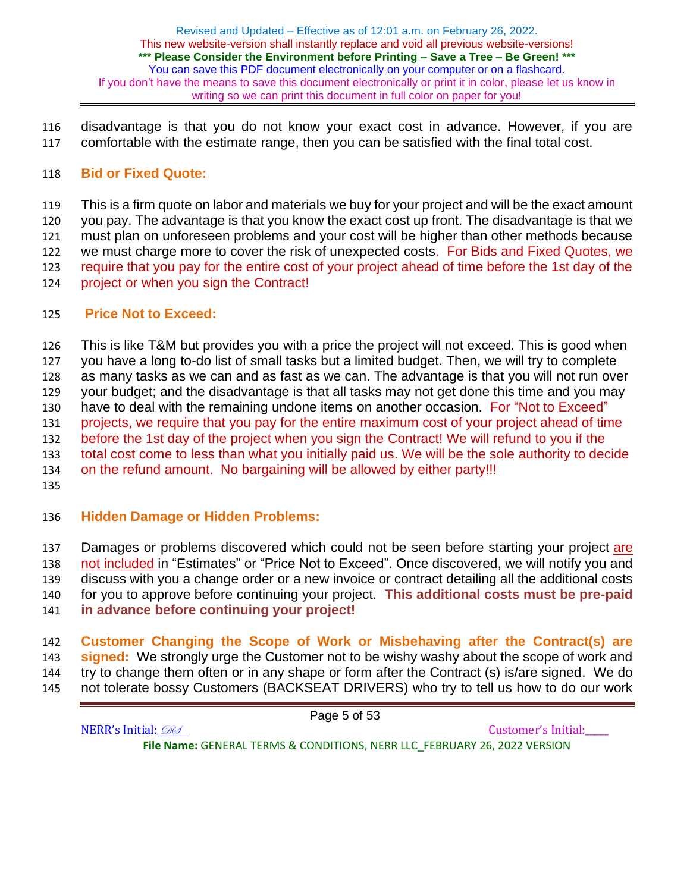disadvantage is that you do not know your exact cost in advance. However, if you are comfortable with the estimate range, then you can be satisfied with the final total cost.

## **Bid or Fixed Quote:**

 This is a firm quote on labor and materials we buy for your project and will be the exact amount you pay. The advantage is that you know the exact cost up front. The disadvantage is that we must plan on unforeseen problems and your cost will be higher than other methods because we must charge more to cover the risk of unexpected costs. For Bids and Fixed Quotes, we require that you pay for the entire cost of your project ahead of time before the 1st day of the project or when you sign the Contract!

### **Price Not to Exceed:**

 This is like T&M but provides you with a price the project will not exceed. This is good when you have a long to-do list of small tasks but a limited budget. Then, we will try to complete as many tasks as we can and as fast as we can. The advantage is that you will not run over your budget; and the disadvantage is that all tasks may not get done this time and you may have to deal with the remaining undone items on another occasion. For "Not to Exceed" projects, we require that you pay for the entire maximum cost of your project ahead of time before the 1st day of the project when you sign the Contract! We will refund to you if the total cost come to less than what you initially paid us. We will be the sole authority to decide on the refund amount. No bargaining will be allowed by either party!!! 

## **Hidden Damage or Hidden Problems:**

137 Damages or problems discovered which could not be seen before starting your project are not included in "Estimates" or "Price Not to Exceed". Once discovered, we will notify you and discuss with you a change order or a new invoice or contract detailing all the additional costs for you to approve before continuing your project. **This additional costs must be pre-paid in advance before continuing your project!**

 **Customer Changing the Scope of Work or Misbehaving after the Contract(s) are signed:** We strongly urge the Customer not to be wishy washy about the scope of work and try to change them often or in any shape or form after the Contract (s) is/are signed. We do not tolerate bossy Customers (BACKSEAT DRIVERS) who try to tell us how to do our work

NERR's Initial:  $\mathcal{D}\mathcal{D}$ **File Name:** GENERAL TERMS & CONDITIONS, NERR LLC\_FEBRUARY 26, 2022 VERSION

Page 5 of 53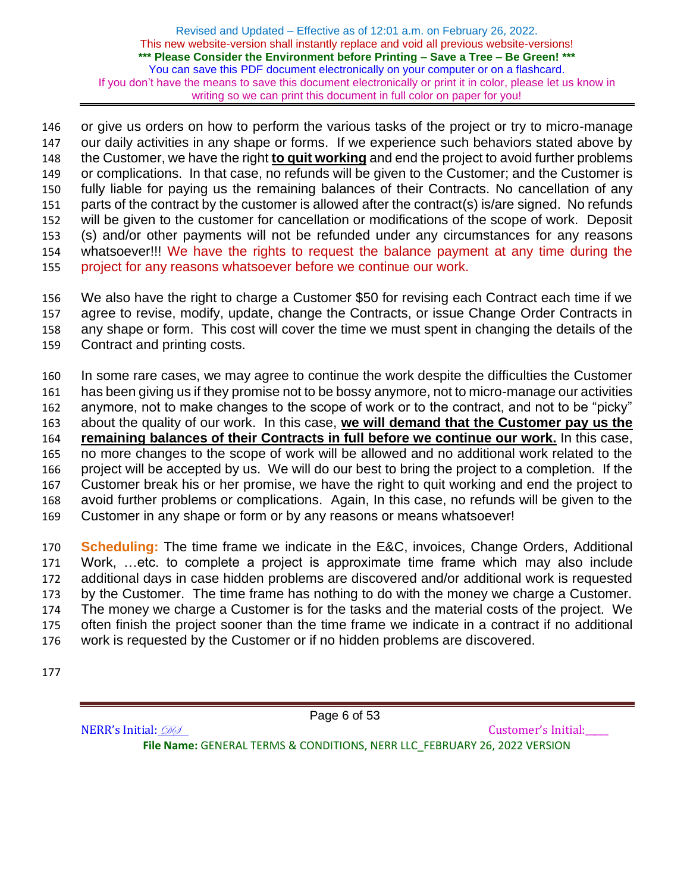or give us orders on how to perform the various tasks of the project or try to micro-manage our daily activities in any shape or forms. If we experience such behaviors stated above by the Customer, we have the right **to quit working** and end the project to avoid further problems or complications. In that case, no refunds will be given to the Customer; and the Customer is fully liable for paying us the remaining balances of their Contracts. No cancellation of any parts of the contract by the customer is allowed after the contract(s) is/are signed. No refunds will be given to the customer for cancellation or modifications of the scope of work. Deposit (s) and/or other payments will not be refunded under any circumstances for any reasons whatsoever!!! We have the rights to request the balance payment at any time during the project for any reasons whatsoever before we continue our work.

 We also have the right to charge a Customer \$50 for revising each Contract each time if we agree to revise, modify, update, change the Contracts, or issue Change Order Contracts in any shape or form. This cost will cover the time we must spent in changing the details of the Contract and printing costs.

 In some rare cases, we may agree to continue the work despite the difficulties the Customer has been giving us if they promise not to be bossy anymore, not to micro-manage our activities anymore, not to make changes to the scope of work or to the contract, and not to be "picky" about the quality of our work. In this case, **we will demand that the Customer pay us the remaining balances of their Contracts in full before we continue our work.** In this case, no more changes to the scope of work will be allowed and no additional work related to the project will be accepted by us. We will do our best to bring the project to a completion. If the Customer break his or her promise, we have the right to quit working and end the project to avoid further problems or complications. Again, In this case, no refunds will be given to the Customer in any shape or form or by any reasons or means whatsoever!

 **Scheduling:** The time frame we indicate in the E&C, invoices, Change Orders, Additional Work, …etc. to complete a project is approximate time frame which may also include additional days in case hidden problems are discovered and/or additional work is requested by the Customer. The time frame has nothing to do with the money we charge a Customer. The money we charge a Customer is for the tasks and the material costs of the project. We often finish the project sooner than the time frame we indicate in a contract if no additional work is requested by the Customer or if no hidden problems are discovered.

NERR's Initial:  $\mathcal{D} \mathcal{D}$ 

Page 6 of 53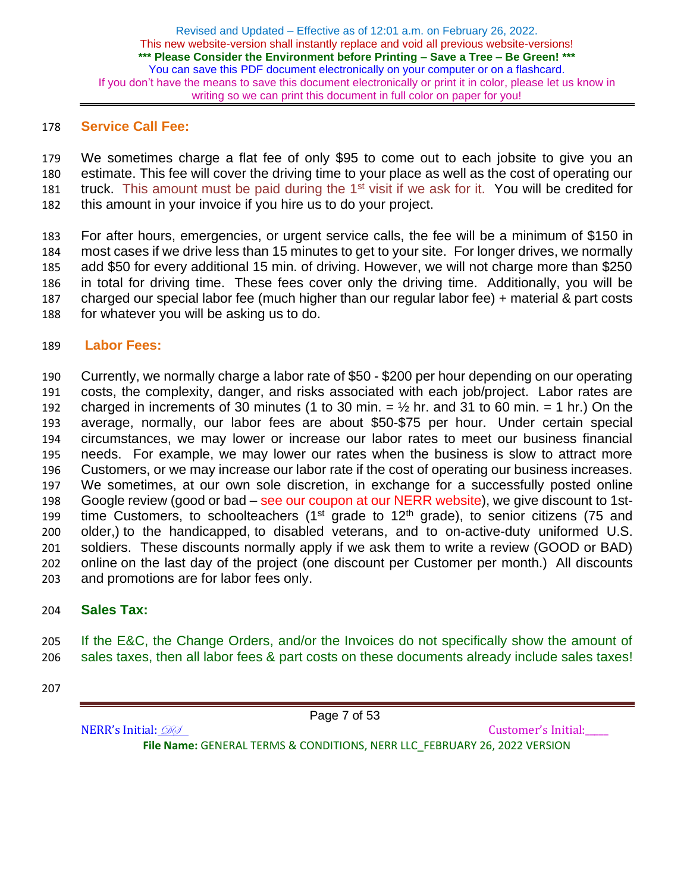### **Service Call Fee:**

 We sometimes charge a flat fee of only \$95 to come out to each jobsite to give you an estimate. This fee will cover the driving time to your place as well as the cost of operating our 181 truck. This amount must be paid during the  $1<sup>st</sup>$  visit if we ask for it. You will be credited for this amount in your invoice if you hire us to do your project.

 For after hours, emergencies, or urgent service calls, the fee will be a minimum of \$150 in most cases if we drive less than 15 minutes to get to your site. For longer drives, we normally add \$50 for every additional 15 min. of driving. However, we will not charge more than \$250 in total for driving time. These fees cover only the driving time. Additionally, you will be charged our special labor fee (much higher than our regular labor fee) + material & part costs for whatever you will be asking us to do.

### **Labor Fees:**

 Currently, we normally charge a labor rate of \$50 - \$200 per hour depending on our operating costs, the complexity, danger, and risks associated with each job/project. Labor rates are 192 charged in increments of 30 minutes (1 to 30 min.  $= \frac{1}{2}$  hr. and 31 to 60 min.  $= 1$  hr.) On the average, normally, our labor fees are about \$50-\$75 per hour. Under certain special circumstances, we may lower or increase our labor rates to meet our business financial needs. For example, we may lower our rates when the business is slow to attract more Customers, or we may increase our labor rate if the cost of operating our business increases. We sometimes, at our own sole discretion, in exchange for a successfully posted online 198 Google review (good or bad – see our coupon at our NERR website), we give discount to 1st-199 time Customers, to schoolteachers ( $1<sup>st</sup>$  grade to  $12<sup>th</sup>$  grade), to senior citizens (75 and older,) to the handicapped, to disabled veterans, and to on-active-duty uniformed U.S. soldiers. These discounts normally apply if we ask them to write a review (GOOD or BAD) online on the last day of the project (one discount per Customer per month.) All discounts and promotions are for labor fees only.

## **Sales Tax:**

 If the E&C, the Change Orders, and/or the Invoices do not specifically show the amount of sales taxes, then all labor fees & part costs on these documents already include sales taxes!

Page 7 of 53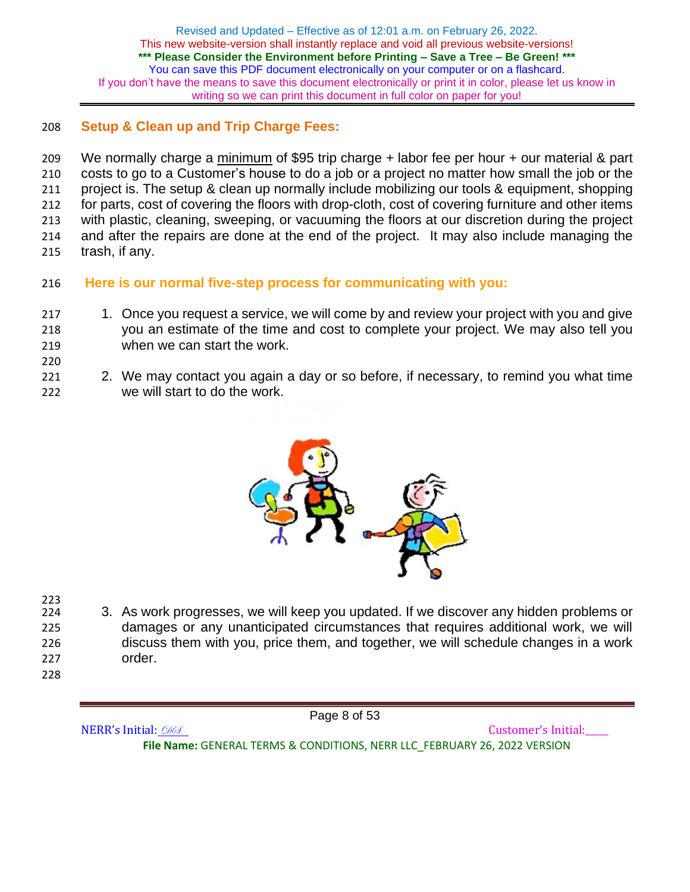## 208 **Setup & Clean up and Trip Charge Fees:**

209 We normally charge a minimum of \$95 trip charge + labor fee per hour + our material & part costs to go to a Customer's house to do a job or a project no matter how small the job or the project is. The setup & clean up normally include mobilizing our tools & equipment, shopping for parts, cost of covering the floors with drop-cloth, cost of covering furniture and other items with plastic, cleaning, sweeping, or vacuuming the floors at our discretion during the project and after the repairs are done at the end of the project. It may also include managing the trash, if any.

- 216 **Here is our normal five-step process for communicating with you:**
- 217 1. Once you request a service, we will come by and review your project with you and give 218 you an estimate of the time and cost to complete your project. We may also tell you 219 when we can start the work.
- 220
- 221 221 2. We may contact you again a day or so before, if necessary, to remind you what time 222 we will start to do the work.



223<br>224

- 3. As work progresses, we will keep you updated. If we discover any hidden problems or 225 damages or any unanticipated circumstances that requires additional work, we will 226 discuss them with you, price them, and together, we will schedule changes in a work 227 order.
- 228

Page 8 of 53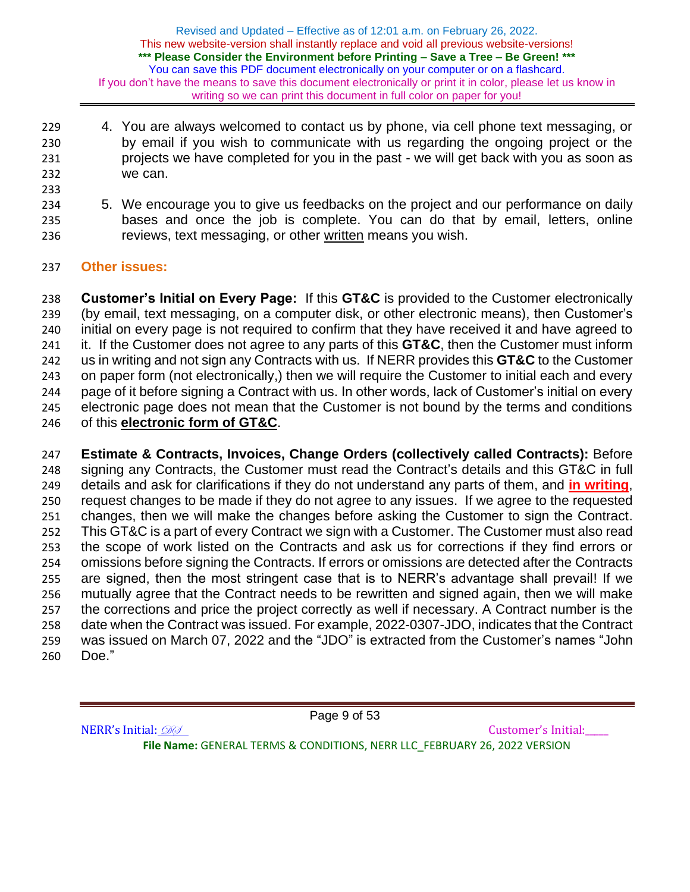- 4. You are always welcomed to contact us by phone, via cell phone text messaging, or by email if you wish to communicate with us regarding the ongoing project or the projects we have completed for you in the past - we will get back with you as soon as we can.
- 
- 5. We encourage you to give us feedbacks on the project and our performance on daily bases and once the job is complete. You can do that by email, letters, online reviews, text messaging, or other written means you wish.
- **Other issues:**

 **Customer's Initial on Every Page:** If this **GT&C** is provided to the Customer electronically (by email, text messaging, on a computer disk, or other electronic means), then Customer's initial on every page is not required to confirm that they have received it and have agreed to it. If the Customer does not agree to any parts of this **GT&C**, then the Customer must inform us in writing and not sign any Contracts with us. If NERR provides this **GT&C** to the Customer on paper form (not electronically,) then we will require the Customer to initial each and every page of it before signing a Contract with us. In other words, lack of Customer's initial on every electronic page does not mean that the Customer is not bound by the terms and conditions of this **electronic form of GT&C**.

 **Estimate & Contracts, Invoices, Change Orders (collectively called Contracts):** Before signing any Contracts, the Customer must read the Contract's details and this GT&C in full details and ask for clarifications if they do not understand any parts of them, and **in writing**, request changes to be made if they do not agree to any issues. If we agree to the requested changes, then we will make the changes before asking the Customer to sign the Contract. This GT&C is a part of every Contract we sign with a Customer. The Customer must also read the scope of work listed on the Contracts and ask us for corrections if they find errors or omissions before signing the Contracts. If errors or omissions are detected after the Contracts are signed, then the most stringent case that is to NERR's advantage shall prevail! If we mutually agree that the Contract needs to be rewritten and signed again, then we will make the corrections and price the project correctly as well if necessary. A Contract number is the date when the Contract was issued. For example, 2022-0307-JDO, indicates that the Contract was issued on March 07, 2022 and the "JDO" is extracted from the Customer's names "John Doe."

Page 9 of 53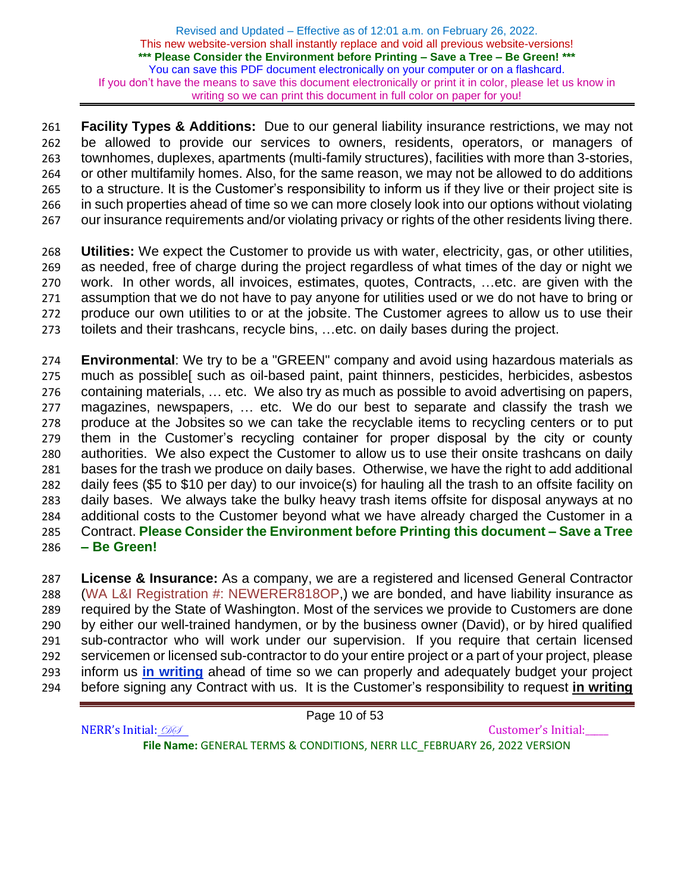**Facility Types & Additions:** Due to our general liability insurance restrictions, we may not be allowed to provide our services to owners, residents, operators, or managers of townhomes, duplexes, apartments (multi-family structures), facilities with more than 3-stories, or other multifamily homes. Also, for the same reason, we may not be allowed to do additions to a structure. It is the Customer's responsibility to inform us if they live or their project site is in such properties ahead of time so we can more closely look into our options without violating our insurance requirements and/or violating privacy or rights of the other residents living there.

 **Utilities:** We expect the Customer to provide us with water, electricity, gas, or other utilities, as needed, free of charge during the project regardless of what times of the day or night we work. In other words, all invoices, estimates, quotes, Contracts, …etc. are given with the assumption that we do not have to pay anyone for utilities used or we do not have to bring or produce our own utilities to or at the jobsite. The Customer agrees to allow us to use their toilets and their trashcans, recycle bins, …etc. on daily bases during the project.

 **Environmental**: We try to be a "GREEN" company and avoid using hazardous materials as much as possible[ such as oil-based paint, paint thinners, pesticides, herbicides, asbestos containing materials, … etc. We also try as much as possible to avoid advertising on papers, magazines, newspapers, … etc. We do our best to separate and classify the trash we produce at the Jobsites so we can take the recyclable items to recycling centers or to put them in the Customer's recycling container for proper disposal by the city or county authorities. We also expect the Customer to allow us to use their onsite trashcans on daily bases for the trash we produce on daily bases. Otherwise, we have the right to add additional daily fees (\$5 to \$10 per day) to our invoice(s) for hauling all the trash to an offsite facility on daily bases. We always take the bulky heavy trash items offsite for disposal anyways at no additional costs to the Customer beyond what we have already charged the Customer in a Contract. **Please Consider the Environment before Printing this document – Save a Tree – Be Green!**

 **License & Insurance:** As a company, we are a registered and licensed General Contractor (WA L&I Registration #: NEWERER818OP,) we are bonded, and have liability insurance as required by the State of Washington. Most of the services we provide to Customers are done by either our well-trained handymen, or by the business owner (David), or by hired qualified sub-contractor who will work under our supervision. If you require that certain licensed servicemen or licensed sub-contractor to do your entire project or a part of your project, please inform us **in writing** ahead of time so we can properly and adequately budget your project before signing any Contract with us. It is the Customer's responsibility to request **in writing**

Page 10 of 53

NERR's Initial:  $\mathcal{D} \mathcal{D}$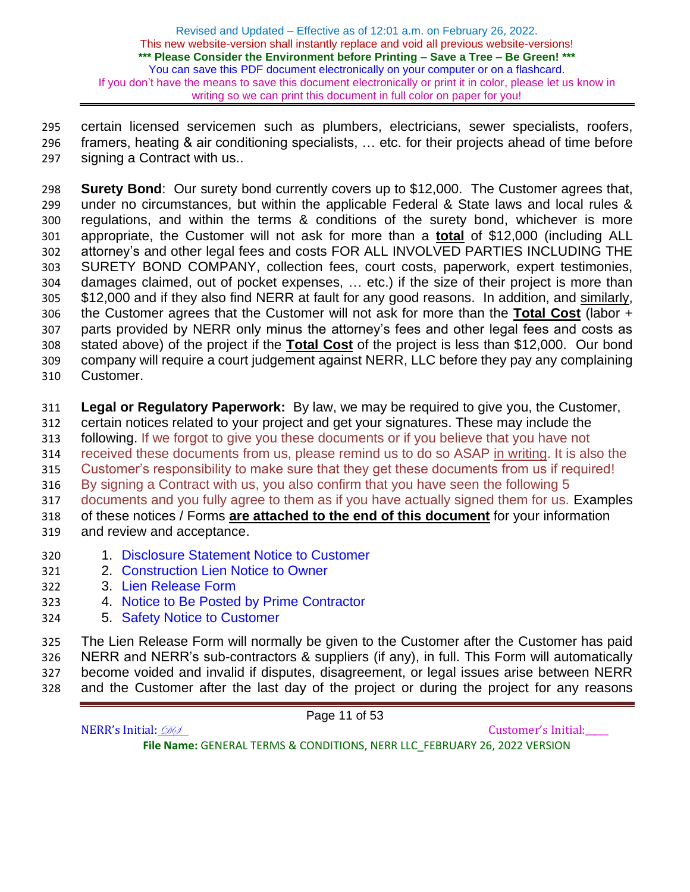certain licensed servicemen such as plumbers, electricians, sewer specialists, roofers, framers, heating & air conditioning specialists, … etc. for their projects ahead of time before signing a Contract with us..

 **Surety Bond**: Our surety bond currently covers up to \$12,000. The Customer agrees that, under no circumstances, but within the applicable Federal & State laws and local rules & regulations, and within the terms & conditions of the surety bond, whichever is more appropriate, the Customer will not ask for more than a **total** of \$12,000 (including ALL attorney's and other legal fees and costs FOR ALL INVOLVED PARTIES INCLUDING THE SURETY BOND COMPANY, collection fees, court costs, paperwork, expert testimonies, damages claimed, out of pocket expenses, … etc.) if the size of their project is more than \$12,000 and if they also find NERR at fault for any good reasons. In addition, and similarly, the Customer agrees that the Customer will not ask for more than the **Total Cost** (labor + parts provided by NERR only minus the attorney's fees and other legal fees and costs as stated above) of the project if the **Total Cost** of the project is less than \$12,000. Our bond company will require a court judgement against NERR, LLC before they pay any complaining Customer.

**Legal or Regulatory Paperwork:** By law, we may be required to give you, the Customer,

certain notices related to your project and get your signatures. These may include the

following. If we forgot to give you these documents or if you believe that you have not

received these documents from us, please remind us to do so ASAP in writing. It is also the

Customer's responsibility to make sure that they get these documents from us if required!

By signing a Contract with us, you also confirm that you have seen the following 5

documents and you fully agree to them as if you have actually signed them for us. Examples

 of these notices / Forms **are attached to the end of this document** for your information and review and acceptance.

- 1. Disclosure Statement Notice to Customer
- 2. Construction Lien Notice to Owner
- 3. Lien Release Form
- 4. Notice to Be Posted by Prime Contractor
- 5. Safety Notice to Customer

 The Lien Release Form will normally be given to the Customer after the Customer has paid NERR and NERR's sub-contractors & suppliers (if any), in full. This Form will automatically become voided and invalid if disputes, disagreement, or legal issues arise between NERR

and the Customer after the last day of the project or during the project for any reasons

Page 11 of 53 NERR's Initial:  $\mathcal{D} \mathcal{D}$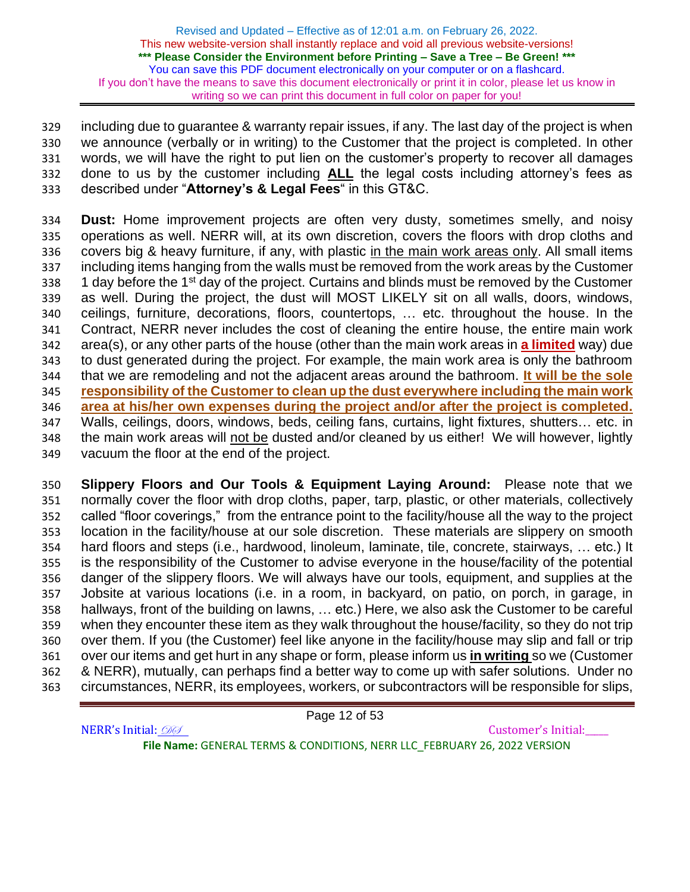including due to guarantee & warranty repair issues, if any. The last day of the project is when we announce (verbally or in writing) to the Customer that the project is completed. In other words, we will have the right to put lien on the customer's property to recover all damages done to us by the customer including **ALL** the legal costs including attorney's fees as described under "**Attorney's & Legal Fees**" in this GT&C.

 **Dust:** Home improvement projects are often very dusty, sometimes smelly, and noisy operations as well. NERR will, at its own discretion, covers the floors with drop cloths and 336 covers big & heavy furniture, if any, with plastic in the main work areas only. All small items including items hanging from the walls must be removed from the work areas by the Customer 338 1 day before the 1<sup>st</sup> day of the project. Curtains and blinds must be removed by the Customer as well. During the project, the dust will MOST LIKELY sit on all walls, doors, windows, ceilings, furniture, decorations, floors, countertops, … etc. throughout the house. In the Contract, NERR never includes the cost of cleaning the entire house, the entire main work area(s), or any other parts of the house (other than the main work areas in **a limited** way) due to dust generated during the project. For example, the main work area is only the bathroom that we are remodeling and not the adjacent areas around the bathroom. **It will be the sole responsibility of the Customer to clean up the dust everywhere including the main work area at his/her own expenses during the project and/or after the project is completed.** Walls, ceilings, doors, windows, beds, ceiling fans, curtains, light fixtures, shutters… etc. in the main work areas will not be dusted and/or cleaned by us either! We will however, lightly vacuum the floor at the end of the project.

 **Slippery Floors and Our Tools & Equipment Laying Around:** Please note that we normally cover the floor with drop cloths, paper, tarp, plastic, or other materials, collectively called "floor coverings," from the entrance point to the facility/house all the way to the project location in the facility/house at our sole discretion. These materials are slippery on smooth hard floors and steps (i.e., hardwood, linoleum, laminate, tile, concrete, stairways, … etc.) It is the responsibility of the Customer to advise everyone in the house/facility of the potential danger of the slippery floors. We will always have our tools, equipment, and supplies at the Jobsite at various locations (i.e. in a room, in backyard, on patio, on porch, in garage, in hallways, front of the building on lawns, … etc.) Here, we also ask the Customer to be careful when they encounter these item as they walk throughout the house/facility, so they do not trip over them. If you (the Customer) feel like anyone in the facility/house may slip and fall or trip over our items and get hurt in any shape or form, please inform us **in writing** so we (Customer & NERR), mutually, can perhaps find a better way to come up with safer solutions. Under no circumstances, NERR, its employees, workers, or subcontractors will be responsible for slips,

Page 12 of 53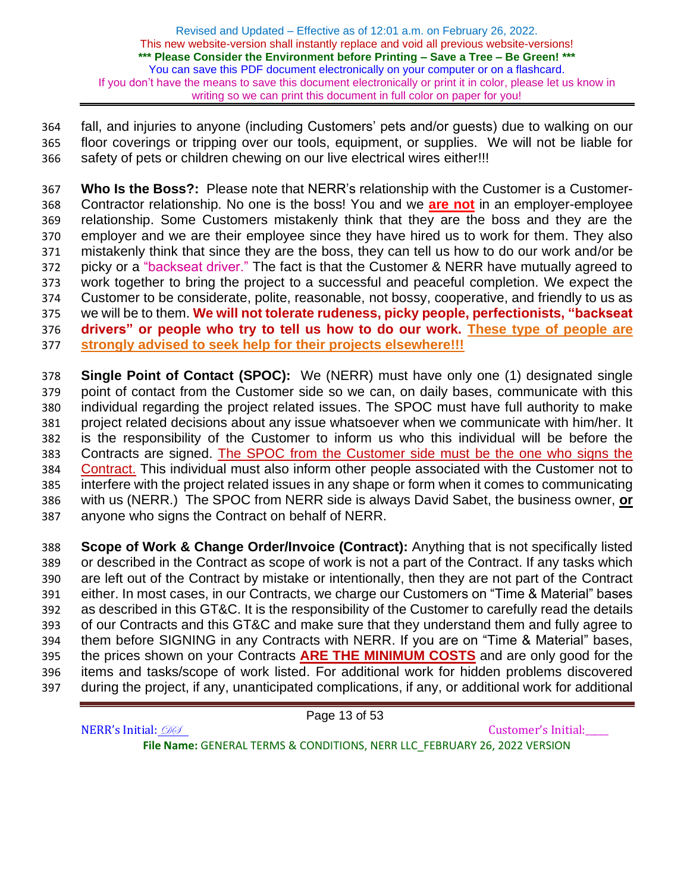fall, and injuries to anyone (including Customers' pets and/or guests) due to walking on our floor coverings or tripping over our tools, equipment, or supplies. We will not be liable for safety of pets or children chewing on our live electrical wires either!!!

 **Who Is the Boss?:** Please note that NERR's relationship with the Customer is a Customer- Contractor relationship. No one is the boss! You and we **are not** in an employer-employee relationship. Some Customers mistakenly think that they are the boss and they are the employer and we are their employee since they have hired us to work for them. They also mistakenly think that since they are the boss, they can tell us how to do our work and/or be picky or a "backseat driver." The fact is that the Customer & NERR have mutually agreed to work together to bring the project to a successful and peaceful completion. We expect the Customer to be considerate, polite, reasonable, not bossy, cooperative, and friendly to us as we will be to them. **We will not tolerate rudeness, picky people, perfectionists, "backseat drivers" or people who try to tell us how to do our work. These type of people are strongly advised to seek help for their projects elsewhere!!!** 

 **Single Point of Contact (SPOC):** We (NERR) must have only one (1) designated single point of contact from the Customer side so we can, on daily bases, communicate with this individual regarding the project related issues. The SPOC must have full authority to make project related decisions about any issue whatsoever when we communicate with him/her. It is the responsibility of the Customer to inform us who this individual will be before the Contracts are signed. The SPOC from the Customer side must be the one who signs the Contract. This individual must also inform other people associated with the Customer not to interfere with the project related issues in any shape or form when it comes to communicating with us (NERR.) The SPOC from NERR side is always David Sabet, the business owner, **or** anyone who signs the Contract on behalf of NERR.

 **Scope of Work & Change Order/Invoice (Contract):** Anything that is not specifically listed or described in the Contract as scope of work is not a part of the Contract. If any tasks which are left out of the Contract by mistake or intentionally, then they are not part of the Contract either. In most cases, in our Contracts, we charge our Customers on "Time & Material" bases as described in this GT&C. It is the responsibility of the Customer to carefully read the details of our Contracts and this GT&C and make sure that they understand them and fully agree to them before SIGNING in any Contracts with NERR. If you are on "Time & Material" bases, the prices shown on your Contracts **ARE THE MINIMUM COSTS** and are only good for the items and tasks/scope of work listed. For additional work for hidden problems discovered during the project, if any, unanticipated complications, if any, or additional work for additional

Page 13 of 53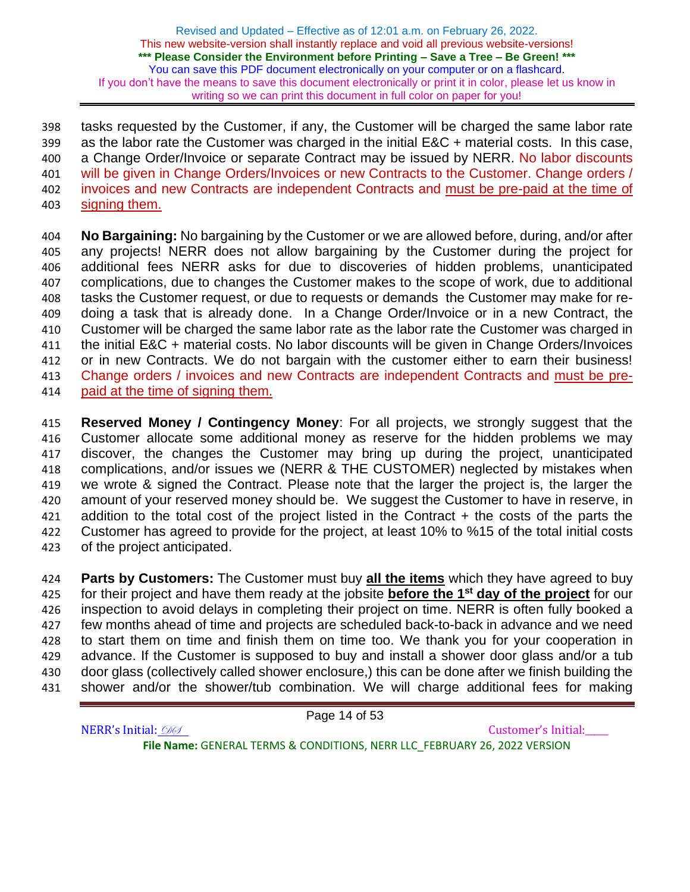tasks requested by the Customer, if any, the Customer will be charged the same labor rate as the labor rate the Customer was charged in the initial E&C + material costs. In this case, a Change Order/Invoice or separate Contract may be issued by NERR. No labor discounts 401 will be given in Change Orders/Invoices or new Contracts to the Customer. Change orders / invoices and new Contracts are independent Contracts and must be pre-paid at the time of signing them.

 **No Bargaining:** No bargaining by the Customer or we are allowed before, during, and/or after any projects! NERR does not allow bargaining by the Customer during the project for additional fees NERR asks for due to discoveries of hidden problems, unanticipated complications, due to changes the Customer makes to the scope of work, due to additional tasks the Customer request, or due to requests or demands the Customer may make for re- doing a task that is already done. In a Change Order/Invoice or in a new Contract, the Customer will be charged the same labor rate as the labor rate the Customer was charged in the initial E&C + material costs. No labor discounts will be given in Change Orders/Invoices or in new Contracts. We do not bargain with the customer either to earn their business! 413 Change orders / invoices and new Contracts are independent Contracts and must be pre-paid at the time of signing them.

 **Reserved Money / Contingency Money**: For all projects, we strongly suggest that the Customer allocate some additional money as reserve for the hidden problems we may discover, the changes the Customer may bring up during the project, unanticipated complications, and/or issues we (NERR & THE CUSTOMER) neglected by mistakes when we wrote & signed the Contract. Please note that the larger the project is, the larger the amount of your reserved money should be. We suggest the Customer to have in reserve, in addition to the total cost of the project listed in the Contract + the costs of the parts the Customer has agreed to provide for the project, at least 10% to %15 of the total initial costs of the project anticipated.

 **Parts by Customers:** The Customer must buy **all the items** which they have agreed to buy for their project and have them ready at the jobsite **before the 1st day of the project** for our inspection to avoid delays in completing their project on time. NERR is often fully booked a few months ahead of time and projects are scheduled back-to-back in advance and we need to start them on time and finish them on time too. We thank you for your cooperation in advance. If the Customer is supposed to buy and install a shower door glass and/or a tub door glass (collectively called shower enclosure,) this can be done after we finish building the shower and/or the shower/tub combination. We will charge additional fees for making

Page 14 of 53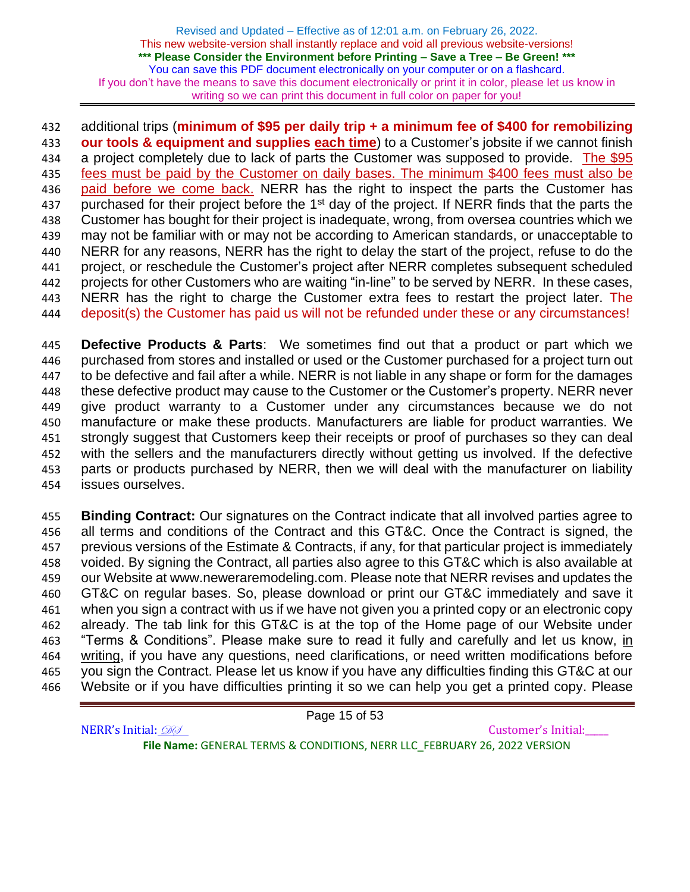## additional trips (**minimum of \$95 per daily trip + a minimum fee of \$400 for remobilizing**

 **our tools & equipment and supplies each time**) to a Customer's jobsite if we cannot finish 434 a project completely due to lack of parts the Customer was supposed to provide. The \$95 fees must be paid by the Customer on daily bases. The minimum \$400 fees must also be 436 paid before we come back. NERR has the right to inspect the parts the Customer has 437 purchased for their project before the  $1<sup>st</sup>$  day of the project. If NERR finds that the parts the Customer has bought for their project is inadequate, wrong, from oversea countries which we may not be familiar with or may not be according to American standards, or unacceptable to NERR for any reasons, NERR has the right to delay the start of the project, refuse to do the project, or reschedule the Customer's project after NERR completes subsequent scheduled projects for other Customers who are waiting "in-line" to be served by NERR. In these cases, NERR has the right to charge the Customer extra fees to restart the project later. The deposit(s) the Customer has paid us will not be refunded under these or any circumstances!

 **Defective Products & Parts**: We sometimes find out that a product or part which we purchased from stores and installed or used or the Customer purchased for a project turn out to be defective and fail after a while. NERR is not liable in any shape or form for the damages these defective product may cause to the Customer or the Customer's property. NERR never give product warranty to a Customer under any circumstances because we do not manufacture or make these products. Manufacturers are liable for product warranties. We strongly suggest that Customers keep their receipts or proof of purchases so they can deal with the sellers and the manufacturers directly without getting us involved. If the defective parts or products purchased by NERR, then we will deal with the manufacturer on liability issues ourselves.

 **Binding Contract:** Our signatures on the Contract indicate that all involved parties agree to all terms and conditions of the Contract and this GT&C. Once the Contract is signed, the previous versions of the Estimate & Contracts, if any, for that particular project is immediately voided. By signing the Contract, all parties also agree to this GT&C which is also available at our Website at www.neweraremodeling.com. Please note that NERR revises and updates the GT&C on regular bases. So, please download or print our GT&C immediately and save it when you sign a contract with us if we have not given you a printed copy or an electronic copy already. The tab link for this GT&C is at the top of the Home page of our Website under "Terms & Conditions". Please make sure to read it fully and carefully and let us know, in writing, if you have any questions, need clarifications, or need written modifications before you sign the Contract. Please let us know if you have any difficulties finding this GT&C at our Website or if you have difficulties printing it so we can help you get a printed copy. Please

Page 15 of 53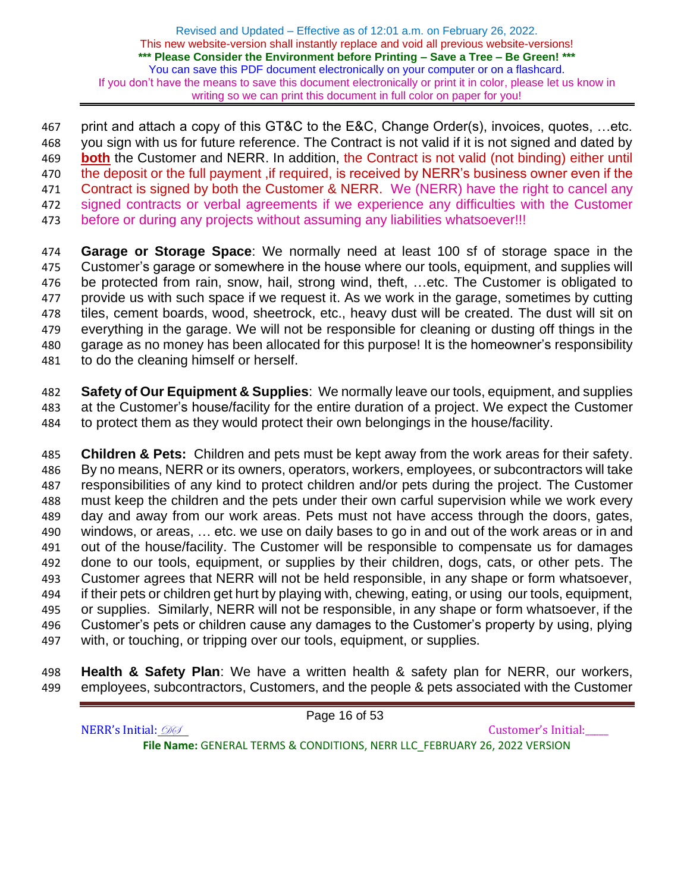print and attach a copy of this GT&C to the E&C, Change Order(s), invoices, quotes, …etc. you sign with us for future reference. The Contract is not valid if it is not signed and dated by **both** the Customer and NERR. In addition, the Contract is not valid (not binding) either until 470 the deposit or the full payment, if required, is received by NERR's business owner even if the 471 Contract is signed by both the Customer & NERR. We (NERR) have the right to cancel any signed contracts or verbal agreements if we experience any difficulties with the Customer before or during any projects without assuming any liabilities whatsoever!!!

 **Garage or Storage Space**: We normally need at least 100 sf of storage space in the Customer's garage or somewhere in the house where our tools, equipment, and supplies will be protected from rain, snow, hail, strong wind, theft, …etc. The Customer is obligated to provide us with such space if we request it. As we work in the garage, sometimes by cutting tiles, cement boards, wood, sheetrock, etc., heavy dust will be created. The dust will sit on everything in the garage. We will not be responsible for cleaning or dusting off things in the garage as no money has been allocated for this purpose! It is the homeowner's responsibility to do the cleaning himself or herself.

 **Safety of Our Equipment & Supplies**: We normally leave our tools, equipment, and supplies at the Customer's house/facility for the entire duration of a project. We expect the Customer to protect them as they would protect their own belongings in the house/facility.

 **Children & Pets:** Children and pets must be kept away from the work areas for their safety. By no means, NERR or its owners, operators, workers, employees, or subcontractors will take responsibilities of any kind to protect children and/or pets during the project. The Customer must keep the children and the pets under their own carful supervision while we work every day and away from our work areas. Pets must not have access through the doors, gates, windows, or areas, … etc. we use on daily bases to go in and out of the work areas or in and out of the house/facility. The Customer will be responsible to compensate us for damages done to our tools, equipment, or supplies by their children, dogs, cats, or other pets. The Customer agrees that NERR will not be held responsible, in any shape or form whatsoever, if their pets or children get hurt by playing with, chewing, eating, or using our tools, equipment, or supplies. Similarly, NERR will not be responsible, in any shape or form whatsoever, if the Customer's pets or children cause any damages to the Customer's property by using, plying with, or touching, or tripping over our tools, equipment, or supplies.

 **Health & Safety Plan**: We have a written health & safety plan for NERR, our workers, employees, subcontractors, Customers, and the people & pets associated with the Customer

| Page 16 of 53                                                             |                     |
|---------------------------------------------------------------------------|---------------------|
| NERR's Initial: 200                                                       | Customer's Initial: |
| File Name: GENERAL TERMS & CONDITIONS, NERR LLC FEBRUARY 26, 2022 VERSION |                     |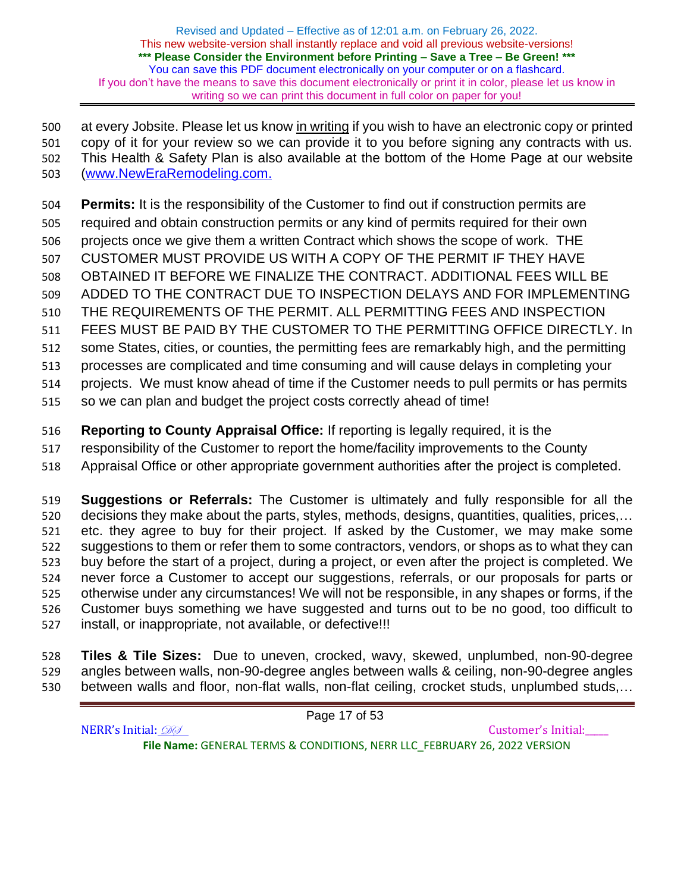at every Jobsite. Please let us know in writing if you wish to have an electronic copy or printed copy of it for your review so we can provide it to you before signing any contracts with us. This Health & Safety Plan is also available at the bottom of the Home Page at our website [\(www.NewEraRemodeling.com.](http://www.neweraremodeling.com/)

**Permits:** It is the responsibility of the Customer to find out if construction permits are

- required and obtain construction permits or any kind of permits required for their own
- projects once we give them a written Contract which shows the scope of work. THE
- CUSTOMER MUST PROVIDE US WITH A COPY OF THE PERMIT IF THEY HAVE
- OBTAINED IT BEFORE WE FINALIZE THE CONTRACT. ADDITIONAL FEES WILL BE
- ADDED TO THE CONTRACT DUE TO INSPECTION DELAYS AND FOR IMPLEMENTING
- THE REQUIREMENTS OF THE PERMIT. ALL PERMITTING FEES AND INSPECTION
- FEES MUST BE PAID BY THE CUSTOMER TO THE PERMITTING OFFICE DIRECTLY. In
- some States, cities, or counties, the permitting fees are remarkably high, and the permitting
- processes are complicated and time consuming and will cause delays in completing your
- projects. We must know ahead of time if the Customer needs to pull permits or has permits
- so we can plan and budget the project costs correctly ahead of time!
- **Reporting to County Appraisal Office:** If reporting is legally required, it is the
- responsibility of the Customer to report the home/facility improvements to the County
- Appraisal Office or other appropriate government authorities after the project is completed.

 **Suggestions or Referrals:** The Customer is ultimately and fully responsible for all the decisions they make about the parts, styles, methods, designs, quantities, qualities, prices,… etc. they agree to buy for their project. If asked by the Customer, we may make some suggestions to them or refer them to some contractors, vendors, or shops as to what they can buy before the start of a project, during a project, or even after the project is completed. We never force a Customer to accept our suggestions, referrals, or our proposals for parts or otherwise under any circumstances! We will not be responsible, in any shapes or forms, if the Customer buys something we have suggested and turns out to be no good, too difficult to install, or inappropriate, not available, or defective!!!

 **Tiles & Tile Sizes:** Due to uneven, crocked, wavy, skewed, unplumbed, non-90-degree angles between walls, non-90-degree angles between walls & ceiling, non-90-degree angles between walls and floor, non-flat walls, non-flat ceiling, crocket studs, unplumbed studs,…

NERR's Initial:  $\mathcal{D} \mathcal{D}$ **File Name:** GENERAL TERMS & CONDITIONS, NERR LLC\_FEBRUARY 26, 2022 VERSION

Page 17 of 53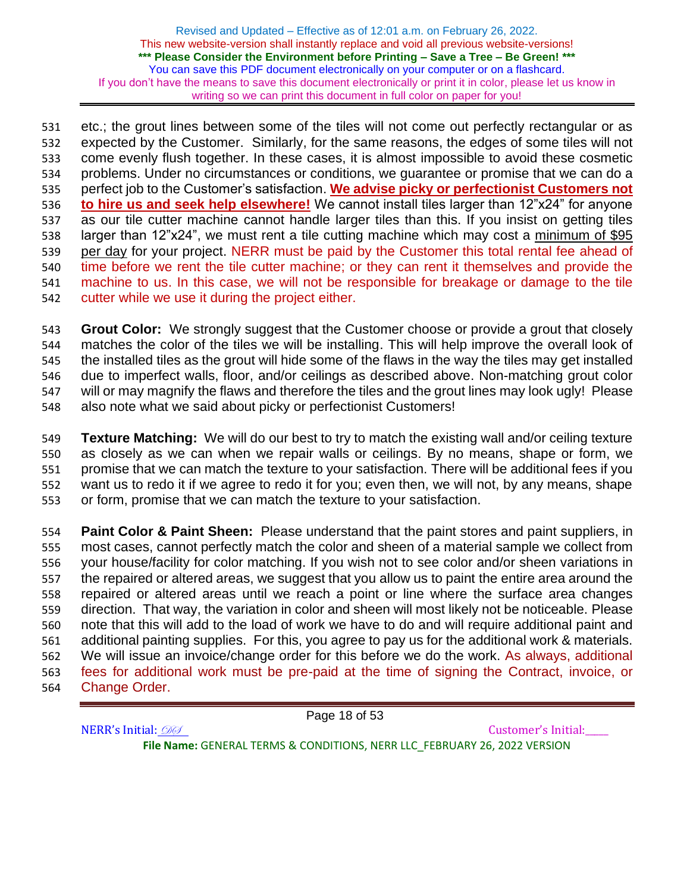etc.; the grout lines between some of the tiles will not come out perfectly rectangular or as expected by the Customer. Similarly, for the same reasons, the edges of some tiles will not come evenly flush together. In these cases, it is almost impossible to avoid these cosmetic problems. Under no circumstances or conditions, we guarantee or promise that we can do a perfect job to the Customer's satisfaction. **We advise picky or perfectionist Customers not to hire us and seek help elsewhere!** We cannot install tiles larger than 12"x24" for anyone as our tile cutter machine cannot handle larger tiles than this. If you insist on getting tiles larger than 12"x24", we must rent a tile cutting machine which may cost a minimum of \$95 per day for your project. NERR must be paid by the Customer this total rental fee ahead of time before we rent the tile cutter machine; or they can rent it themselves and provide the machine to us. In this case, we will not be responsible for breakage or damage to the tile cutter while we use it during the project either.

 **Grout Color:** We strongly suggest that the Customer choose or provide a grout that closely matches the color of the tiles we will be installing. This will help improve the overall look of the installed tiles as the grout will hide some of the flaws in the way the tiles may get installed due to imperfect walls, floor, and/or ceilings as described above. Non-matching grout color will or may magnify the flaws and therefore the tiles and the grout lines may look ugly! Please also note what we said about picky or perfectionist Customers!

 **Texture Matching:** We will do our best to try to match the existing wall and/or ceiling texture as closely as we can when we repair walls or ceilings. By no means, shape or form, we promise that we can match the texture to your satisfaction. There will be additional fees if you want us to redo it if we agree to redo it for you; even then, we will not, by any means, shape or form, promise that we can match the texture to your satisfaction.

 **Paint Color & Paint Sheen:** Please understand that the paint stores and paint suppliers, in most cases, cannot perfectly match the color and sheen of a material sample we collect from your house/facility for color matching. If you wish not to see color and/or sheen variations in the repaired or altered areas, we suggest that you allow us to paint the entire area around the repaired or altered areas until we reach a point or line where the surface area changes direction. That way, the variation in color and sheen will most likely not be noticeable. Please note that this will add to the load of work we have to do and will require additional paint and additional painting supplies. For this, you agree to pay us for the additional work & materials. We will issue an invoice/change order for this before we do the work. As always, additional fees for additional work must be pre-paid at the time of signing the Contract, invoice, or Change Order.

Page 18 of 53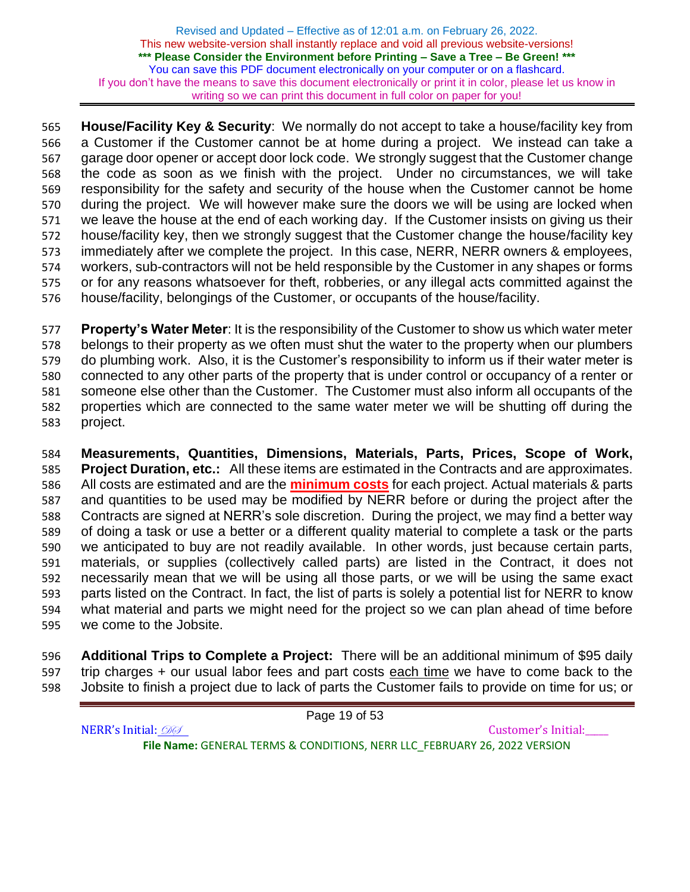**House/Facility Key & Security**: We normally do not accept to take a house/facility key from a Customer if the Customer cannot be at home during a project. We instead can take a garage door opener or accept door lock code. We strongly suggest that the Customer change the code as soon as we finish with the project. Under no circumstances, we will take responsibility for the safety and security of the house when the Customer cannot be home during the project. We will however make sure the doors we will be using are locked when we leave the house at the end of each working day. If the Customer insists on giving us their house/facility key, then we strongly suggest that the Customer change the house/facility key immediately after we complete the project. In this case, NERR, NERR owners & employees, workers, sub-contractors will not be held responsible by the Customer in any shapes or forms or for any reasons whatsoever for theft, robberies, or any illegal acts committed against the house/facility, belongings of the Customer, or occupants of the house/facility.

 **Property's Water Meter**: It is the responsibility of the Customer to show us which water meter belongs to their property as we often must shut the water to the property when our plumbers do plumbing work. Also, it is the Customer's responsibility to inform us if their water meter is connected to any other parts of the property that is under control or occupancy of a renter or someone else other than the Customer. The Customer must also inform all occupants of the properties which are connected to the same water meter we will be shutting off during the project.

 **Measurements, Quantities, Dimensions, Materials, Parts, Prices, Scope of Work, Project Duration, etc.:** All these items are estimated in the Contracts and are approximates. All costs are estimated and are the **minimum costs** for each project. Actual materials & parts and quantities to be used may be modified by NERR before or during the project after the Contracts are signed at NERR's sole discretion. During the project, we may find a better way of doing a task or use a better or a different quality material to complete a task or the parts we anticipated to buy are not readily available. In other words, just because certain parts, materials, or supplies (collectively called parts) are listed in the Contract, it does not necessarily mean that we will be using all those parts, or we will be using the same exact parts listed on the Contract. In fact, the list of parts is solely a potential list for NERR to know what material and parts we might need for the project so we can plan ahead of time before we come to the Jobsite.

 **Additional Trips to Complete a Project:** There will be an additional minimum of \$95 daily trip charges + our usual labor fees and part costs each time we have to come back to the Jobsite to finish a project due to lack of parts the Customer fails to provide on time for us; or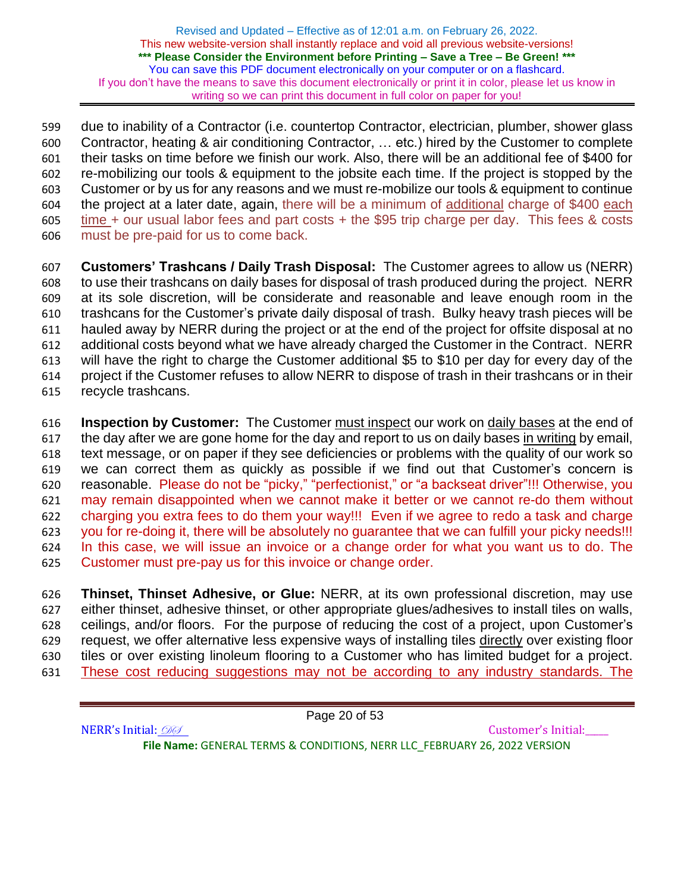due to inability of a Contractor (i.e. countertop Contractor, electrician, plumber, shower glass Contractor, heating & air conditioning Contractor, … etc.) hired by the Customer to complete their tasks on time before we finish our work. Also, there will be an additional fee of \$400 for re-mobilizing our tools & equipment to the jobsite each time. If the project is stopped by the Customer or by us for any reasons and we must re-mobilize our tools & equipment to continue the project at a later date, again, there will be a minimum of additional charge of \$400 each time + our usual labor fees and part costs + the \$95 trip charge per day. This fees & costs must be pre-paid for us to come back.

- **Customers' Trashcans / Daily Trash Disposal:** The Customer agrees to allow us (NERR) to use their trashcans on daily bases for disposal of trash produced during the project. NERR at its sole discretion, will be considerate and reasonable and leave enough room in the trashcans for the Customer's private daily disposal of trash. Bulky heavy trash pieces will be hauled away by NERR during the project or at the end of the project for offsite disposal at no additional costs beyond what we have already charged the Customer in the Contract. NERR will have the right to charge the Customer additional \$5 to \$10 per day for every day of the project if the Customer refuses to allow NERR to dispose of trash in their trashcans or in their recycle trashcans.
- **Inspection by Customer:** The Customer must inspect our work on daily bases at the end of the day after we are gone home for the day and report to us on daily bases in writing by email, text message, or on paper if they see deficiencies or problems with the quality of our work so we can correct them as quickly as possible if we find out that Customer's concern is reasonable. Please do not be "picky," "perfectionist," or "a backseat driver"!!! Otherwise, you may remain disappointed when we cannot make it better or we cannot re-do them without charging you extra fees to do them your way!!! Even if we agree to redo a task and charge you for re-doing it, there will be absolutely no guarantee that we can fulfill your picky needs!!! In this case, we will issue an invoice or a change order for what you want us to do. The Customer must pre-pay us for this invoice or change order.

 **Thinset, Thinset Adhesive, or Glue:** NERR, at its own professional discretion, may use either thinset, adhesive thinset, or other appropriate glues/adhesives to install tiles on walls, ceilings, and/or floors. For the purpose of reducing the cost of a project, upon Customer's request, we offer alternative less expensive ways of installing tiles directly over existing floor tiles or over existing linoleum flooring to a Customer who has limited budget for a project. These cost reducing suggestions may not be according to any industry standards. The

Page 20 of 53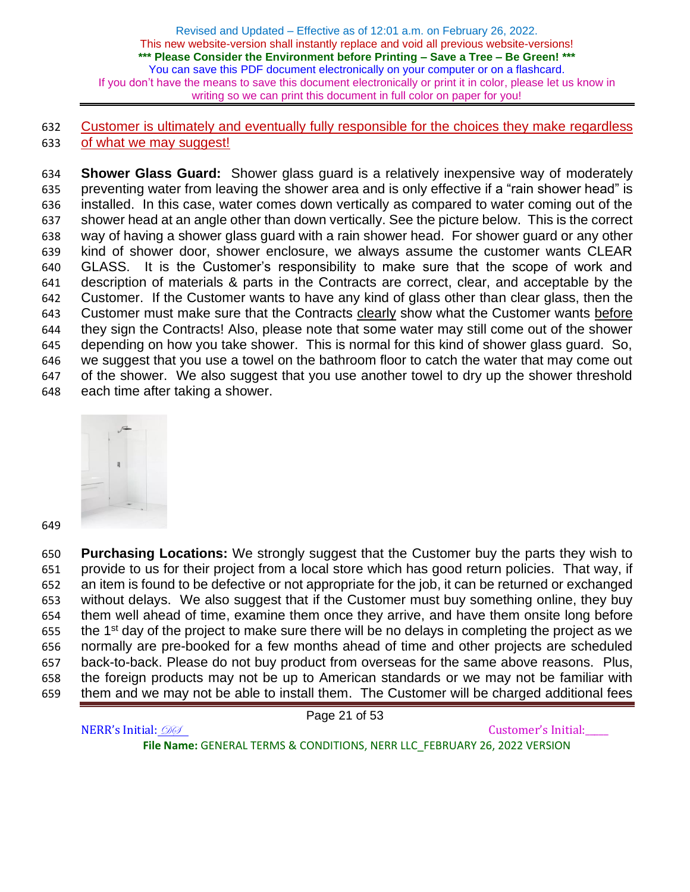Customer is ultimately and eventually fully responsible for the choices they make regardless 633 of what we may suggest!

 **Shower Glass Guard:** Shower glass guard is a relatively inexpensive way of moderately preventing water from leaving the shower area and is only effective if a "rain shower head" is installed. In this case, water comes down vertically as compared to water coming out of the shower head at an angle other than down vertically. See the picture below. This is the correct way of having a shower glass guard with a rain shower head. For shower guard or any other kind of shower door, shower enclosure, we always assume the customer wants CLEAR GLASS. It is the Customer's responsibility to make sure that the scope of work and description of materials & parts in the Contracts are correct, clear, and acceptable by the Customer. If the Customer wants to have any kind of glass other than clear glass, then the Customer must make sure that the Contracts clearly show what the Customer wants before they sign the Contracts! Also, please note that some water may still come out of the shower depending on how you take shower. This is normal for this kind of shower glass guard. So, we suggest that you use a towel on the bathroom floor to catch the water that may come out of the shower. We also suggest that you use another towel to dry up the shower threshold each time after taking a shower.



 **Purchasing Locations:** We strongly suggest that the Customer buy the parts they wish to provide to us for their project from a local store which has good return policies. That way, if an item is found to be defective or not appropriate for the job, it can be returned or exchanged without delays. We also suggest that if the Customer must buy something online, they buy them well ahead of time, examine them once they arrive, and have them onsite long before the 1<sup>st</sup> day of the project to make sure there will be no delays in completing the project as we normally are pre-booked for a few months ahead of time and other projects are scheduled back-to-back. Please do not buy product from overseas for the same above reasons. Plus, the foreign products may not be up to American standards or we may not be familiar with them and we may not be able to install them. The Customer will be charged additional fees

Page 21 of 53

NERR's Initial:  $\mathcal{D} \mathcal{D}$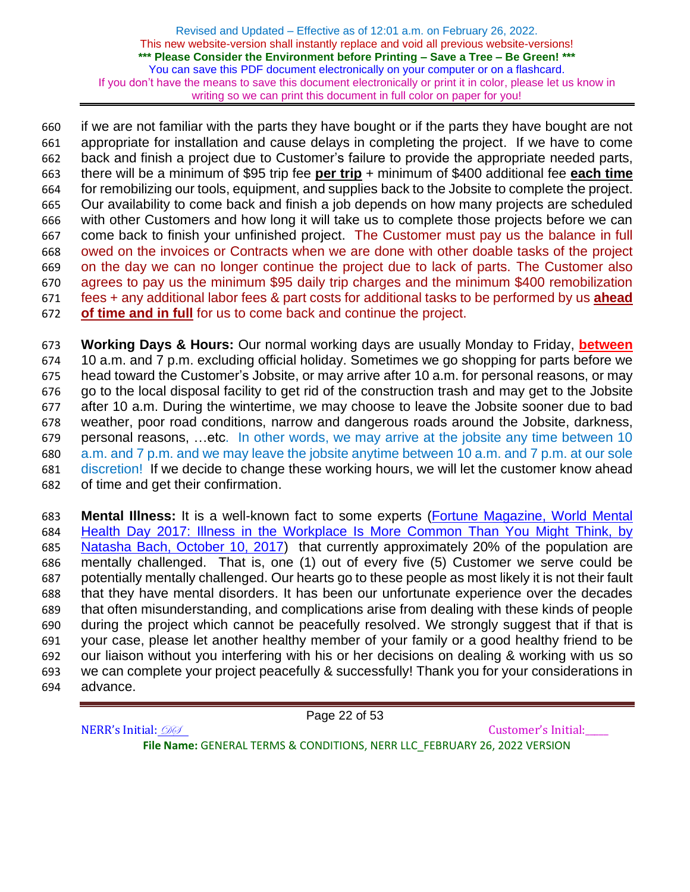if we are not familiar with the parts they have bought or if the parts they have bought are not appropriate for installation and cause delays in completing the project. If we have to come back and finish a project due to Customer's failure to provide the appropriate needed parts, there will be a minimum of \$95 trip fee **per trip** + minimum of \$400 additional fee **each time** for remobilizing our tools, equipment, and supplies back to the Jobsite to complete the project. Our availability to come back and finish a job depends on how many projects are scheduled with other Customers and how long it will take us to complete those projects before we can come back to finish your unfinished project. The Customer must pay us the balance in full owed on the invoices or Contracts when we are done with other doable tasks of the project on the day we can no longer continue the project due to lack of parts. The Customer also agrees to pay us the minimum \$95 daily trip charges and the minimum \$400 remobilization fees + any additional labor fees & part costs for additional tasks to be performed by us **ahead of time and in full** for us to come back and continue the project.

 **Working Days & Hours:** Our normal working days are usually Monday to Friday, **between** 10 a.m. and 7 p.m. excluding official holiday. Sometimes we go shopping for parts before we head toward the Customer's Jobsite, or may arrive after 10 a.m. for personal reasons, or may go to the local disposal facility to get rid of the construction trash and may get to the Jobsite after 10 a.m. During the wintertime, we may choose to leave the Jobsite sooner due to bad weather, poor road conditions, narrow and dangerous roads around the Jobsite, darkness, personal reasons, …etc. In other words, we may arrive at the jobsite any time between 10 a.m. and 7 p.m. and we may leave the jobsite anytime between 10 a.m. and 7 p.m. at our sole discretion! If we decide to change these working hours, we will let the customer know ahead of time and get their confirmation.

 **Mental Illness:** It is a well-known fact to some experts [\(Fortune Magazine, World Mental](https://fortune.com/2017/10/10/world-mental-health-day-2017-workplace-depression-anxiety/)  [Health Day 2017: Illness in the Workplace Is More Common Than You Might](https://fortune.com/2017/10/10/world-mental-health-day-2017-workplace-depression-anxiety/) Think, by [Natasha Bach, October 10, 2017\)](https://fortune.com/2017/10/10/world-mental-health-day-2017-workplace-depression-anxiety/) that currently approximately 20% of the population are mentally challenged. That is, one (1) out of every five (5) Customer we serve could be potentially mentally challenged. Our hearts go to these people as most likely it is not their fault that they have mental disorders. It has been our unfortunate experience over the decades that often misunderstanding, and complications arise from dealing with these kinds of people during the project which cannot be peacefully resolved. We strongly suggest that if that is your case, please let another healthy member of your family or a good healthy friend to be our liaison without you interfering with his or her decisions on dealing & working with us so we can complete your project peacefully & successfully! Thank you for your considerations in advance.

Page 22 of 53

NERR's Initial:  $\mathcal{D} \mathcal{D}$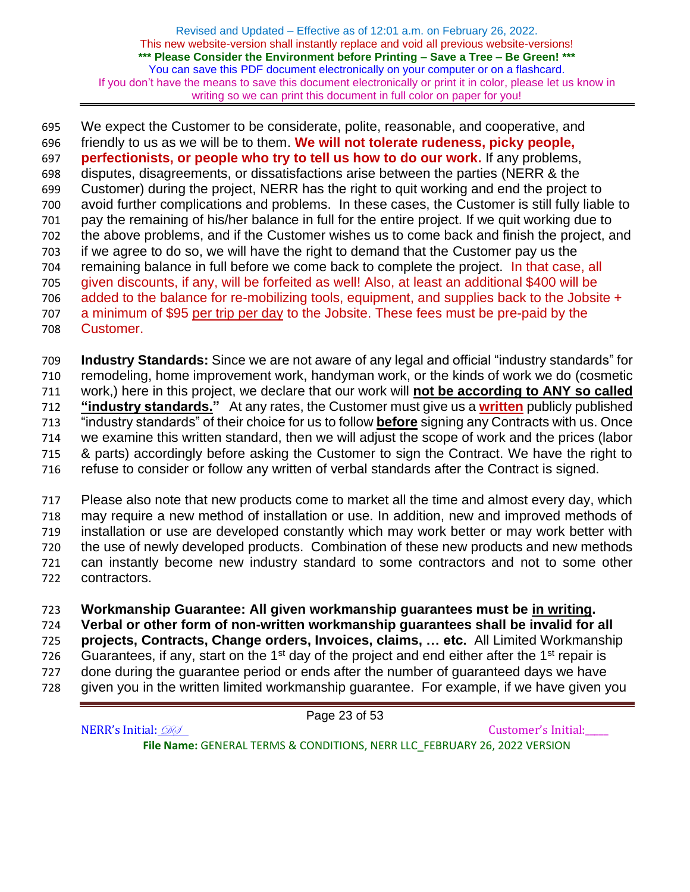We expect the Customer to be considerate, polite, reasonable, and cooperative, and friendly to us as we will be to them. **We will not tolerate rudeness, picky people, perfectionists, or people who try to tell us how to do our work.** If any problems, disputes, disagreements, or dissatisfactions arise between the parties (NERR & the Customer) during the project, NERR has the right to quit working and end the project to avoid further complications and problems. In these cases, the Customer is still fully liable to pay the remaining of his/her balance in full for the entire project. If we quit working due to the above problems, and if the Customer wishes us to come back and finish the project, and if we agree to do so, we will have the right to demand that the Customer pay us the remaining balance in full before we come back to complete the project. In that case, all given discounts, if any, will be forfeited as well! Also, at least an additional \$400 will be added to the balance for re-mobilizing tools, equipment, and supplies back to the Jobsite + a minimum of \$95 per trip per day to the Jobsite. These fees must be pre-paid by the Customer.

 **Industry Standards:** Since we are not aware of any legal and official "industry standards" for remodeling, home improvement work, handyman work, or the kinds of work we do (cosmetic work,) here in this project, we declare that our work will **not be according to ANY so called "industry standards."** At any rates, the Customer must give us a **written** publicly published "industry standards" of their choice for us to follow **before** signing any Contracts with us. Once we examine this written standard, then we will adjust the scope of work and the prices (labor & parts) accordingly before asking the Customer to sign the Contract. We have the right to refuse to consider or follow any written of verbal standards after the Contract is signed.

 Please also note that new products come to market all the time and almost every day, which may require a new method of installation or use. In addition, new and improved methods of installation or use are developed constantly which may work better or may work better with the use of newly developed products. Combination of these new products and new methods can instantly become new industry standard to some contractors and not to some other contractors.

# **Workmanship Guarantee: All given workmanship guarantees must be in writing.**

**Verbal or other form of non-written workmanship guarantees shall be invalid for all** 

 **projects, Contracts, Change orders, Invoices, claims, … etc.** All Limited Workmanship 726 Guarantees, if any, start on the 1<sup>st</sup> day of the project and end either after the 1<sup>st</sup> repair is

- done during the guarantee period or ends after the number of guaranteed days we have
- given you in the written limited workmanship guarantee. For example, if we have given you

Page 23 of 53

NERR's Initial: 000 **File Name:** GENERAL TERMS & CONDITIONS, NERR LLC\_FEBRUARY 26, 2022 VERSION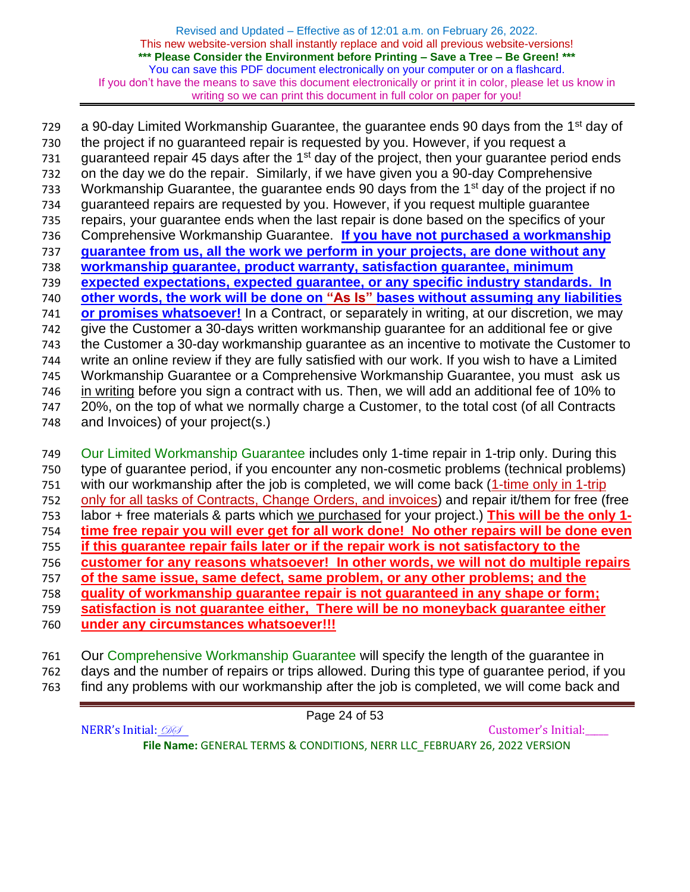a 90-day Limited Workmanship Guarantee, the guarantee ends 90 days from the 1<sup>st</sup> day of the project if no guaranteed repair is requested by you. However, if you request a guaranteed repair 45 days after the 1<sup>st</sup> day of the project, then your guarantee period ends on the day we do the repair. Similarly, if we have given you a 90-day Comprehensive 733 Workmanship Guarantee, the quarantee ends 90 days from the  $1<sup>st</sup>$  day of the project if no guaranteed repairs are requested by you. However, if you request multiple guarantee repairs, your guarantee ends when the last repair is done based on the specifics of your Comprehensive Workmanship Guarantee. **If you have not purchased a workmanship guarantee from us, all the work we perform in your projects, are done without any workmanship guarantee, product warranty, satisfaction guarantee, minimum expected expectations, expected guarantee, or any specific industry standards. In other words, the work will be done on "As Is" bases without assuming any liabilities or promises whatsoever!** In a Contract, or separately in writing, at our discretion, we may give the Customer a 30-days written workmanship guarantee for an additional fee or give the Customer a 30-day workmanship guarantee as an incentive to motivate the Customer to write an online review if they are fully satisfied with our work. If you wish to have a Limited Workmanship Guarantee or a Comprehensive Workmanship Guarantee, you must ask us in writing before you sign a contract with us. Then, we will add an additional fee of 10% to 20%, on the top of what we normally charge a Customer, to the total cost (of all Contracts and Invoices) of your project(s.) 749 Our Limited Workmanship Guarantee includes only 1-time repair in 1-trip only. During this

- type of guarantee period, if you encounter any non-cosmetic problems (technical problems) 751 with our workmanship after the job is completed, we will come back (1-time only in 1-trip only for all tasks of Contracts, Change Orders, and invoices) and repair it/them for free (free labor + free materials & parts which we purchased for your project.) **This will be the only 1- time free repair you will ever get for all work done! No other repairs will be done even if this guarantee repair fails later or if the repair work is not satisfactory to the customer for any reasons whatsoever! In other words, we will not do multiple repairs of the same issue, same defect, same problem, or any other problems; and the quality of workmanship guarantee repair is not guaranteed in any shape or form; satisfaction is not guarantee either, There will be no moneyback guarantee either under any circumstances whatsoever!!!**
- Our Comprehensive Workmanship Guarantee will specify the length of the guarantee in days and the number of repairs or trips allowed. During this type of guarantee period, if you find any problems with our workmanship after the job is completed, we will come back and

Page 24 of 53 NERR's Initial: 000 **File Name:** GENERAL TERMS & CONDITIONS, NERR LLC\_FEBRUARY 26, 2022 VERSION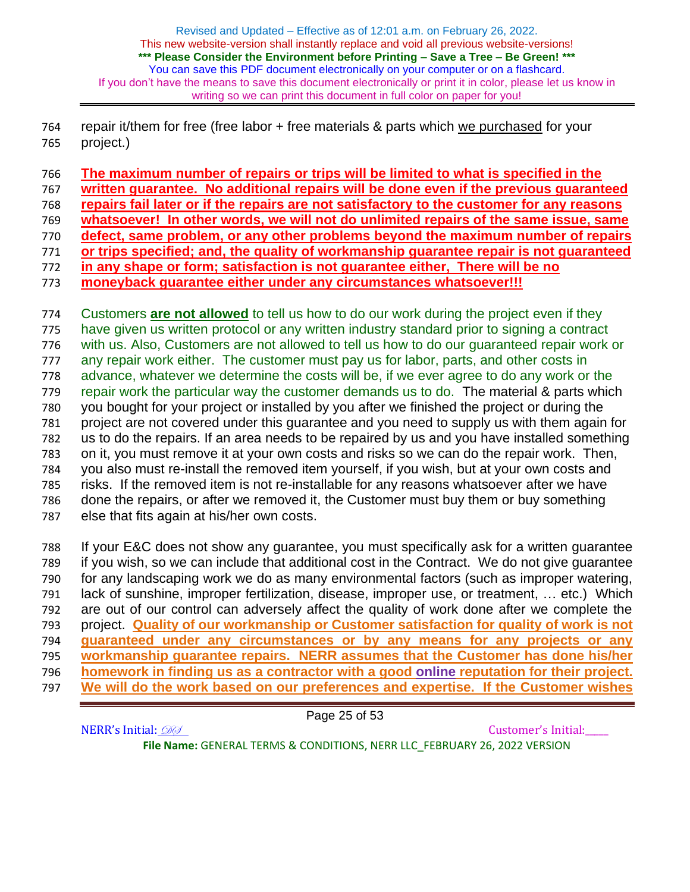repair it/them for free (free labor + free materials & parts which we purchased for your project.)

**The maximum number of repairs or trips will be limited to what is specified in the** 

**written guarantee. No additional repairs will be done even if the previous guaranteed**

**repairs fail later or if the repairs are not satisfactory to the customer for any reasons** 

- **whatsoever! In other words, we will not do unlimited repairs of the same issue, same**
- **defect, same problem, or any other problems beyond the maximum number of repairs**
- **or trips specified; and, the quality of workmanship guarantee repair is not guaranteed**
- **in any shape or form; satisfaction is not guarantee either, There will be no**
- **moneyback guarantee either under any circumstances whatsoever!!!**

 Customers **are not allowed** to tell us how to do our work during the project even if they have given us written protocol or any written industry standard prior to signing a contract with us. Also, Customers are not allowed to tell us how to do our guaranteed repair work or any repair work either. The customer must pay us for labor, parts, and other costs in advance, whatever we determine the costs will be, if we ever agree to do any work or the repair work the particular way the customer demands us to do. The material & parts which you bought for your project or installed by you after we finished the project or during the project are not covered under this guarantee and you need to supply us with them again for us to do the repairs. If an area needs to be repaired by us and you have installed something on it, you must remove it at your own costs and risks so we can do the repair work. Then, you also must re-install the removed item yourself, if you wish, but at your own costs and risks. If the removed item is not re-installable for any reasons whatsoever after we have done the repairs, or after we removed it, the Customer must buy them or buy something else that fits again at his/her own costs. If your E&C does not show any guarantee, you must specifically ask for a written guarantee

 if you wish, so we can include that additional cost in the Contract. We do not give guarantee for any landscaping work we do as many environmental factors (such as improper watering, lack of sunshine, improper fertilization, disease, improper use, or treatment, … etc.) Which are out of our control can adversely affect the quality of work done after we complete the project. **Quality of our workmanship or Customer satisfaction for quality of work is not guaranteed under any circumstances or by any means for any projects or any workmanship guarantee repairs. NERR assumes that the Customer has done his/her homework in finding us as a contractor with a good online reputation for their project. We will do the work based on our preferences and expertise. If the Customer wishes** 

Page 25 of 53

NERR's Initial:  $\mathcal{D} \mathcal{D}$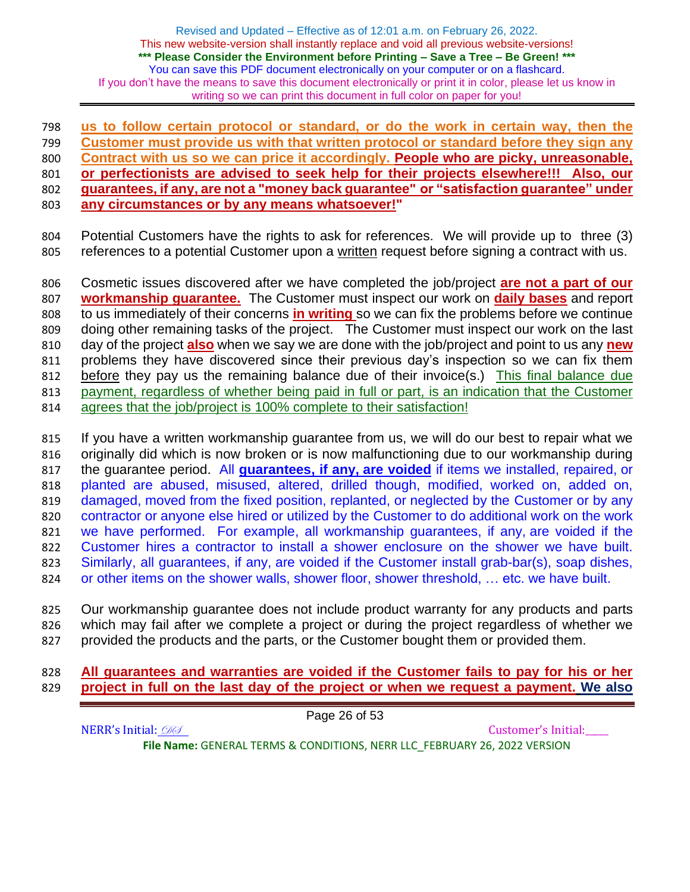**us to follow certain protocol or standard, or do the work in certain way, then the Customer must provide us with that written protocol or standard before they sign any Contract with us so we can price it accordingly. People who are picky, unreasonable, or perfectionists are advised to seek help for their projects elsewhere!!! Also, our guarantees, if any, are not a "money back guarantee" or "satisfaction guarantee" under any circumstances or by any means whatsoever!"**

 Potential Customers have the rights to ask for references. We will provide up to three (3) 805 references to a potential Customer upon a written request before signing a contract with us.

 Cosmetic issues discovered after we have completed the job/project **are not a part of our workmanship guarantee.** The Customer must inspect our work on **daily bases** and report to us immediately of their concerns **in writing** so we can fix the problems before we continue doing other remaining tasks of the project. The Customer must inspect our work on the last day of the project **also** when we say we are done with the job/project and point to us any **new** problems they have discovered since their previous day's inspection so we can fix them before they pay us the remaining balance due of their invoice(s.) This final balance due payment, regardless of whether being paid in full or part, is an indication that the Customer agrees that the job/project is 100% complete to their satisfaction!

 If you have a written workmanship guarantee from us, we will do our best to repair what we originally did which is now broken or is now malfunctioning due to our workmanship during the guarantee period. All **guarantees, if any, are voided** if items we installed, repaired, or planted are abused, misused, altered, drilled though, modified, worked on, added on, 819 damaged, moved from the fixed position, replanted, or neglected by the Customer or by any contractor or anyone else hired or utilized by the Customer to do additional work on the work we have performed. For example, all workmanship guarantees, if any, are voided if the Customer hires a contractor to install a shower enclosure on the shower we have built. Similarly, all guarantees, if any, are voided if the Customer install grab-bar(s), soap dishes, or other items on the shower walls, shower floor, shower threshold, … etc. we have built.

 Our workmanship guarantee does not include product warranty for any products and parts which may fail after we complete a project or during the project regardless of whether we provided the products and the parts, or the Customer bought them or provided them.

## **All guarantees and warranties are voided if the Customer fails to pay for his or her project in full on the last day of the project or when we request a payment. We also**

Page 26 of 53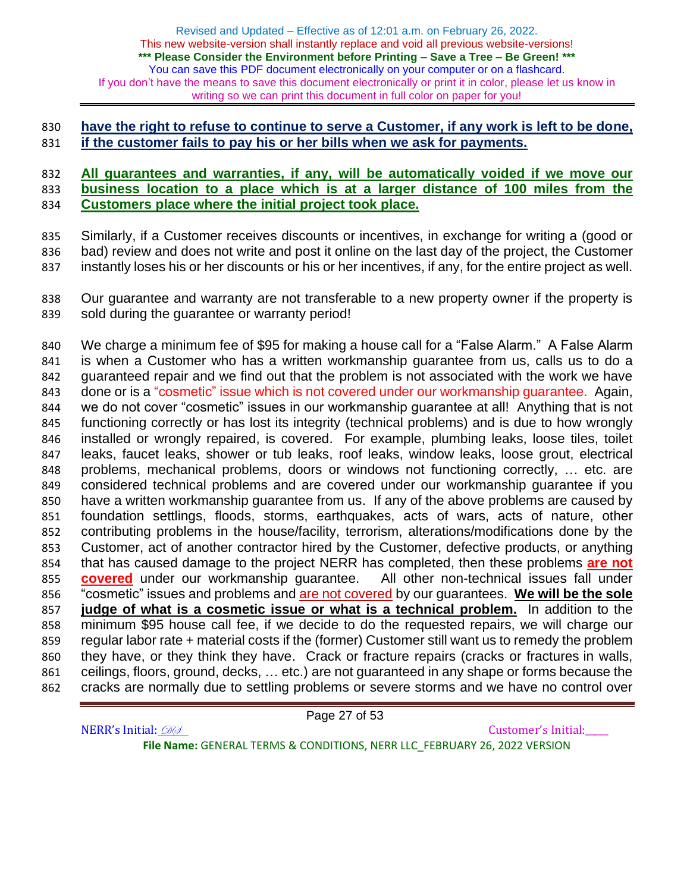### **have the right to refuse to continue to serve a Customer, if any work is left to be done, if the customer fails to pay his or her bills when we ask for payments.**

### **All guarantees and warranties, if any, will be automatically voided if we move our business location to a place which is at a larger distance of 100 miles from the Customers place where the initial project took place.**

 Similarly, if a Customer receives discounts or incentives, in exchange for writing a (good or bad) review and does not write and post it online on the last day of the project, the Customer instantly loses his or her discounts or his or her incentives, if any, for the entire project as well.

 Our guarantee and warranty are not transferable to a new property owner if the property is sold during the guarantee or warranty period!

 We charge a minimum fee of \$95 for making a house call for a "False Alarm." A False Alarm is when a Customer who has a written workmanship guarantee from us, calls us to do a guaranteed repair and we find out that the problem is not associated with the work we have done or is a "cosmetic" issue which is not covered under our workmanship guarantee. Again, we do not cover "cosmetic" issues in our workmanship guarantee at all! Anything that is not functioning correctly or has lost its integrity (technical problems) and is due to how wrongly installed or wrongly repaired, is covered. For example, plumbing leaks, loose tiles, toilet leaks, faucet leaks, shower or tub leaks, roof leaks, window leaks, loose grout, electrical problems, mechanical problems, doors or windows not functioning correctly, … etc. are considered technical problems and are covered under our workmanship guarantee if you have a written workmanship guarantee from us. If any of the above problems are caused by foundation settlings, floods, storms, earthquakes, acts of wars, acts of nature, other contributing problems in the house/facility, terrorism, alterations/modifications done by the 853 Customer, act of another contractor hired by the Customer, defective products, or anything that has caused damage to the project NERR has completed, then these problems **are not covered** under our workmanship guarantee. All other non-technical issues fall under "cosmetic" issues and problems and are not covered by our guarantees. **We will be the sole judge of what is a cosmetic issue or what is a technical problem.** In addition to the minimum \$95 house call fee, if we decide to do the requested repairs, we will charge our regular labor rate + material costs if the (former) Customer still want us to remedy the problem they have, or they think they have. Crack or fracture repairs (cracks or fractures in walls, ceilings, floors, ground, decks, … etc.) are not guaranteed in any shape or forms because the cracks are normally due to settling problems or severe storms and we have no control over

Page 27 of 53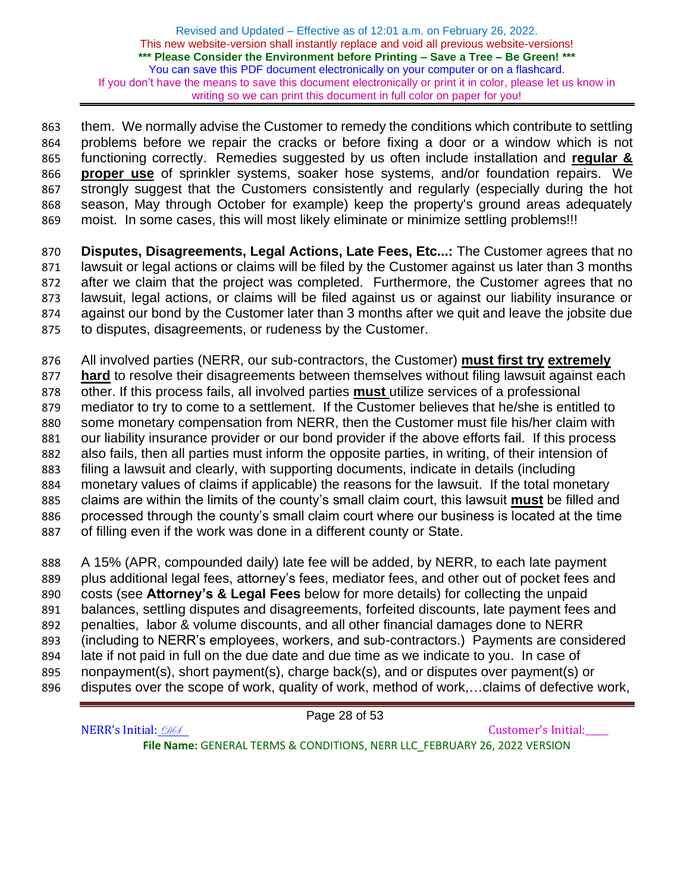863 them. We normally advise the Customer to remedy the conditions which contribute to settling problems before we repair the cracks or before fixing a door or a window which is not functioning correctly. Remedies suggested by us often include installation and **regular & proper use** of sprinkler systems, soaker hose systems, and/or foundation repairs. We strongly suggest that the Customers consistently and regularly (especially during the hot season, May through October for example) keep the property's ground areas adequately moist. In some cases, this will most likely eliminate or minimize settling problems!!!

 **Disputes, Disagreements, Legal Actions, Late Fees, Etc...:** The Customer agrees that no lawsuit or legal actions or claims will be filed by the Customer against us later than 3 months after we claim that the project was completed. Furthermore, the Customer agrees that no lawsuit, legal actions, or claims will be filed against us or against our liability insurance or against our bond by the Customer later than 3 months after we quit and leave the jobsite due to disputes, disagreements, or rudeness by the Customer.

 All involved parties (NERR, our sub-contractors, the Customer) **must first try extremely hard** to resolve their disagreements between themselves without filing lawsuit against each other. If this process fails, all involved parties **must** utilize services of a professional mediator to try to come to a settlement. If the Customer believes that he/she is entitled to some monetary compensation from NERR, then the Customer must file his/her claim with our liability insurance provider or our bond provider if the above efforts fail. If this process also fails, then all parties must inform the opposite parties, in writing, of their intension of filing a lawsuit and clearly, with supporting documents, indicate in details (including monetary values of claims if applicable) the reasons for the lawsuit. If the total monetary

 claims are within the limits of the county's small claim court, this lawsuit **must** be filled and processed through the county's small claim court where our business is located at the time

of filling even if the work was done in a different county or State.

 A 15% (APR, compounded daily) late fee will be added, by NERR, to each late payment plus additional legal fees, attorney's fees, mediator fees, and other out of pocket fees and costs (see **Attorney's & Legal Fees** below for more details) for collecting the unpaid balances, settling disputes and disagreements, forfeited discounts, late payment fees and penalties, labor & volume discounts, and all other financial damages done to NERR (including to NERR's employees, workers, and sub-contractors.) Payments are considered late if not paid in full on the due date and due time as we indicate to you. In case of nonpayment(s), short payment(s), charge back(s), and or disputes over payment(s) or 896 disputes over the scope of work, quality of work, method of work,...claims of defective work,

Page 28 of 53

NERR's Initial: 000 **File Name:** GENERAL TERMS & CONDITIONS, NERR LLC\_FEBRUARY 26, 2022 VERSION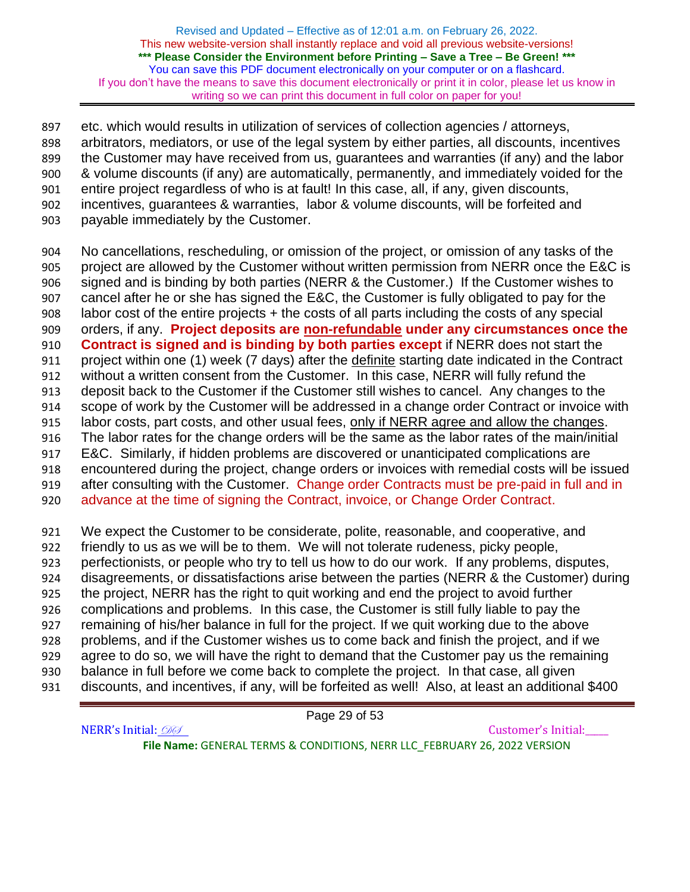etc. which would results in utilization of services of collection agencies / attorneys, arbitrators, mediators, or use of the legal system by either parties, all discounts, incentives the Customer may have received from us, guarantees and warranties (if any) and the labor & volume discounts (if any) are automatically, permanently, and immediately voided for the entire project regardless of who is at fault! In this case, all, if any, given discounts, incentives, guarantees & warranties, labor & volume discounts, will be forfeited and payable immediately by the Customer.

 No cancellations, rescheduling, or omission of the project, or omission of any tasks of the project are allowed by the Customer without written permission from NERR once the E&C is signed and is binding by both parties (NERR & the Customer.) If the Customer wishes to cancel after he or she has signed the E&C, the Customer is fully obligated to pay for the labor cost of the entire projects + the costs of all parts including the costs of any special orders, if any. **Project deposits are non-refundable under any circumstances once the Contract is signed and is binding by both parties except** if NERR does not start the project within one (1) week (7 days) after the definite starting date indicated in the Contract without a written consent from the Customer. In this case, NERR will fully refund the deposit back to the Customer if the Customer still wishes to cancel. Any changes to the scope of work by the Customer will be addressed in a change order Contract or invoice with labor costs, part costs, and other usual fees, only if NERR agree and allow the changes. The labor rates for the change orders will be the same as the labor rates of the main/initial E&C. Similarly, if hidden problems are discovered or unanticipated complications are encountered during the project, change orders or invoices with remedial costs will be issued after consulting with the Customer. Change order Contracts must be pre-paid in full and in advance at the time of signing the Contract, invoice, or Change Order Contract.

 We expect the Customer to be considerate, polite, reasonable, and cooperative, and friendly to us as we will be to them. We will not tolerate rudeness, picky people,

perfectionists, or people who try to tell us how to do our work. If any problems, disputes,

 disagreements, or dissatisfactions arise between the parties (NERR & the Customer) during the project, NERR has the right to quit working and end the project to avoid further

complications and problems. In this case, the Customer is still fully liable to pay the

remaining of his/her balance in full for the project. If we quit working due to the above

problems, and if the Customer wishes us to come back and finish the project, and if we

agree to do so, we will have the right to demand that the Customer pay us the remaining

balance in full before we come back to complete the project. In that case, all given

discounts, and incentives, if any, will be forfeited as well! Also, at least an additional \$400

Page 29 of 53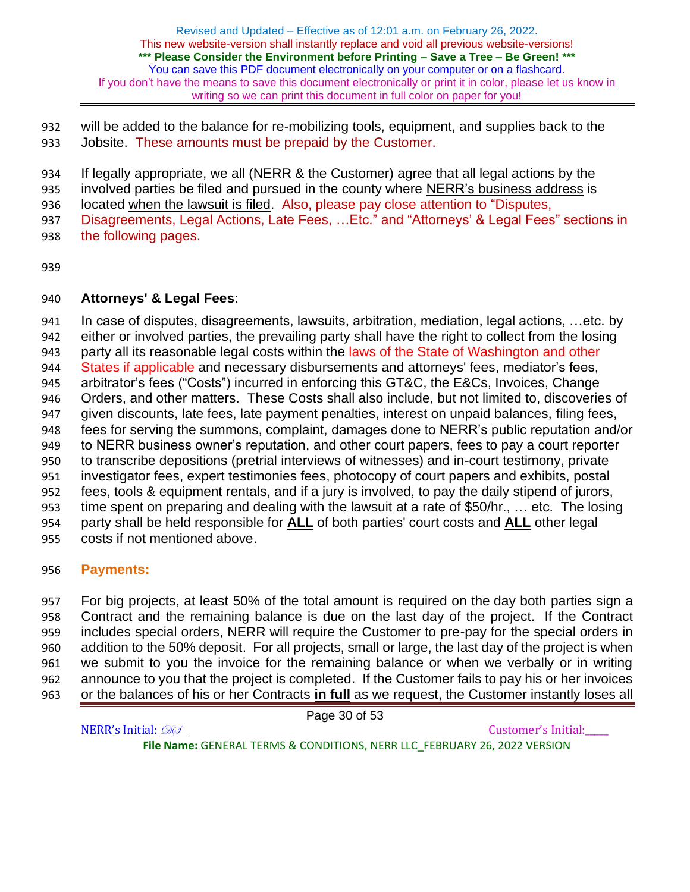will be added to the balance for re-mobilizing tools, equipment, and supplies back to the Jobsite. These amounts must be prepaid by the Customer.

If legally appropriate, we all (NERR & the Customer) agree that all legal actions by the

involved parties be filed and pursued in the county where NERR's business address is

located when the lawsuit is filed. Also, please pay close attention to "Disputes,

 Disagreements, Legal Actions, Late Fees, …Etc." and "Attorneys' & Legal Fees" sections in the following pages.

## **Attorneys' & Legal Fees**:

 In case of disputes, disagreements, lawsuits, arbitration, mediation, legal actions, …etc. by either or involved parties, the prevailing party shall have the right to collect from the losing 943 party all its reasonable legal costs within the laws of the State of Washington and other 944 States if applicable and necessary disbursements and attorneys' fees, mediator's fees, arbitrator's fees ("Costs") incurred in enforcing this GT&C, the E&Cs, Invoices, Change Orders, and other matters. These Costs shall also include, but not limited to, discoveries of given discounts, late fees, late payment penalties, interest on unpaid balances, filing fees, fees for serving the summons, complaint, damages done to NERR's public reputation and/or to NERR business owner's reputation, and other court papers, fees to pay a court reporter to transcribe depositions (pretrial interviews of witnesses) and in-court testimony, private investigator fees, expert testimonies fees, photocopy of court papers and exhibits, postal fees, tools & equipment rentals, and if a jury is involved, to pay the daily stipend of jurors, time spent on preparing and dealing with the lawsuit at a rate of \$50/hr., … etc. The losing party shall be held responsible for **ALL** of both parties' court costs and **ALL** other legal costs if not mentioned above.

# **Payments:**

 For big projects, at least 50% of the total amount is required on the day both parties sign a Contract and the remaining balance is due on the last day of the project. If the Contract includes special orders, NERR will require the Customer to pre-pay for the special orders in addition to the 50% deposit. For all projects, small or large, the last day of the project is when we submit to you the invoice for the remaining balance or when we verbally or in writing announce to you that the project is completed. If the Customer fails to pay his or her invoices or the balances of his or her Contracts **in full** as we request, the Customer instantly loses all

Page 30 of 53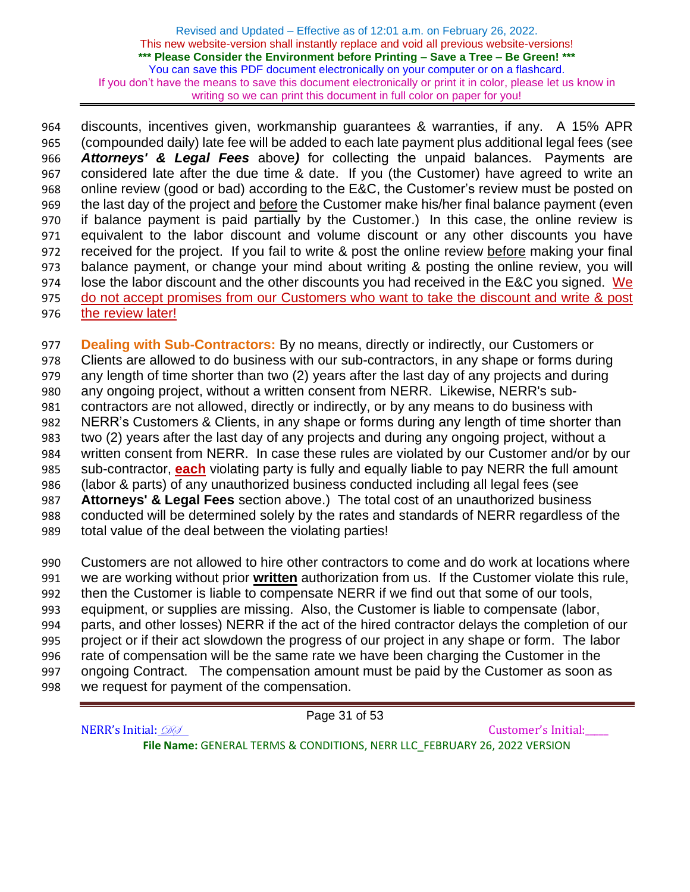discounts, incentives given, workmanship guarantees & warranties, if any. A 15% APR (compounded daily) late fee will be added to each late payment plus additional legal fees (see *Attorneys' & Legal Fees* above*)* for collecting the unpaid balances. Payments are considered late after the due time & date. If you (the Customer) have agreed to write an online review (good or bad) according to the E&C, the Customer's review must be posted on the last day of the project and before the Customer make his/her final balance payment (even if balance payment is paid partially by the Customer.) In this case, the online review is equivalent to the labor discount and volume discount or any other discounts you have received for the project. If you fail to write & post the online review before making your final balance payment, or change your mind about writing & posting the online review, you will lose the labor discount and the other discounts you had received in the E&C you signed. We do not accept promises from our Customers who want to take the discount and write & post the review later!

 **Dealing with Sub-Contractors:** By no means, directly or indirectly, our Customers or Clients are allowed to do business with our sub-contractors, in any shape or forms during any length of time shorter than two (2) years after the last day of any projects and during any ongoing project, without a written consent from NERR. Likewise, NERR's sub- contractors are not allowed, directly or indirectly, or by any means to do business with NERR's Customers & Clients, in any shape or forms during any length of time shorter than two (2) years after the last day of any projects and during any ongoing project, without a written consent from NERR. In case these rules are violated by our Customer and/or by our sub-contractor, **each** violating party is fully and equally liable to pay NERR the full amount (labor & parts) of any unauthorized business conducted including all legal fees (see **Attorneys' & Legal Fees** section above.) The total cost of an unauthorized business conducted will be determined solely by the rates and standards of NERR regardless of the total value of the deal between the violating parties!

 Customers are not allowed to hire other contractors to come and do work at locations where we are working without prior **written** authorization from us. If the Customer violate this rule, then the Customer is liable to compensate NERR if we find out that some of our tools, equipment, or supplies are missing. Also, the Customer is liable to compensate (labor, parts, and other losses) NERR if the act of the hired contractor delays the completion of our project or if their act slowdown the progress of our project in any shape or form. The labor rate of compensation will be the same rate we have been charging the Customer in the ongoing Contract. The compensation amount must be paid by the Customer as soon as we request for payment of the compensation.

Page 31 of 53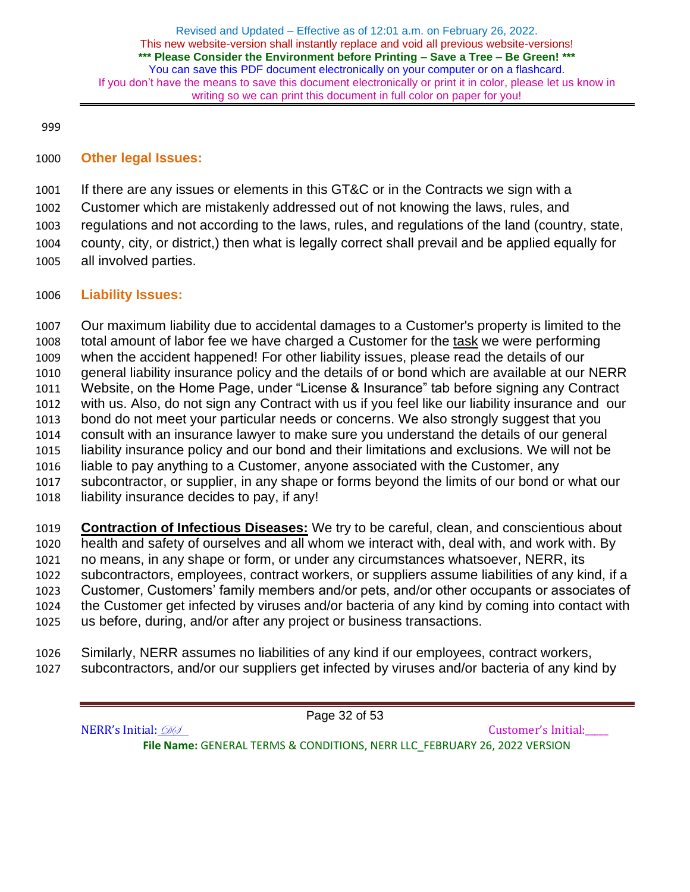## **Other legal Issues:**

 If there are any issues or elements in this GT&C or in the Contracts we sign with a Customer which are mistakenly addressed out of not knowing the laws, rules, and regulations and not according to the laws, rules, and regulations of the land (country, state, county, city, or district,) then what is legally correct shall prevail and be applied equally for all involved parties.

## **Liability Issues:**

 Our maximum liability due to accidental damages to a Customer's property is limited to the total amount of labor fee we have charged a Customer for the task we were performing when the accident happened! For other liability issues, please read the details of our general liability insurance policy and the details of or bond which are available at our NERR Website, on the Home Page, under "License & Insurance" tab before signing any Contract with us. Also, do not sign any Contract with us if you feel like our liability insurance and our bond do not meet your particular needs or concerns. We also strongly suggest that you consult with an insurance lawyer to make sure you understand the details of our general liability insurance policy and our bond and their limitations and exclusions. We will not be liable to pay anything to a Customer, anyone associated with the Customer, any subcontractor, or supplier, in any shape or forms beyond the limits of our bond or what our liability insurance decides to pay, if any!

 **Contraction of Infectious Diseases:** We try to be careful, clean, and conscientious about health and safety of ourselves and all whom we interact with, deal with, and work with. By no means, in any shape or form, or under any circumstances whatsoever, NERR, its subcontractors, employees, contract workers, or suppliers assume liabilities of any kind, if a Customer, Customers' family members and/or pets, and/or other occupants or associates of the Customer get infected by viruses and/or bacteria of any kind by coming into contact with us before, during, and/or after any project or business transactions.

- Similarly, NERR assumes no liabilities of any kind if our employees, contract workers,
- subcontractors, and/or our suppliers get infected by viruses and/or bacteria of any kind by

Page 32 of 53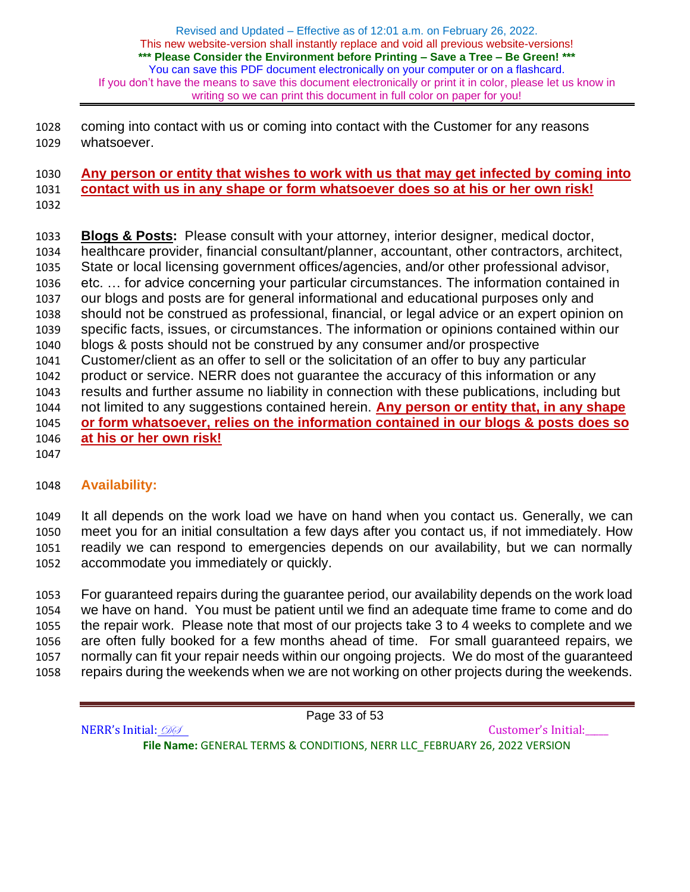coming into contact with us or coming into contact with the Customer for any reasons whatsoever.

### **Any person or entity that wishes to work with us that may get infected by coming into contact with us in any shape or form whatsoever does so at his or her own risk!**

 **Blogs & Posts:** Please consult with your attorney, interior designer, medical doctor, healthcare provider, financial consultant/planner, accountant, other contractors, architect, State or local licensing government offices/agencies, and/or other professional advisor, etc. … for advice concerning your particular circumstances. The information contained in our blogs and posts are for general informational and educational purposes only and should not be construed as professional, financial, or legal advice or an expert opinion on specific facts, issues, or circumstances. The information or opinions contained within our blogs & posts should not be construed by any consumer and/or prospective Customer/client as an offer to sell or the solicitation of an offer to buy any particular product or service. NERR does not guarantee the accuracy of this information or any results and further assume no liability in connection with these publications, including but not limited to any suggestions contained herein. **Any person or entity that, in any shape or form whatsoever, relies on the information contained in our blogs & posts does so at his or her own risk!**

# **Availability:**

 It all depends on the work load we have on hand when you contact us. Generally, we can meet you for an initial consultation a few days after you contact us, if not immediately. How readily we can respond to emergencies depends on our availability, but we can normally accommodate you immediately or quickly.

 For guaranteed repairs during the guarantee period, our availability depends on the work load we have on hand. You must be patient until we find an adequate time frame to come and do the repair work. Please note that most of our projects take 3 to 4 weeks to complete and we are often fully booked for a few months ahead of time. For small guaranteed repairs, we normally can fit your repair needs within our ongoing projects. We do most of the guaranteed repairs during the weekends when we are not working on other projects during the weekends.

Page 33 of 53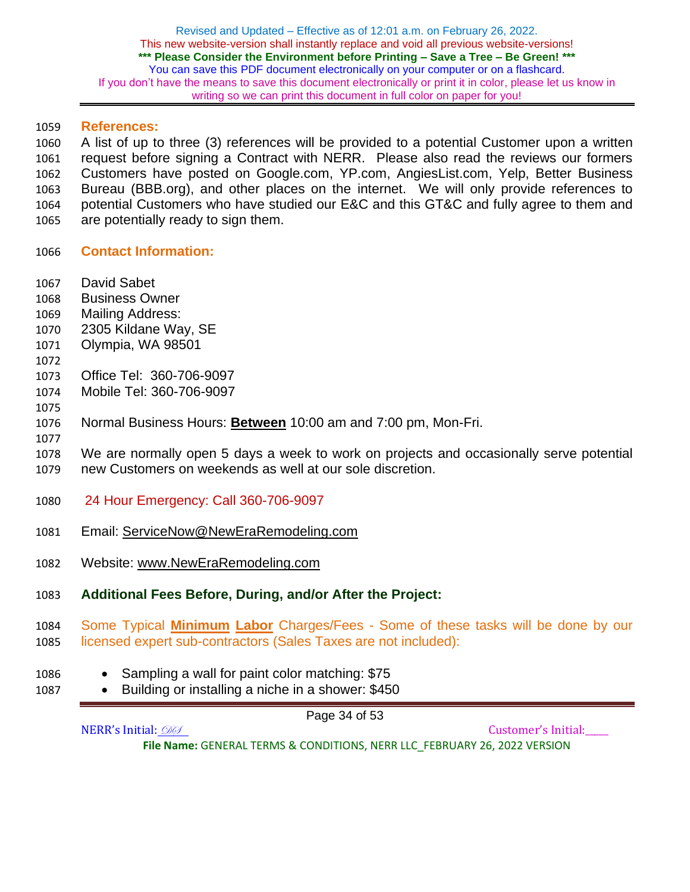### **References:**

 A list of up to three (3) references will be provided to a potential Customer upon a written request before signing a Contract with NERR. Please also read the reviews our formers Customers have posted on Google.com, YP.com, AngiesList.com, Yelp, Better Business Bureau (BBB.org), and other places on the internet. We will only provide references to potential Customers who have studied our E&C and this GT&C and fully agree to them and are potentially ready to sign them.

- **Contact Information:**
- David Sabet
- Business Owner
- Mailing Address:
- 2305 Kildane Way, SE
- Olympia, WA 98501
- 
- Office Tel: 360-706-9097
- Mobile Tel: 360-706-9097
- 
- Normal Business Hours: **Between** 10:00 am and 7:00 pm, Mon-Fri.
- 

 We are normally open 5 days a week to work on projects and occasionally serve potential new Customers on weekends as well at our sole discretion.

- 24 Hour Emergency: Call 360-706-9097
- Email: [ServiceNow@NewEraRemodeling.com](mailto:serviceNow@NewEraRemodeling.Com)
- Website: [www.NewEraRemodeling.com](https://www.neweraremodeling.com/)
- **Additional Fees Before, During, and/or After the Project:**
- Some Typical **Minimum Labor** Charges/Fees Some of these tasks will be done by our licensed expert sub-contractors (Sales Taxes are not included):
- Sampling a wall for paint color matching: \$75
- Building or installing a niche in a shower: \$450

Page 34 of 53

NERR's Initial: 000 **File Name:** GENERAL TERMS & CONDITIONS, NERR LLC\_FEBRUARY 26, 2022 VERSION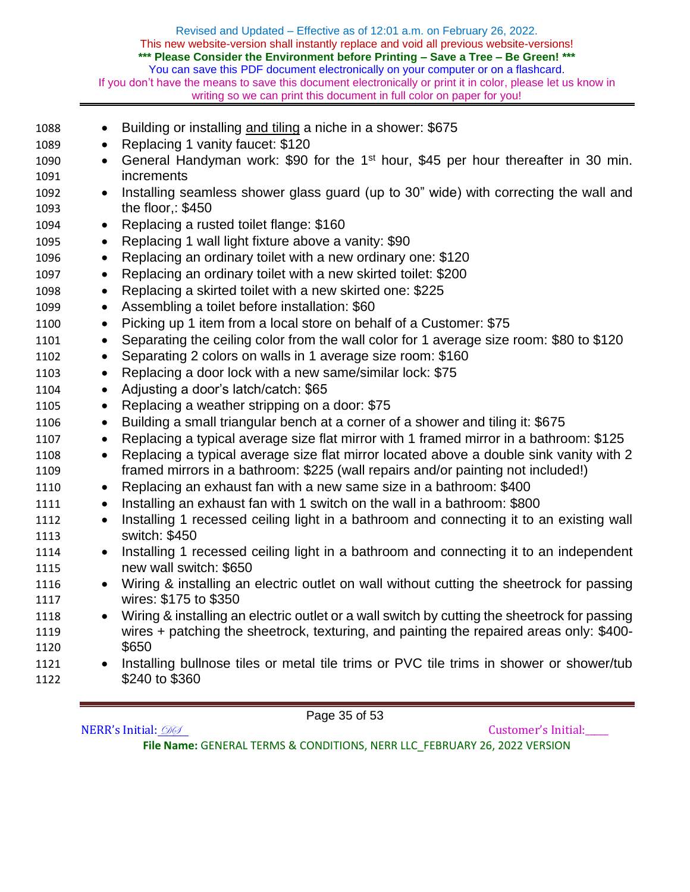| 1088 | Building or installing and tiling a niche in a shower: \$675<br>$\bullet$                                  |  |  |  |
|------|------------------------------------------------------------------------------------------------------------|--|--|--|
| 1089 | Replacing 1 vanity faucet: \$120                                                                           |  |  |  |
| 1090 | General Handyman work: \$90 for the 1 <sup>st</sup> hour, \$45 per hour thereafter in 30 min.<br>$\bullet$ |  |  |  |
| 1091 | increments                                                                                                 |  |  |  |
| 1092 | Installing seamless shower glass guard (up to 30" wide) with correcting the wall and<br>$\bullet$          |  |  |  |
| 1093 | the floor,: $$450$                                                                                         |  |  |  |
| 1094 | Replacing a rusted toilet flange: \$160<br>$\bullet$                                                       |  |  |  |
| 1095 | Replacing 1 wall light fixture above a vanity: \$90<br>$\bullet$                                           |  |  |  |
| 1096 | Replacing an ordinary toilet with a new ordinary one: \$120<br>$\bullet$                                   |  |  |  |
| 1097 | Replacing an ordinary toilet with a new skirted toilet: \$200<br>$\bullet$                                 |  |  |  |
| 1098 | Replacing a skirted toilet with a new skirted one: \$225<br>$\bullet$                                      |  |  |  |
| 1099 | Assembling a toilet before installation: \$60<br>$\bullet$                                                 |  |  |  |
| 1100 | Picking up 1 item from a local store on behalf of a Customer: \$75<br>$\bullet$                            |  |  |  |
| 1101 | Separating the ceiling color from the wall color for 1 average size room: \$80 to \$120<br>$\bullet$       |  |  |  |
| 1102 | Separating 2 colors on walls in 1 average size room: \$160<br>$\bullet$                                    |  |  |  |
| 1103 | Replacing a door lock with a new same/similar lock: \$75<br>$\bullet$                                      |  |  |  |
| 1104 | Adjusting a door's latch/catch: \$65<br>$\bullet$                                                          |  |  |  |
| 1105 | Replacing a weather stripping on a door: \$75<br>$\bullet$                                                 |  |  |  |
| 1106 | Building a small triangular bench at a corner of a shower and tiling it: \$675                             |  |  |  |
| 1107 | Replacing a typical average size flat mirror with 1 framed mirror in a bathroom: \$125<br>$\bullet$        |  |  |  |
| 1108 | Replacing a typical average size flat mirror located above a double sink vanity with 2<br>$\bullet$        |  |  |  |
| 1109 | framed mirrors in a bathroom: \$225 (wall repairs and/or painting not included!)                           |  |  |  |
| 1110 | Replacing an exhaust fan with a new same size in a bathroom: \$400<br>$\bullet$                            |  |  |  |
| 1111 | Installing an exhaust fan with 1 switch on the wall in a bathroom: \$800<br>$\bullet$                      |  |  |  |
| 1112 | Installing 1 recessed ceiling light in a bathroom and connecting it to an existing wall<br>$\bullet$       |  |  |  |
| 1113 | switch: \$450                                                                                              |  |  |  |
| 1114 | Installing 1 recessed ceiling light in a bathroom and connecting it to an independent                      |  |  |  |
| 1115 | new wall switch: \$650                                                                                     |  |  |  |
| 1116 | Wiring & installing an electric outlet on wall without cutting the sheetrock for passing                   |  |  |  |
| 1117 | wires: \$175 to \$350                                                                                      |  |  |  |
| 1118 | Wiring & installing an electric outlet or a wall switch by cutting the sheetrock for passing               |  |  |  |
| 1119 | wires + patching the sheetrock, texturing, and painting the repaired areas only: \$400-                    |  |  |  |
| 1120 | \$650                                                                                                      |  |  |  |
| 1121 | Installing bullnose tiles or metal tile trims or PVC tile trims in shower or shower/tub<br>$\bullet$       |  |  |  |
| 1122 | \$240 to \$360                                                                                             |  |  |  |
|      |                                                                                                            |  |  |  |

Page 35 of 53

NERR's Initial:  $\mathcal{D}\mathcal{D}$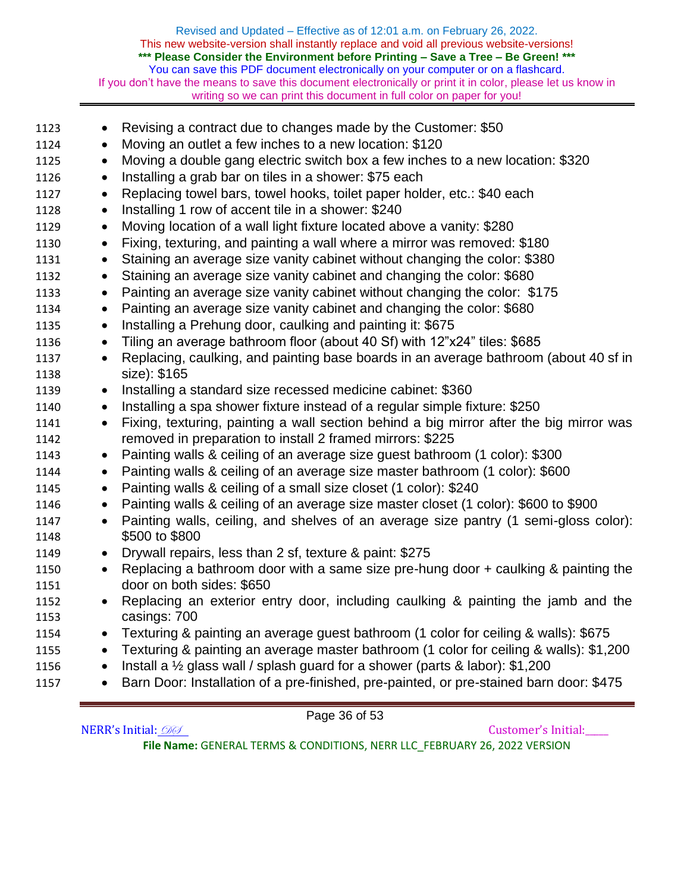| 1123 | $\bullet$ | Revising a contract due to changes made by the Customer: \$50                           |  |
|------|-----------|-----------------------------------------------------------------------------------------|--|
| 1124 | $\bullet$ | Moving an outlet a few inches to a new location: \$120                                  |  |
| 1125 | $\bullet$ | Moving a double gang electric switch box a few inches to a new location: \$320          |  |
| 1126 |           | Installing a grab bar on tiles in a shower: \$75 each                                   |  |
| 1127 |           | Replacing towel bars, towel hooks, toilet paper holder, etc.: \$40 each                 |  |
| 1128 | $\bullet$ | Installing 1 row of accent tile in a shower: \$240                                      |  |
| 1129 | $\bullet$ | Moving location of a wall light fixture located above a vanity: \$280                   |  |
| 1130 |           | Fixing, texturing, and painting a wall where a mirror was removed: \$180                |  |
| 1131 | $\bullet$ | Staining an average size vanity cabinet without changing the color: \$380               |  |
| 1132 | $\bullet$ | Staining an average size vanity cabinet and changing the color: \$680                   |  |
| 1133 | $\bullet$ | Painting an average size vanity cabinet without changing the color: \$175               |  |
| 1134 |           | Painting an average size vanity cabinet and changing the color: \$680                   |  |
| 1135 | $\bullet$ | Installing a Prehung door, caulking and painting it: \$675                              |  |
| 1136 | $\bullet$ | Tiling an average bathroom floor (about 40 Sf) with 12"x24" tiles: \$685                |  |
| 1137 | $\bullet$ | Replacing, caulking, and painting base boards in an average bathroom (about 40 sf in    |  |
| 1138 |           | size): \$165                                                                            |  |
| 1139 | $\bullet$ | Installing a standard size recessed medicine cabinet: \$360                             |  |
| 1140 | $\bullet$ | Installing a spa shower fixture instead of a regular simple fixture: \$250              |  |
| 1141 | $\bullet$ | Fixing, texturing, painting a wall section behind a big mirror after the big mirror was |  |
| 1142 |           | removed in preparation to install 2 framed mirrors: \$225                               |  |
| 1143 | $\bullet$ | Painting walls & ceiling of an average size guest bathroom (1 color): \$300             |  |
| 1144 |           | Painting walls & ceiling of an average size master bathroom (1 color): \$600            |  |
| 1145 | $\bullet$ | Painting walls & ceiling of a small size closet (1 color): \$240                        |  |
| 1146 |           | Painting walls & ceiling of an average size master closet (1 color): \$600 to \$900     |  |
| 1147 | $\bullet$ | Painting walls, ceiling, and shelves of an average size pantry (1 semi-gloss color):    |  |
| 1148 |           | \$500 to \$800                                                                          |  |
| 1149 | $\bullet$ | Drywall repairs, less than 2 sf, texture & paint: \$275                                 |  |
| 1150 | $\bullet$ | Replacing a bathroom door with a same size pre-hung door + caulking & painting the      |  |
| 1151 |           | door on both sides: \$650                                                               |  |
| 1152 | $\bullet$ | Replacing an exterior entry door, including caulking & painting the jamb and the        |  |
| 1153 |           | casings: 700                                                                            |  |
| 1154 | $\bullet$ | Texturing & painting an average guest bathroom (1 color for ceiling & walls): \$675     |  |
| 1155 | $\bullet$ | Texturing & painting an average master bathroom (1 color for ceiling & walls): \$1,200  |  |
| 1156 | $\bullet$ | Install a 1/2 glass wall / splash guard for a shower (parts & labor): \$1,200           |  |
| 1157 | $\bullet$ | Barn Door: Installation of a pre-finished, pre-painted, or pre-stained barn door: \$475 |  |
|      |           |                                                                                         |  |

Page 36 of 53

NERR's Initial:  $\mathcal{D}\mathcal{D}$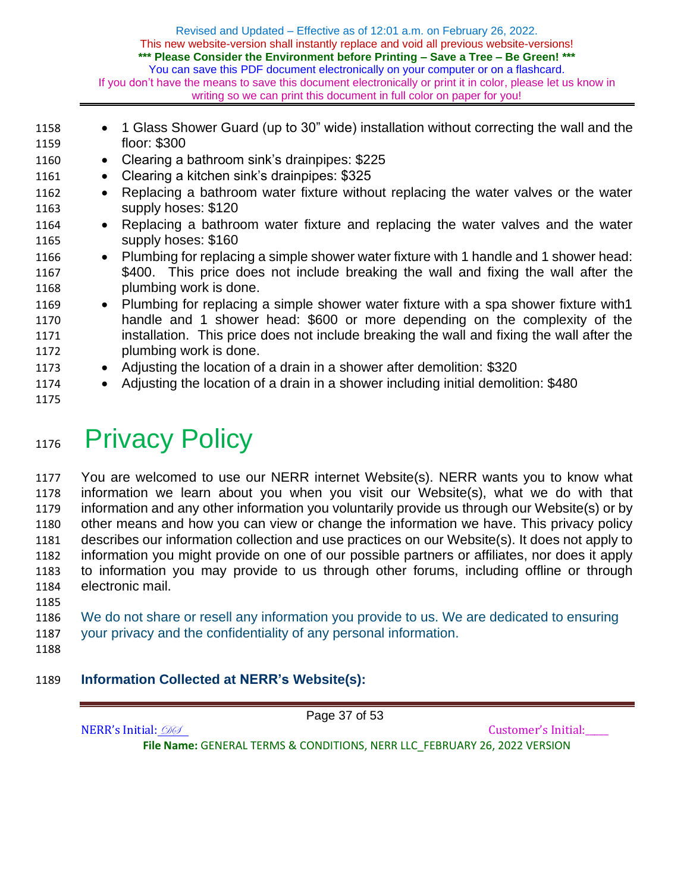| 1158 |           | • 1 Glass Shower Guard (up to 30" wide) installation without correcting the wall and the  |  |
|------|-----------|-------------------------------------------------------------------------------------------|--|
| 1159 |           | floor: $$300$                                                                             |  |
| 1160 | $\bullet$ | Clearing a bathroom sink's drainpipes: \$225                                              |  |
| 1161 | $\bullet$ | Clearing a kitchen sink's drainpipes: \$325                                               |  |
| 1162 |           | Replacing a bathroom water fixture without replacing the water valves or the water        |  |
| 1163 |           | supply hoses: \$120                                                                       |  |
| 1164 |           | Replacing a bathroom water fixture and replacing the water valves and the water           |  |
| 1165 |           | supply hoses: \$160                                                                       |  |
| 1166 | $\bullet$ | Plumbing for replacing a simple shower water fixture with 1 handle and 1 shower head:     |  |
| 1167 |           | \$400. This price does not include breaking the wall and fixing the wall after the        |  |
| 1168 |           | plumbing work is done.                                                                    |  |
| 1169 |           | • Plumbing for replacing a simple shower water fixture with a spa shower fixture with 1   |  |
| 1170 |           | handle and 1 shower head: \$600 or more depending on the complexity of the                |  |
| 1171 |           | installation. This price does not include breaking the wall and fixing the wall after the |  |
| 1172 |           | plumbing work is done.                                                                    |  |
| 1173 | $\bullet$ | Adjusting the location of a drain in a shower after demolition: \$320                     |  |
| 1174 |           | Adjusting the location of a drain in a shower including initial demolition: \$480         |  |
| 1175 |           |                                                                                           |  |

# 1176 Privacy Policy

 You are welcomed to use our NERR internet Website(s). NERR wants you to know what information we learn about you when you visit our Website(s), what we do with that information and any other information you voluntarily provide us through our Website(s) or by other means and how you can view or change the information we have. This privacy policy describes our information collection and use practices on our Website(s). It does not apply to information you might provide on one of our possible partners or affiliates, nor does it apply to information you may provide to us through other forums, including offline or through electronic mail.

- We do not share or resell any information you provide to us. We are dedicated to ensuring your privacy and the confidentiality of any personal information.
- 

# **Information Collected at NERR's Website(s):**

Page 37 of 53

NERR's Initial: 000 **File Name:** GENERAL TERMS & CONDITIONS, NERR LLC\_FEBRUARY 26, 2022 VERSION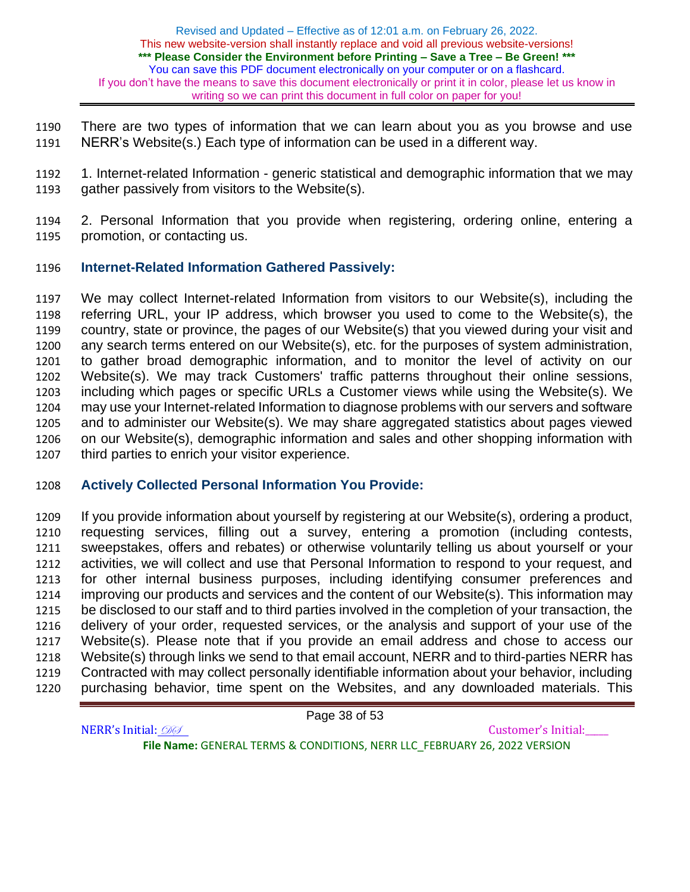There are two types of information that we can learn about you as you browse and use NERR's Website(s.) Each type of information can be used in a different way.

 1. Internet-related Information - generic statistical and demographic information that we may gather passively from visitors to the Website(s).

 2. Personal Information that you provide when registering, ordering online, entering a promotion, or contacting us.

## **Internet-Related Information Gathered Passively:**

 We may collect Internet-related Information from visitors to our Website(s), including the referring URL, your IP address, which browser you used to come to the Website(s), the country, state or province, the pages of our Website(s) that you viewed during your visit and any search terms entered on our Website(s), etc. for the purposes of system administration, to gather broad demographic information, and to monitor the level of activity on our Website(s). We may track Customers' traffic patterns throughout their online sessions, including which pages or specific URLs a Customer views while using the Website(s). We may use your Internet-related Information to diagnose problems with our servers and software and to administer our Website(s). We may share aggregated statistics about pages viewed on our Website(s), demographic information and sales and other shopping information with third parties to enrich your visitor experience.

## **Actively Collected Personal Information You Provide:**

 If you provide information about yourself by registering at our Website(s), ordering a product, requesting services, filling out a survey, entering a promotion (including contests, sweepstakes, offers and rebates) or otherwise voluntarily telling us about yourself or your activities, we will collect and use that Personal Information to respond to your request, and for other internal business purposes, including identifying consumer preferences and improving our products and services and the content of our Website(s). This information may be disclosed to our staff and to third parties involved in the completion of your transaction, the delivery of your order, requested services, or the analysis and support of your use of the Website(s). Please note that if you provide an email address and chose to access our Website(s) through links we send to that email account, NERR and to third-parties NERR has Contracted with may collect personally identifiable information about your behavior, including purchasing behavior, time spent on the Websites, and any downloaded materials. This

Page 38 of 53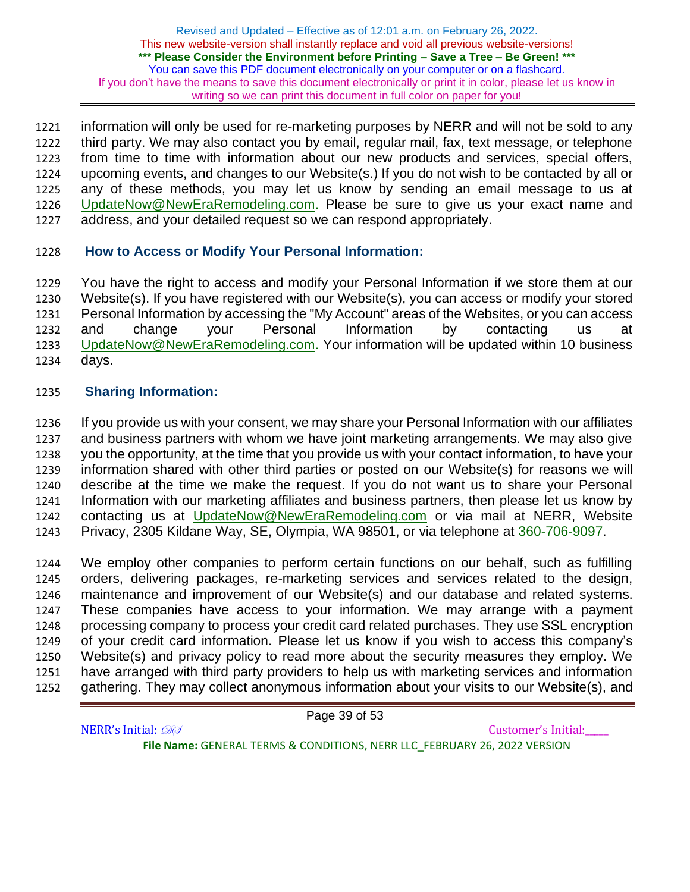information will only be used for re-marketing purposes by NERR and will not be sold to any third party. We may also contact you by email, regular mail, fax, text message, or telephone from time to time with information about our new products and services, special offers, upcoming events, and changes to our Website(s.) If you do not wish to be contacted by all or any of these methods, you may let us know by sending an email message to us at [UpdateNow@NewEraRemodeling.com.](mailto:UpdateNow@NewEraRemodeling.com) Please be sure to give us your exact name and address, and your detailed request so we can respond appropriately.

## **How to Access or Modify Your Personal Information:**

 You have the right to access and modify your Personal Information if we store them at our Website(s). If you have registered with our Website(s), you can access or modify your stored Personal Information by accessing the "My Account" areas of the Websites, or you can access and change your Personal Information by contacting us at [UpdateNow@NewEraRemodeling.com.](mailto:UpdateNow@NewEraRemodeling.com) Your information will be updated within 10 business days.

## **Sharing Information:**

 If you provide us with your consent, we may share your Personal Information with our affiliates and business partners with whom we have joint marketing arrangements. We may also give you the opportunity, at the time that you provide us with your contact information, to have your information shared with other third parties or posted on our Website(s) for reasons we will describe at the time we make the request. If you do not want us to share your Personal Information with our marketing affiliates and business partners, then please let us know by contacting us at [UpdateNow@NewEraRemodeling.com](mailto:UpdateNow@NewEraRemodeling.com) or via mail at NERR, Website Privacy, 2305 Kildane Way, SE, Olympia, WA 98501, or via telephone at 360-706-9097.

 We employ other companies to perform certain functions on our behalf, such as fulfilling orders, delivering packages, re-marketing services and services related to the design, maintenance and improvement of our Website(s) and our database and related systems. These companies have access to your information. We may arrange with a payment processing company to process your credit card related purchases. They use SSL encryption of your credit card information. Please let us know if you wish to access this company's Website(s) and privacy policy to read more about the security measures they employ. We have arranged with third party providers to help us with marketing services and information gathering. They may collect anonymous information about your visits to our Website(s), and

Page 39 of 53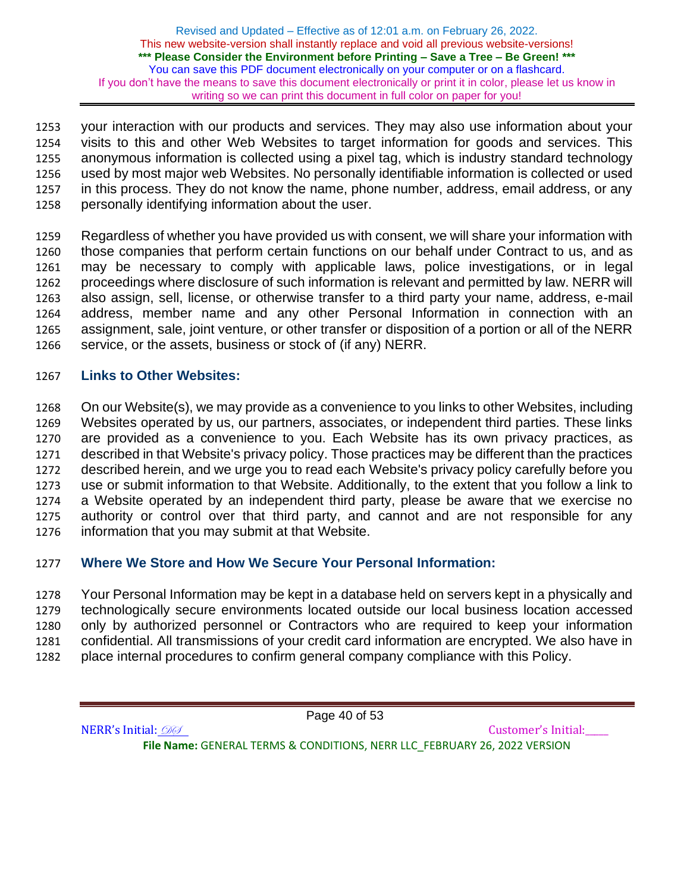your interaction with our products and services. They may also use information about your visits to this and other Web Websites to target information for goods and services. This anonymous information is collected using a pixel tag, which is industry standard technology used by most major web Websites. No personally identifiable information is collected or used in this process. They do not know the name, phone number, address, email address, or any personally identifying information about the user.

 Regardless of whether you have provided us with consent, we will share your information with those companies that perform certain functions on our behalf under Contract to us, and as may be necessary to comply with applicable laws, police investigations, or in legal proceedings where disclosure of such information is relevant and permitted by law. NERR will also assign, sell, license, or otherwise transfer to a third party your name, address, e-mail address, member name and any other Personal Information in connection with an assignment, sale, joint venture, or other transfer or disposition of a portion or all of the NERR 1266 service, or the assets, business or stock of (if any) NERR.

## **Links to Other Websites:**

 On our Website(s), we may provide as a convenience to you links to other Websites, including Websites operated by us, our partners, associates, or independent third parties. These links are provided as a convenience to you. Each Website has its own privacy practices, as described in that Website's privacy policy. Those practices may be different than the practices described herein, and we urge you to read each Website's privacy policy carefully before you use or submit information to that Website. Additionally, to the extent that you follow a link to a Website operated by an independent third party, please be aware that we exercise no authority or control over that third party, and cannot and are not responsible for any information that you may submit at that Website.

# **Where We Store and How We Secure Your Personal Information:**

 Your Personal Information may be kept in a database held on servers kept in a physically and technologically secure environments located outside our local business location accessed only by authorized personnel or Contractors who are required to keep your information confidential. All transmissions of your credit card information are encrypted. We also have in place internal procedures to confirm general company compliance with this Policy.

Page 40 of 53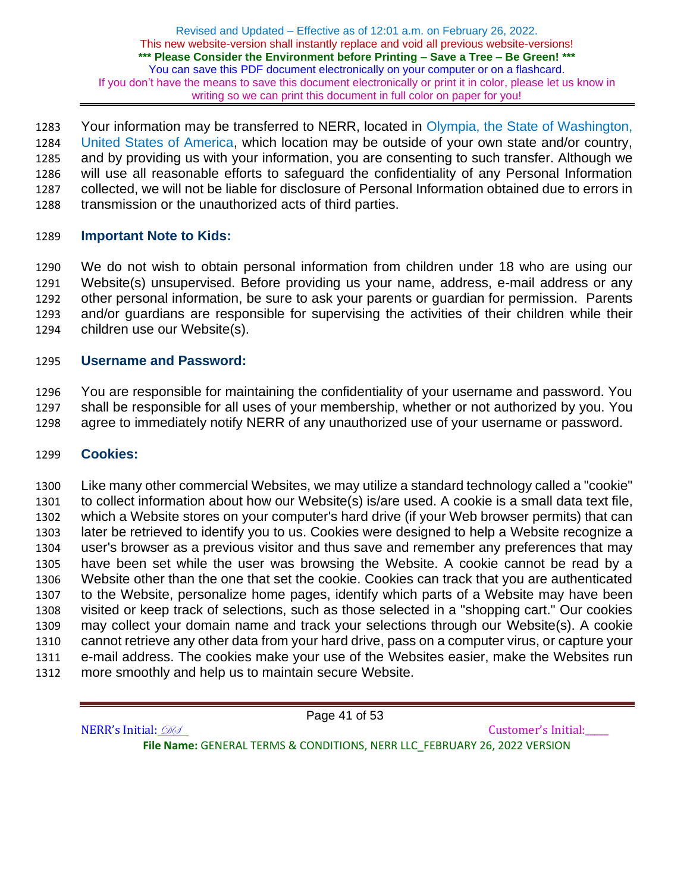1283 Your information may be transferred to NERR, located in Olympia, the State of Washington, United States of America, which location may be outside of your own state and/or country, and by providing us with your information, you are consenting to such transfer. Although we will use all reasonable efforts to safeguard the confidentiality of any Personal Information collected, we will not be liable for disclosure of Personal Information obtained due to errors in transmission or the unauthorized acts of third parties.

## **Important Note to Kids:**

 We do not wish to obtain personal information from children under 18 who are using our Website(s) unsupervised. Before providing us your name, address, e-mail address or any other personal information, be sure to ask your parents or guardian for permission. Parents and/or guardians are responsible for supervising the activities of their children while their children use our Website(s).

## **Username and Password:**

 You are responsible for maintaining the confidentiality of your username and password. You shall be responsible for all uses of your membership, whether or not authorized by you. You agree to immediately notify NERR of any unauthorized use of your username or password.

### **Cookies:**

 Like many other commercial Websites, we may utilize a standard technology called a "cookie" to collect information about how our Website(s) is/are used. A cookie is a small data text file, which a Website stores on your computer's hard drive (if your Web browser permits) that can later be retrieved to identify you to us. Cookies were designed to help a Website recognize a user's browser as a previous visitor and thus save and remember any preferences that may have been set while the user was browsing the Website. A cookie cannot be read by a Website other than the one that set the cookie. Cookies can track that you are authenticated to the Website, personalize home pages, identify which parts of a Website may have been visited or keep track of selections, such as those selected in a "shopping cart." Our cookies may collect your domain name and track your selections through our Website(s). A cookie cannot retrieve any other data from your hard drive, pass on a computer virus, or capture your e-mail address. The cookies make your use of the Websites easier, make the Websites run more smoothly and help us to maintain secure Website.

Page 41 of 53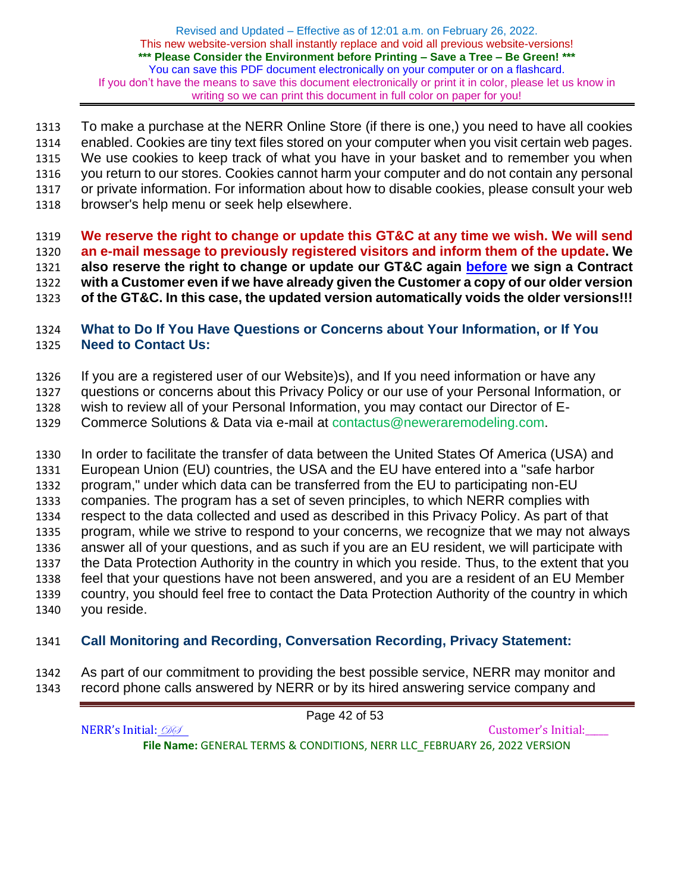To make a purchase at the NERR Online Store (if there is one,) you need to have all cookies enabled. Cookies are tiny text files stored on your computer when you visit certain web pages. We use cookies to keep track of what you have in your basket and to remember you when you return to our stores. Cookies cannot harm your computer and do not contain any personal or private information. For information about how to disable cookies, please consult your web browser's help menu or seek help elsewhere.

 **We reserve the right to change or update this GT&C at any time we wish. We will send an e-mail message to previously registered visitors and inform them of the update. We also reserve the right to change or update our GT&C again before we sign a Contract with a Customer even if we have already given the Customer a copy of our older version of the GT&C. In this case, the updated version automatically voids the older versions!!!**

# **What to Do If You Have Questions or Concerns about Your Information, or If You Need to Contact Us:**

If you are a registered user of our Website)s), and If you need information or have any

questions or concerns about this Privacy Policy or our use of your Personal Information, or

wish to review all of your Personal Information, you may contact our Director of E-

Commerce Solutions & Data via e-mail at contactus@neweraremodeling.com.

 In order to facilitate the transfer of data between the United States Of America (USA) and European Union (EU) countries, the USA and the EU have entered into a "safe harbor program," under which data can be transferred from the EU to participating non-EU companies. The program has a set of seven principles, to which NERR complies with respect to the data collected and used as described in this Privacy Policy. As part of that program, while we strive to respond to your concerns, we recognize that we may not always answer all of your questions, and as such if you are an EU resident, we will participate with the Data Protection Authority in the country in which you reside. Thus, to the extent that you feel that your questions have not been answered, and you are a resident of an EU Member country, you should feel free to contact the Data Protection Authority of the country in which you reside.

# **Call Monitoring and Recording, Conversation Recording, Privacy Statement:**

 As part of our commitment to providing the best possible service, NERR may monitor and record phone calls answered by NERR or by its hired answering service company and

NERR's Initial: 000 **File Name:** GENERAL TERMS & CONDITIONS, NERR LLC\_FEBRUARY 26, 2022 VERSION

Page 42 of 53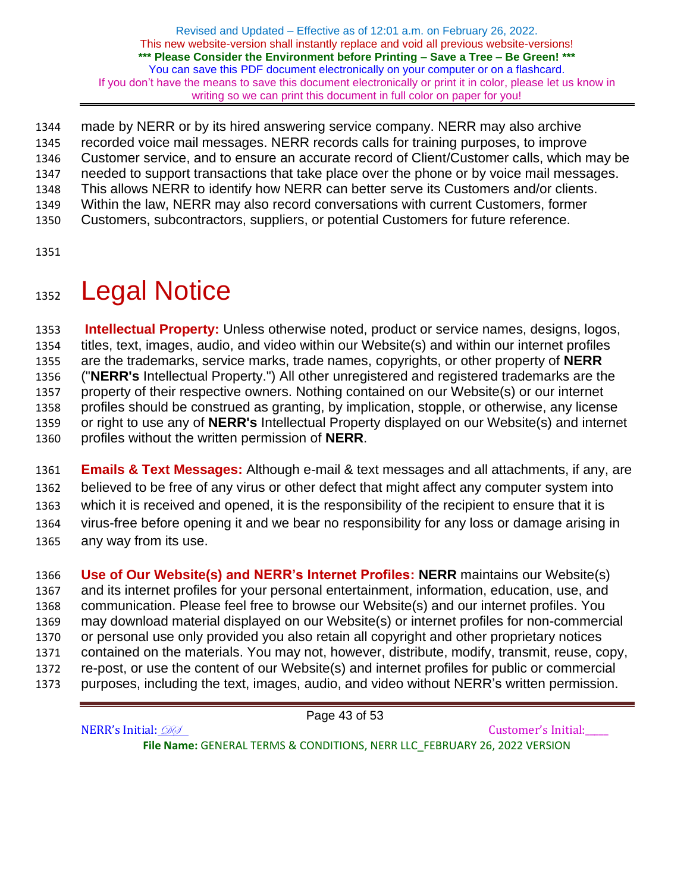made by NERR or by its hired answering service company. NERR may also archive recorded voice mail messages. NERR records calls for training purposes, to improve Customer service, and to ensure an accurate record of Client/Customer calls, which may be needed to support transactions that take place over the phone or by voice mail messages. This allows NERR to identify how NERR can better serve its Customers and/or clients. Within the law, NERR may also record conversations with current Customers, former Customers, subcontractors, suppliers, or potential Customers for future reference.

# 1352 Legal Notice

 **Intellectual Property:** Unless otherwise noted, product or service names, designs, logos, titles, text, images, audio, and video within our Website(s) and within our internet profiles are the trademarks, service marks, trade names, copyrights, or other property of **NERR** ("**NERR's** Intellectual Property.") All other unregistered and registered trademarks are the property of their respective owners. Nothing contained on our Website(s) or our internet profiles should be construed as granting, by implication, stopple, or otherwise, any license or right to use any of **NERR's** Intellectual Property displayed on our Website(s) and internet profiles without the written permission of **NERR**.

 **Emails & Text Messages:** Although e-mail & text messages and all attachments, if any, are believed to be free of any virus or other defect that might affect any computer system into which it is received and opened, it is the responsibility of the recipient to ensure that it is virus-free before opening it and we bear no responsibility for any loss or damage arising in any way from its use.

 **Use of Our Website(s) and NERR's Internet Profiles: NERR** maintains our Website(s) and its internet profiles for your personal entertainment, information, education, use, and communication. Please feel free to browse our Website(s) and our internet profiles. You may download material displayed on our Website(s) or internet profiles for non-commercial or personal use only provided you also retain all copyright and other proprietary notices contained on the materials. You may not, however, distribute, modify, transmit, reuse, copy, re-post, or use the content of our Website(s) and internet profiles for public or commercial purposes, including the text, images, audio, and video without NERR's written permission.

Page 43 of 53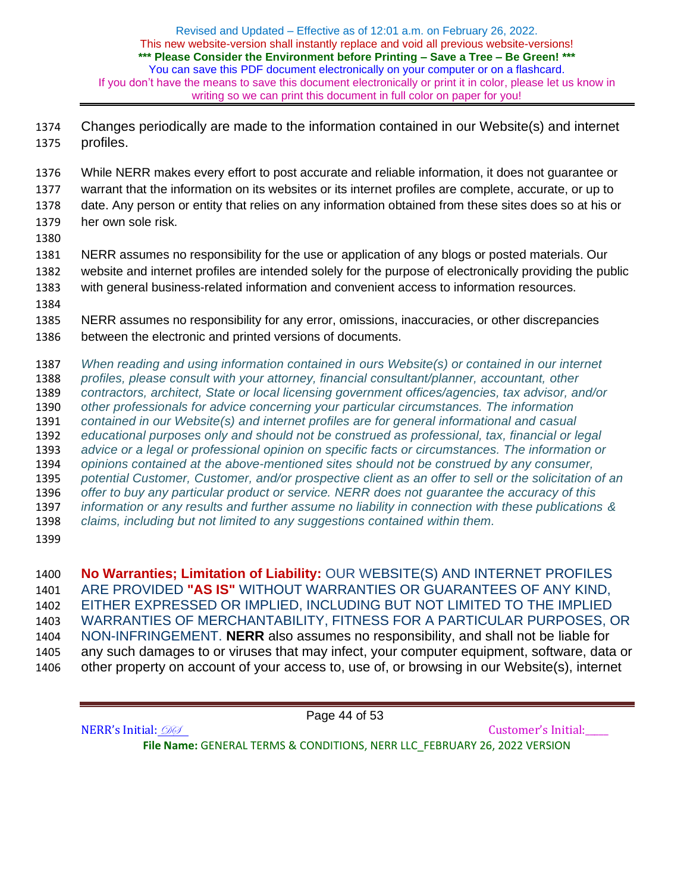Changes periodically are made to the information contained in our Website(s) and internet profiles.

 While NERR makes every effort to post accurate and reliable information, it does not guarantee or warrant that the information on its websites or its internet profiles are complete, accurate, or up to date. Any person or entity that relies on any information obtained from these sites does so at his or her own sole risk.

 NERR assumes no responsibility for the use or application of any blogs or posted materials. Our website and internet profiles are intended solely for the purpose of electronically providing the public with general business-related information and convenient access to information resources.

 NERR assumes no responsibility for any error, omissions, inaccuracies, or other discrepancies between the electronic and printed versions of documents.

 *When reading and using information contained in ours Website(s) or contained in our internet profiles, please consult with your attorney, financial consultant/planner, accountant, other contractors, architect, State or local licensing government offices/agencies, tax advisor, and/or other professionals for advice concerning your particular circumstances. The information contained in our Website(s) and internet profiles are for general informational and casual educational purposes only and should not be construed as professional, tax, financial or legal advice or a legal or professional opinion on specific facts or circumstances. The information or opinions contained at the above-mentioned sites should not be construed by any consumer, potential Customer, Customer, and/or prospective client as an offer to sell or the solicitation of an offer to buy any particular product or service. NERR does not guarantee the accuracy of this information or any results and further assume no liability in connection with these publications & claims, including but not limited to any suggestions contained within them.* 

 **No Warranties; Limitation of Liability:** OUR WEBSITE(S) AND INTERNET PROFILES ARE PROVIDED **"AS IS"** WITHOUT WARRANTIES OR GUARANTEES OF ANY KIND, EITHER EXPRESSED OR IMPLIED, INCLUDING BUT NOT LIMITED TO THE IMPLIED WARRANTIES OF MERCHANTABILITY, FITNESS FOR A PARTICULAR PURPOSES, OR NON-INFRINGEMENT. **NERR** also assumes no responsibility, and shall not be liable for any such damages to or viruses that may infect, your computer equipment, software, data or other property on account of your access to, use of, or browsing in our Website(s), internet

Page 44 of 53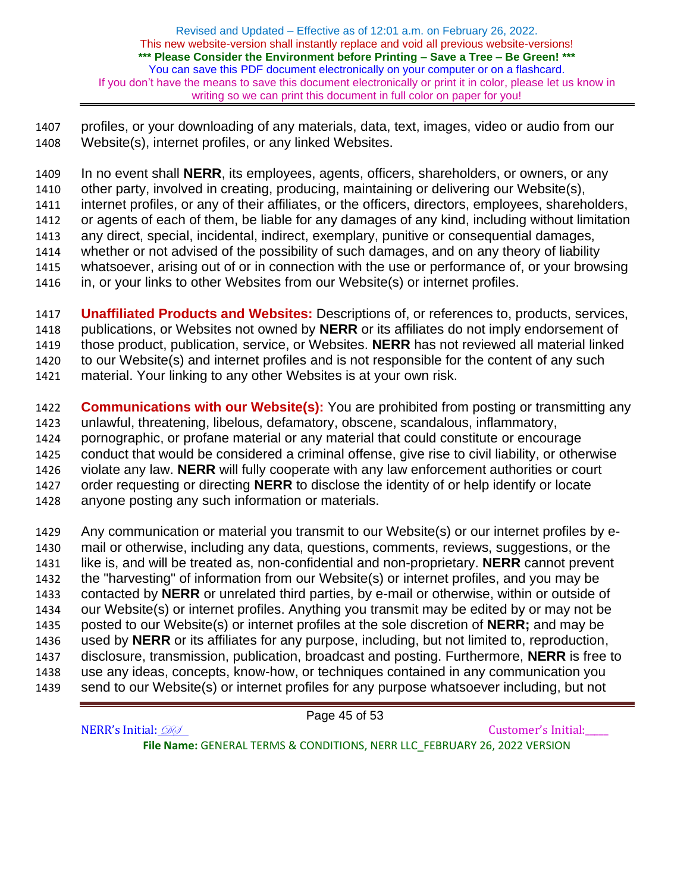profiles, or your downloading of any materials, data, text, images, video or audio from our Website(s), internet profiles, or any linked Websites.

 In no event shall **NERR**, its employees, agents, officers, shareholders, or owners, or any other party, involved in creating, producing, maintaining or delivering our Website(s), internet profiles, or any of their affiliates, or the officers, directors, employees, shareholders, or agents of each of them, be liable for any damages of any kind, including without limitation any direct, special, incidental, indirect, exemplary, punitive or consequential damages, whether or not advised of the possibility of such damages, and on any theory of liability whatsoever, arising out of or in connection with the use or performance of, or your browsing in, or your links to other Websites from our Website(s) or internet profiles.

 **Unaffiliated Products and Websites:** Descriptions of, or references to, products, services, publications, or Websites not owned by **NERR** or its affiliates do not imply endorsement of those product, publication, service, or Websites. **NERR** has not reviewed all material linked to our Website(s) and internet profiles and is not responsible for the content of any such material. Your linking to any other Websites is at your own risk.

 **Communications with our Website(s):** You are prohibited from posting or transmitting any unlawful, threatening, libelous, defamatory, obscene, scandalous, inflammatory, pornographic, or profane material or any material that could constitute or encourage conduct that would be considered a criminal offense, give rise to civil liability, or otherwise violate any law. **NERR** will fully cooperate with any law enforcement authorities or court order requesting or directing **NERR** to disclose the identity of or help identify or locate anyone posting any such information or materials.

 Any communication or material you transmit to our Website(s) or our internet profiles by e- mail or otherwise, including any data, questions, comments, reviews, suggestions, or the like is, and will be treated as, non-confidential and non-proprietary. **NERR** cannot prevent the "harvesting" of information from our Website(s) or internet profiles, and you may be contacted by **NERR** or unrelated third parties, by e-mail or otherwise, within or outside of our Website(s) or internet profiles. Anything you transmit may be edited by or may not be posted to our Website(s) or internet profiles at the sole discretion of **NERR;** and may be used by **NERR** or its affiliates for any purpose, including, but not limited to, reproduction, disclosure, transmission, publication, broadcast and posting. Furthermore, **NERR** is free to use any ideas, concepts, know-how, or techniques contained in any communication you send to our Website(s) or internet profiles for any purpose whatsoever including, but not

Page 45 of 53

NERR's Initial: 000 **File Name:** GENERAL TERMS & CONDITIONS, NERR LLC\_FEBRUARY 26, 2022 VERSION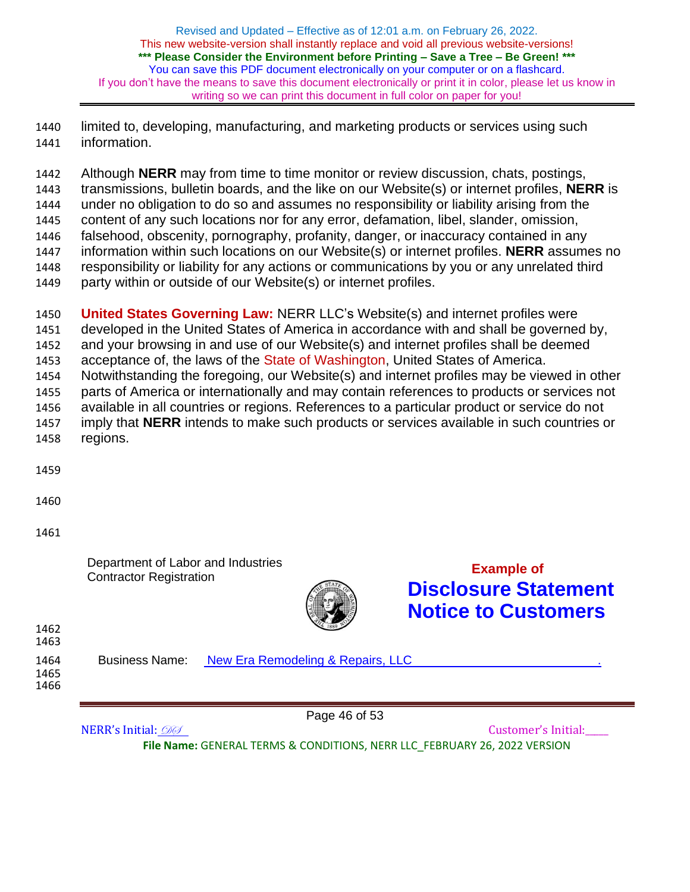limited to, developing, manufacturing, and marketing products or services using such information.

 Although **NERR** may from time to time monitor or review discussion, chats, postings, transmissions, bulletin boards, and the like on our Website(s) or internet profiles, **NERR** is under no obligation to do so and assumes no responsibility or liability arising from the content of any such locations nor for any error, defamation, libel, slander, omission, falsehood, obscenity, pornography, profanity, danger, or inaccuracy contained in any information within such locations on our Website(s) or internet profiles. **NERR** assumes no responsibility or liability for any actions or communications by you or any unrelated third party within or outside of our Website(s) or internet profiles.

 **United States Governing Law:** NERR LLC's Website(s) and internet profiles were developed in the United States of America in accordance with and shall be governed by, and your browsing in and use of our Website(s) and internet profiles shall be deemed acceptance of, the laws of the State of Washington, United States of America. Notwithstanding the foregoing, our Website(s) and internet profiles may be viewed in other parts of America or internationally and may contain references to products or services not available in all countries or regions. References to a particular product or service do not imply that **NERR** intends to make such products or services available in such countries or regions.

Department of Labor and Industries Contractor Registration **Example of**



**Disclosure Statement Notice to Customers**

| 1462<br>1463         |                       | 1889                              |  |
|----------------------|-----------------------|-----------------------------------|--|
| 1464<br>1465<br>1466 | <b>Business Name:</b> | New Era Remodeling & Repairs, LLC |  |
|                      |                       | Page 46 of 53                     |  |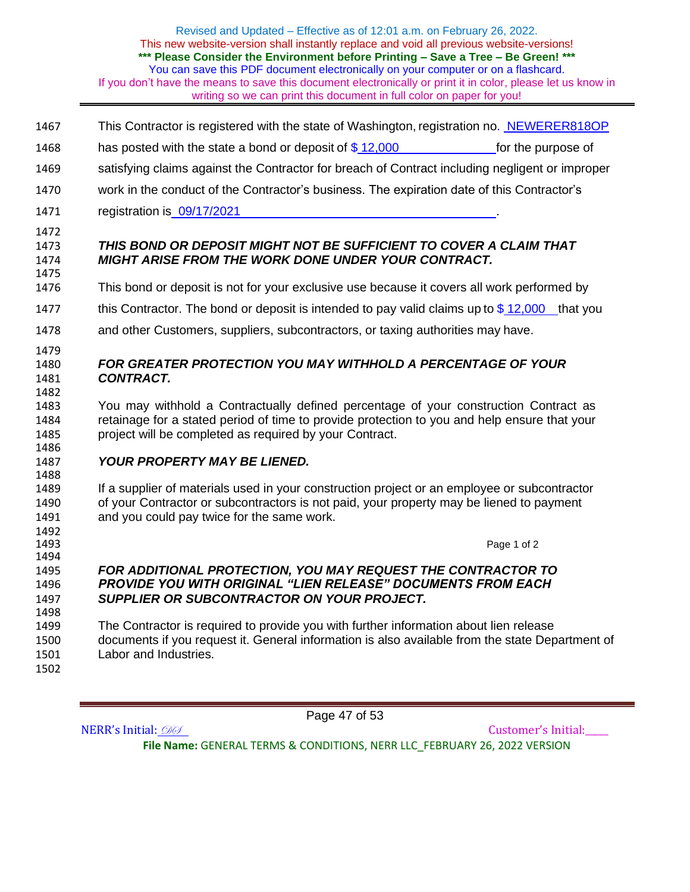- This Contractor is registered with the state of Washington, registration no. NEWERER818OP
- 1468 has posted with the state a bond or deposit of  $$12,000$  for the purpose of
- satisfying claims against the Contractor for breach of Contract including negligent or improper
- work in the conduct of the Contractor's business. The expiration date of this Contractor's
- 1471 registration is  $\frac{09}{17}{2021}$
- 

1492<br>1493

### *THIS BOND OR DEPOSIT MIGHT NOT BE SUFFICIENT TO COVER A CLAIM THAT MIGHT ARISE FROM THE WORK DONE UNDER YOUR CONTRACT.*

- This bond or deposit is not for your exclusive use because it covers all work performed by
- 1477 this Contractor. The bond or deposit is intended to pay valid claims up to  $$12,000$  that you
- and other Customers, suppliers, subcontractors, or taxing authorities may have.

### *FOR GREATER PROTECTION YOU MAY WITHHOLD A PERCENTAGE OF YOUR CONTRACT.*

 You may withhold a Contractually defined percentage of your construction Contract as retainage for a stated period of time to provide protection to you and help ensure that your project will be completed as required by your Contract.

## *YOUR PROPERTY MAY BE LIENED.*

1489 If a supplier of materials used in your construction project or an employee or subcontractor of your Contractor or subcontractors is not paid, your property may be liened to payment 1491 and you could pay twice for the same work.

Page 1 of 2

### *FOR ADDITIONAL PROTECTION, YOU MAY REQUEST THE CONTRACTOR TO PROVIDE YOU WITH ORIGINAL "LIEN RELEASE" DOCUMENTS FROM EACH SUPPLIER OR SUBCONTRACTOR ON YOUR PROJECT.*

 The Contractor is required to provide you with further information about lien release documents if you request it. General information is also available from the state Department of Labor and Industries.

Page 47 of 53

NERR's Initial: 000 **File Name:** GENERAL TERMS & CONDITIONS, NERR LLC\_FEBRUARY 26, 2022 VERSION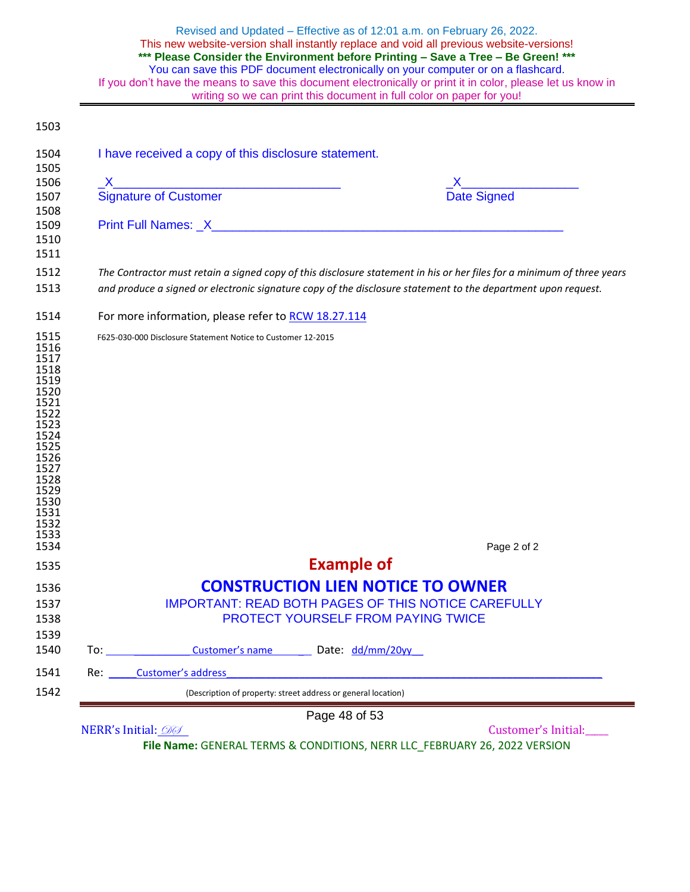| Revised and Updated - Effective as of 12:01 a.m. on February 26, 2022.<br>This new website-version shall instantly replace and void all previous website-versions!<br>*** Please Consider the Environment before Printing - Save a Tree - Be Green! ***<br>You can save this PDF document electronically on your computer or on a flashcard.<br>If you don't have the means to save this document electronically or print it in color, please let us know in<br>writing so we can print this document in full color on paper for you! |
|---------------------------------------------------------------------------------------------------------------------------------------------------------------------------------------------------------------------------------------------------------------------------------------------------------------------------------------------------------------------------------------------------------------------------------------------------------------------------------------------------------------------------------------|
|                                                                                                                                                                                                                                                                                                                                                                                                                                                                                                                                       |

| X<br>Date Signed<br>X<br>Signature of Customer<br>The Contractor must retain a signed copy of this disclosure statement in his or her files for a minimum of three years<br>and produce a signed or electronic signature copy of the disclosure statement to the department upon request.<br>For more information, please refer to RCW 18.27.114<br>F625-030-000 Disclosure Statement Notice to Customer 12-2015 |
|------------------------------------------------------------------------------------------------------------------------------------------------------------------------------------------------------------------------------------------------------------------------------------------------------------------------------------------------------------------------------------------------------------------|
|                                                                                                                                                                                                                                                                                                                                                                                                                  |
|                                                                                                                                                                                                                                                                                                                                                                                                                  |
|                                                                                                                                                                                                                                                                                                                                                                                                                  |
|                                                                                                                                                                                                                                                                                                                                                                                                                  |
|                                                                                                                                                                                                                                                                                                                                                                                                                  |
|                                                                                                                                                                                                                                                                                                                                                                                                                  |
|                                                                                                                                                                                                                                                                                                                                                                                                                  |
|                                                                                                                                                                                                                                                                                                                                                                                                                  |
|                                                                                                                                                                                                                                                                                                                                                                                                                  |
|                                                                                                                                                                                                                                                                                                                                                                                                                  |
|                                                                                                                                                                                                                                                                                                                                                                                                                  |
|                                                                                                                                                                                                                                                                                                                                                                                                                  |
|                                                                                                                                                                                                                                                                                                                                                                                                                  |
|                                                                                                                                                                                                                                                                                                                                                                                                                  |
|                                                                                                                                                                                                                                                                                                                                                                                                                  |
|                                                                                                                                                                                                                                                                                                                                                                                                                  |
|                                                                                                                                                                                                                                                                                                                                                                                                                  |
|                                                                                                                                                                                                                                                                                                                                                                                                                  |
|                                                                                                                                                                                                                                                                                                                                                                                                                  |
|                                                                                                                                                                                                                                                                                                                                                                                                                  |
|                                                                                                                                                                                                                                                                                                                                                                                                                  |
|                                                                                                                                                                                                                                                                                                                                                                                                                  |
|                                                                                                                                                                                                                                                                                                                                                                                                                  |
|                                                                                                                                                                                                                                                                                                                                                                                                                  |
|                                                                                                                                                                                                                                                                                                                                                                                                                  |
| Page 2 of 2                                                                                                                                                                                                                                                                                                                                                                                                      |
| <b>Example of</b>                                                                                                                                                                                                                                                                                                                                                                                                |
| <b>CONSTRUCTION LIEN NOTICE TO OWNER</b>                                                                                                                                                                                                                                                                                                                                                                         |
| <b>IMPORTANT: READ BOTH PAGES OF THIS NOTICE CAREFULLY</b>                                                                                                                                                                                                                                                                                                                                                       |
| PROTECT YOURSELF FROM PAYING TWICE                                                                                                                                                                                                                                                                                                                                                                               |
|                                                                                                                                                                                                                                                                                                                                                                                                                  |
| To: Customer's name Date: dd/mm/20yy                                                                                                                                                                                                                                                                                                                                                                             |
| Re: Customer's address example and the contract of the contract of the contract of the contract of the contract of the contract of the contract of the contract of the contract of the contract of the contract of the contrac                                                                                                                                                                                   |
| (Description of property: street address or general location)                                                                                                                                                                                                                                                                                                                                                    |
|                                                                                                                                                                                                                                                                                                                                                                                                                  |

NERR's Initial: <u>(2004)</u> and the Customer's Initial: <u>Conserversity</u> Customer's Initial:

 $\overline{\phantom{0}}$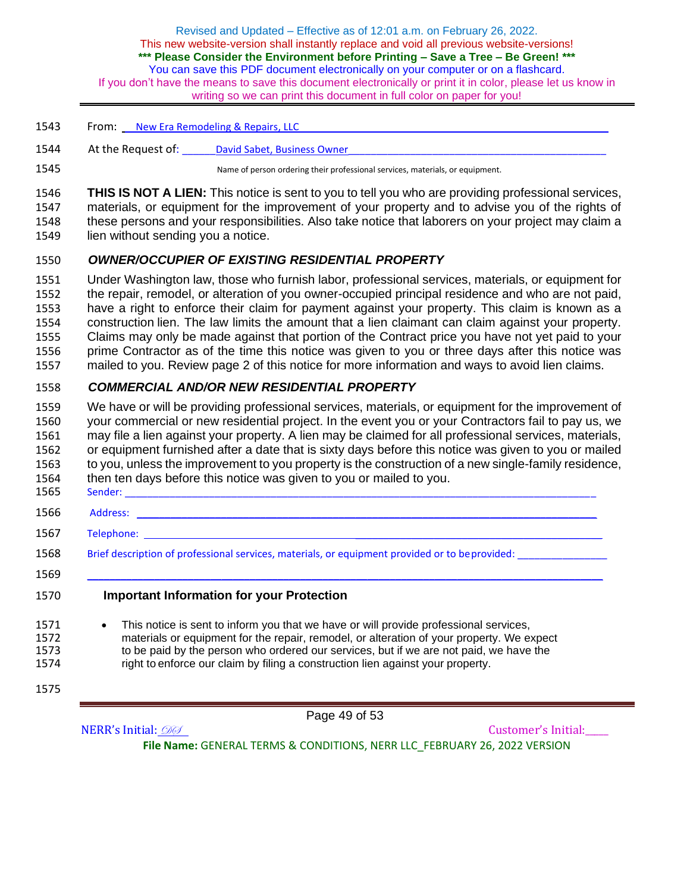- 1543 From: New Era Remodeling & Repairs, LLC 1544 At the Request of: Lawid Sabet, Business Owner 1545 Name of person ordering their professional services, materials, or equipment.
- 1546 **THIS IS NOT A LIEN:** This notice is sent to you to tell you who are providing professional services, 1547 materials, or equipment for the improvement of your property and to advise you of the rights of 1548 these persons and your responsibilities. Also take notice that laborers on your project may claim a
- 1549 lien without sending you a notice.

### 1550 *OWNER/OCCUPIER OF EXISTING RESIDENTIAL PROPERTY*

 Under Washington law, those who furnish labor, professional services, materials, or equipment for the repair, remodel, or alteration of you owner-occupied principal residence and who are not paid, have a right to enforce their claim for payment against your property. This claim is known as a construction lien. The law limits the amount that a lien claimant can claim against your property. Claims may only be made against that portion of the Contract price you have not yet paid to your prime Contractor as of the time this notice was given to you or three days after this notice was mailed to you. Review page 2 of this notice for more information and ways to avoid lien claims.

### 1558 *COMMERCIAL AND/OR NEW RESIDENTIAL PROPERTY*

 We have or will be providing professional services, materials, or equipment for the improvement of your commercial or new residential project. In the event you or your Contractors fail to pay us, we may file a lien against your property. A lien may be claimed for all professional services, materials, or equipment furnished after a date that is sixty days before this notice was given to you or mailed to you, unless the improvement to you property is the construction of a new single-family residence, then ten days before this notice was given to you or mailed to you. Sender: \_\_\_\_\_\_\_\_\_\_\_\_\_\_\_\_\_\_\_\_\_\_\_\_\_\_\_\_\_\_\_\_\_\_\_\_\_\_\_\_\_\_\_\_\_\_\_\_\_\_\_\_\_\_\_\_\_\_\_\_\_\_\_\_\_\_\_\_\_\_\_\_\_\_\_\_\_\_\_\_\_\_\_\_

- 1566 Address: \_\_\_\_\_\_\_\_\_\_\_\_\_\_\_\_\_\_\_\_\_\_\_\_\_\_\_\_\_\_\_\_\_\_\_\_\_\_\_\_\_\_\_\_\_\_\_\_\_\_\_\_\_\_\_\_\_\_\_\_\_\_\_\_\_\_\_\_\_\_\_\_\_\_\_\_\_\_\_\_\_\_
- 1567 Telephone: \_\_\_\_\_\_\_\_\_\_\_\_\_\_\_\_\_\_\_\_\_\_\_\_\_\_\_\_\_\_\_\_\_\_\_\_\_\_\_\_\_\_\_\_
- 1568 Brief description of professional services, materials, or equipment provided or to be provided:
- 1569 \_\_\_\_\_\_\_\_\_\_\_\_\_\_\_\_\_\_\_\_\_\_\_\_\_\_\_\_\_\_\_\_\_\_\_\_\_\_\_\_\_\_\_\_\_\_\_\_\_\_\_\_\_\_\_\_\_\_\_\_\_\_\_\_\_\_\_\_\_\_\_\_\_\_\_\_\_\_\_\_\_\_\_\_\_\_\_\_\_\_\_\_

<sup>1570</sup> **Important Information for your Protection**

- 1571 This notice is sent to inform you that we have or will provide professional services,<br>1572 materials or equipment for the repair, remodel, or alteration of your property. We example materials or equipment for the repair, remodel, or alteration of your property. We expect 1573 to be paid by the person who ordered our services, but if we are not paid, we have the 1574 to enforce our claim by filing a construction lien against your property. right to enforce our claim by filing a construction lien against your property.
- 1575

Page 49 of 53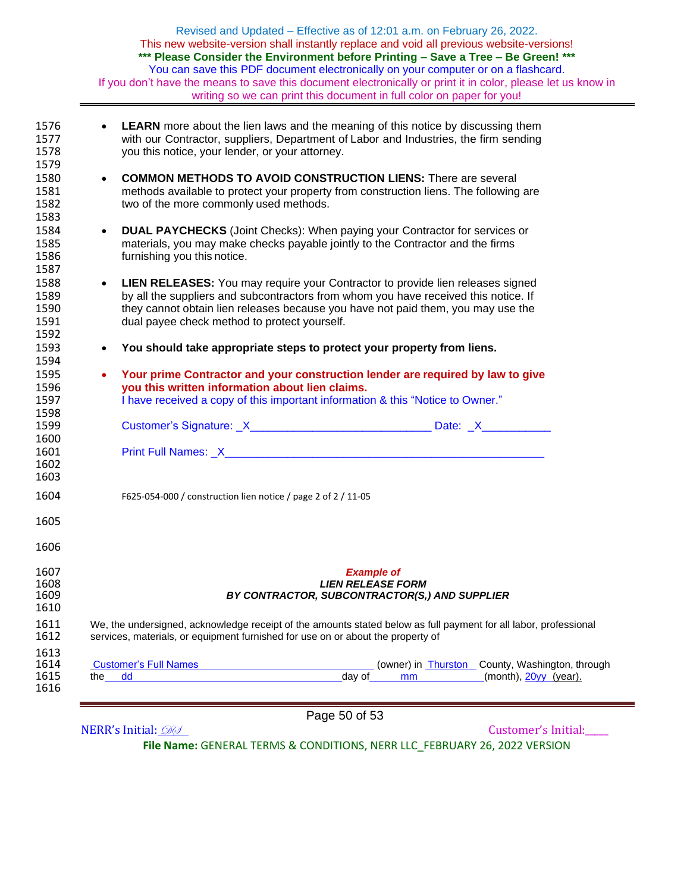|                                      |           | Revised and Updated - Effective as of 12:01 a.m. on February 26, 2022.<br>This new website-version shall instantly replace and void all previous website-versions!<br>*** Please Consider the Environment before Printing - Save a Tree - Be Green! ***<br>You can save this PDF document electronically on your computer or on a flashcard. |
|--------------------------------------|-----------|----------------------------------------------------------------------------------------------------------------------------------------------------------------------------------------------------------------------------------------------------------------------------------------------------------------------------------------------|
|                                      |           | If you don't have the means to save this document electronically or print it in color, please let us know in<br>writing so we can print this document in full color on paper for you!                                                                                                                                                        |
| 1576<br>1577<br>1578<br>1579         | $\bullet$ | <b>LEARN</b> more about the lien laws and the meaning of this notice by discussing them<br>with our Contractor, suppliers, Department of Labor and Industries, the firm sending<br>you this notice, your lender, or your attorney.                                                                                                           |
| 1580<br>1581<br>1582<br>1583         | $\bullet$ | <b>COMMON METHODS TO AVOID CONSTRUCTION LIENS:</b> There are several<br>methods available to protect your property from construction liens. The following are<br>two of the more commonly used methods.                                                                                                                                      |
| 1584<br>1585<br>1586<br>1587         | $\bullet$ | <b>DUAL PAYCHECKS</b> (Joint Checks): When paying your Contractor for services or<br>materials, you may make checks payable jointly to the Contractor and the firms<br>furnishing you this notice.                                                                                                                                           |
| 1588<br>1589<br>1590<br>1591<br>1592 | $\bullet$ | LIEN RELEASES: You may require your Contractor to provide lien releases signed<br>by all the suppliers and subcontractors from whom you have received this notice. If<br>they cannot obtain lien releases because you have not paid them, you may use the<br>dual payee check method to protect yourself.                                    |
| 1593<br>1594                         | $\bullet$ | You should take appropriate steps to protect your property from liens.                                                                                                                                                                                                                                                                       |
| 1595<br>1596<br>1597<br>1598         | $\bullet$ | Your prime Contractor and your construction lender are required by law to give<br>you this written information about lien claims.<br>I have received a copy of this important information & this "Notice to Owner."                                                                                                                          |
| 1599                                 |           |                                                                                                                                                                                                                                                                                                                                              |
| 1600<br>1601<br>1602<br>1603         |           |                                                                                                                                                                                                                                                                                                                                              |
| 1604                                 |           | F625-054-000 / construction lien notice / page 2 of 2 / 11-05                                                                                                                                                                                                                                                                                |
| 1605                                 |           |                                                                                                                                                                                                                                                                                                                                              |

#### 1607 *Example of*  1608 *LIEN RELEASE FORM* 1609 *BY CONTRACTOR, SUBCONTRACTOR(S,) AND SUPPLIER*

| 1611 | We, the undersigned, acknowledge receipt of the amounts stated below as full payment for all labor, professional |
|------|------------------------------------------------------------------------------------------------------------------|
| 1612 | services, materials, or equipment furnished for use on or about the property of                                  |

| 1613<br>1614<br>1615<br>1616 | <b>Customer's Full Names</b><br>the<br>dd | (owner) in Thurston County, Washington, through<br>(month), 20yy (year).<br>day of<br>mm |
|------------------------------|-------------------------------------------|------------------------------------------------------------------------------------------|
|                              |                                           |                                                                                          |

## Page 50 of 53

1606

1608<br>1609<br>1610

NERR's Initial: 000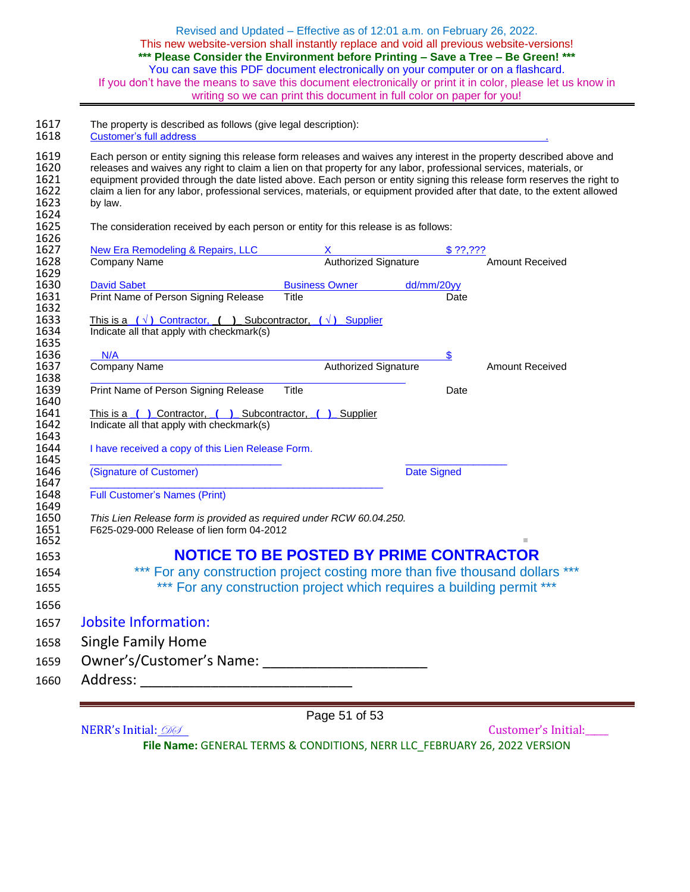| Revised and Updated – Effective as of 12:01 a.m. on February 26, 2022.                                       |
|--------------------------------------------------------------------------------------------------------------|
| This new website-version shall instantly replace and void all previous website-versions!                     |
| *** Please Consider the Environment before Printing - Save a Tree - Be Green! ***                            |
| You can save this PDF document electronically on your computer or on a flashcard.                            |
| If you don't have the means to save this document electronically or print it in color, please let us know in |
| writing so we can print this document in full color on paper for you!                                        |

1617 The property is described as follows (give legal description):

| equipment provided through the date listed above. Each person or entity signing this release form reserves the right to<br>claim a lien for any labor, professional services, materials, or equipment provided after that date, to the extent allowed<br>by law. |                             |             |           |                        |
|------------------------------------------------------------------------------------------------------------------------------------------------------------------------------------------------------------------------------------------------------------------|-----------------------------|-------------|-----------|------------------------|
|                                                                                                                                                                                                                                                                  |                             |             |           |                        |
| The consideration received by each person or entity for this release is as follows:                                                                                                                                                                              |                             |             |           |                        |
| New Era Remodeling & Repairs, LLC                                                                                                                                                                                                                                | x 9<br>Authorized Signature |             | \$ 77,777 |                        |
| Company Name                                                                                                                                                                                                                                                     |                             |             |           | <b>Amount Received</b> |
| <b>David Sabet</b>                                                                                                                                                                                                                                               | Business Owner dd/mm/20yy   |             |           |                        |
| Print Name of Person Signing Release<br>Title                                                                                                                                                                                                                    |                             |             | Date      |                        |
| This is a $(\sqrt{})$ Contractor, () Subcontractor, $(\sqrt{})$ Supplier                                                                                                                                                                                         |                             |             |           |                        |
| Indicate all that apply with checkmark(s)                                                                                                                                                                                                                        |                             |             |           |                        |
| N/A and the contract of the contract of the contract of the contract of the contract of the contract of the contract of the contract of the contract of the contract of the contract of the contract of the contract of the co                                   |                             |             | \$        |                        |
| Company Name                                                                                                                                                                                                                                                     | Authorized Signature        |             |           | <b>Amount Received</b> |
| Print Name of Person Signing Release<br><b>Title</b>                                                                                                                                                                                                             |                             |             | Date      |                        |
|                                                                                                                                                                                                                                                                  |                             |             |           |                        |
| This is a ( ) Contractor, ( ) Subcontractor, ( ) Supplier                                                                                                                                                                                                        |                             |             |           |                        |
| Indicate all that apply with checkmark(s)                                                                                                                                                                                                                        |                             |             |           |                        |
| I have received a copy of this Lien Release Form.                                                                                                                                                                                                                |                             |             |           |                        |
| (Signature of Customer)                                                                                                                                                                                                                                          |                             | Date Signed |           |                        |
| <b>Full Customer's Names (Print)</b>                                                                                                                                                                                                                             |                             |             |           |                        |
|                                                                                                                                                                                                                                                                  |                             |             |           |                        |
|                                                                                                                                                                                                                                                                  |                             |             |           |                        |
| This Lien Release form is provided as required under RCW 60.04.250.<br>F625-029-000 Release of lien form 04-2012                                                                                                                                                 |                             |             |           |                        |
|                                                                                                                                                                                                                                                                  |                             |             |           |                        |
| <b>NOTICE TO BE POSTED BY PRIME CONTRACTOR</b>                                                                                                                                                                                                                   |                             |             |           |                        |
| *** For any construction project costing more than five thousand dollars ***                                                                                                                                                                                     |                             |             |           |                        |
| *** For any construction project which requires a building permit ***                                                                                                                                                                                            |                             |             |           |                        |
|                                                                                                                                                                                                                                                                  |                             |             |           |                        |
| <b>Jobsite Information:</b>                                                                                                                                                                                                                                      |                             |             |           |                        |
| <b>Single Family Home</b><br>Owner's/Customer's Name:                                                                                                                                                                                                            |                             |             |           |                        |

NERR's Initial: 200 Customer's Initial:

Page 51 of 53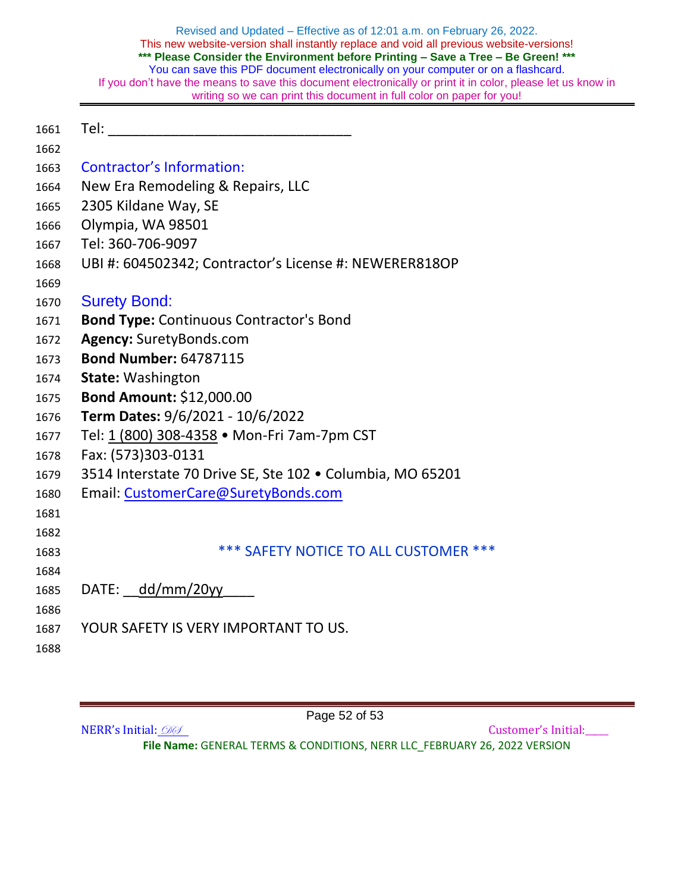- 1661 Tel:
- 
- Contractor's Information:
- New Era Remodeling & Repairs, LLC
- 2305 Kildane Way, SE
- Olympia, WA 98501
- Tel: 360-706-9097
- UBI #: 604502342; Contractor's License #: NEWERER818OP
- 
- Surety Bond:
- **Bond Type:** Continuous Contractor's Bond
- **Agency:** SuretyBonds.com
- **Bond Number:** 64787115
- **State:** Washington
- **Bond Amount:** \$12,000.00
- **Term Dates:** 9/6/2021 10/6/2022
- Tel: [1 \(800\) 308-4358](tel:8003084358) Mon-Fri 7am-7pm CST
- Fax: (573)303-0131
- 3514 Interstate 70 Drive SE, Ste 102 Columbia, MO 65201
- Email: [CustomerCare@SuretyBonds.com](mailto:CustomerCare@SuretyBonds.com)
- 
- \*\*\* SAFETY NOTICE TO ALL CUSTOMER \*\*\*
- 

1685 DATE: dd/mm/20yy

- YOUR SAFETY IS VERY IMPORTANT TO US.
- 

Page 52 of 53